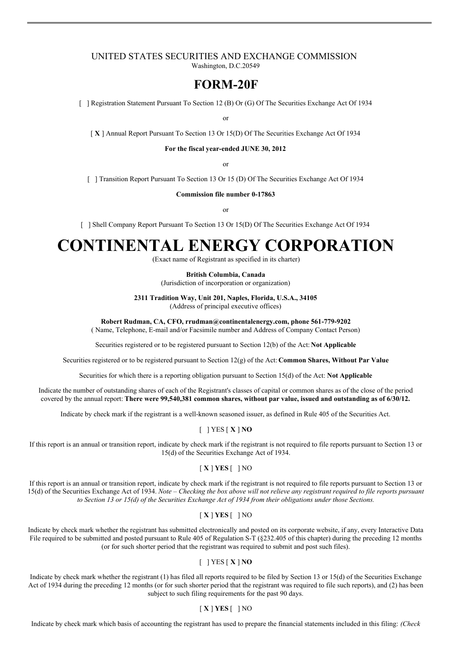#### UNITED STATES SECURITIES AND EXCHANGE COMMISSION Washington, D.C.20549

## **FORM-20F**

[ ] Registration Statement Pursuant To Section 12 (B) Or (G) Of The Securities Exchange Act Of 1934

or

[ **X** ] Annual Report Pursuant To Section 13 Or 15(D) Of The Securities Exchange Act Of 1934

**For the fiscal year-ended JUNE 30, 2012**

or

[ ] Transition Report Pursuant To Section 13 Or 15 (D) Of The Securities Exchange Act Of 1934

**Commission file number 0-17863**

or

[ ] Shell Company Report Pursuant To Section 13 Or 15(D) Of The Securities Exchange Act Of 1934

# **CONTINENTAL ENERGY CORPORATION**

(Exact name of Registrant as specified in its charter)

**British Columbia, Canada**

(Jurisdiction of incorporation or organization)

**2311 Tradition Way, Unit 201, Naples, Florida, U.S.A., 34105**

(Address of principal executive offices)

**Robert Rudman, CA, CFO, rrudman@continentalenergy.com, phone 561-779-9202**

( Name, Telephone, E-mail and/or Facsimile number and Address of Company Contact Person)

Securities registered or to be registered pursuant to Section 12(b) of the Act: **Not Applicable**

Securities registered or to be registered pursuant to Section 12(g) of the Act: **Common Shares, Without Par Value**

Securities for which there is a reporting obligation pursuant to Section 15(d) of the Act: **Not Applicable**

Indicate the number of outstanding shares of each of the Registrant's classes of capital or common shares as of the close of the period covered by the annual report: **There were 99,540,381 common shares, without par value, issued and outstanding as of 6/30/12.**

Indicate by check mark if the registrant is a well-known seasoned issuer, as defined in Rule 405 of the Securities Act.

#### [ ] YES [ **X** ] **NO**

If this report is an annual or transition report, indicate by check mark if the registrant is not required to file reports pursuant to Section 13 or 15(d) of the Securities Exchange Act of 1934.

#### [ **X** ] **YES** [ ] NO

If this report is an annual or transition report, indicate by check mark if the registrant is not required to file reports pursuant to Section 13 or 15(d) of the Securities Exchange Act of 1934. Note - Checking the box above will not relieve any registrant required to file reports pursuant to Section 13 or 15(d) of the Securities Exchange Act of 1934 from their obligations under those Sections.

## [ **X** ] **YES** [ ] NO

Indicate by check mark whether the registrant has submitted electronically and posted on its corporate website, if any, every Interactive Data File required to be submitted and posted pursuant to Rule 405 of Regulation S-T (§232.405 of this chapter) during the preceding 12 months (or for such shorter period that the registrant was required to submit and post such files).

## [ ] YES [ **X** ] **NO**

Indicate by check mark whether the registrant (1) has filed all reports required to be filed by Section 13 or 15(d) of the Securities Exchange Act of 1934 during the preceding 12 months (or for such shorter period that the registrant was required to file such reports), and (2) has been subject to such filing requirements for the past 90 days.

## [ **X** ] **YES** [ ] NO

Indicate by check mark which basis of accounting the registrant has used to prepare the financial statements included in this filing: *(Check*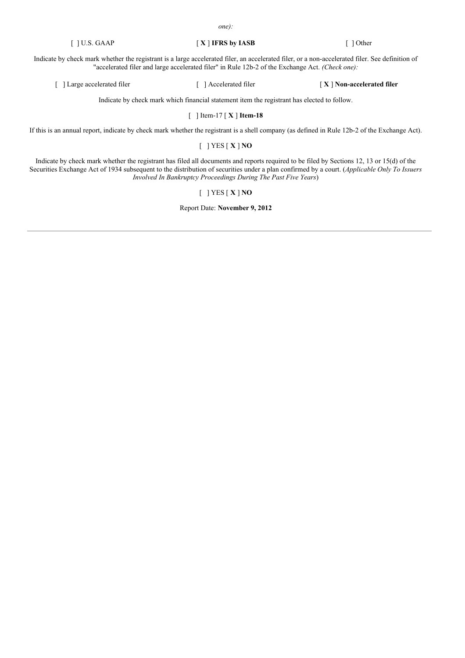Indicate by check mark whether the registrant is a large accelerated filer, an accelerated filer, or a non-accelerated filer. See definition of "accelerated filer and large accelerated filer" in Rule 12b-2 of the Exchange Act. *(Check one):*

[ ] Large accelerated filer [ ] Accelerated filer [ **X** ] **Non-accelerated filer**

Indicate by check mark which financial statement item the registrant has elected to follow.

[ ] Item-17 [ **X** ] **Item-18**

If this is an annual report, indicate by check mark whether the registrant is a shell company (as defined in Rule 12b-2 of the Exchange Act).

[ ] YES [ **X** ] **NO**

Indicate by check mark whether the registrant has filed all documents and reports required to be filed by Sections 12, 13 or 15(d) of the Securities Exchange Act of 1934 subsequent to the distribution of securities under a plan confirmed by a court. (*Applicable Only To Issuers Involved In Bankruptcy Proceedings During The Past Five Years*)

## [ ] YES [ **X** ] **NO**

Report Date: **November 9, 2012**

[ ] U.S. GAAP [ **X** ] **IFRS by IASB** [ ] Other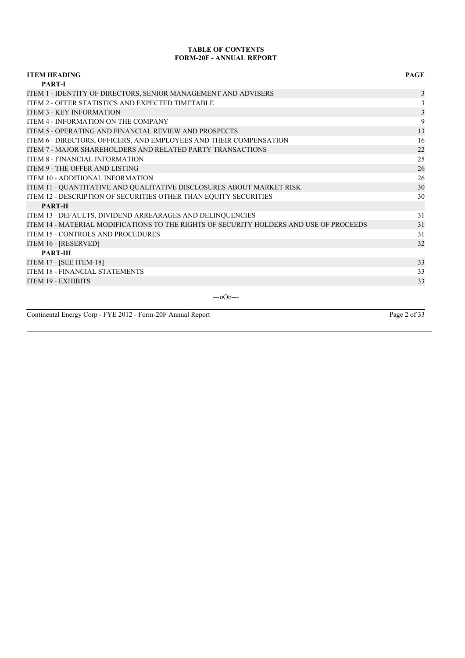#### **TABLE OF CONTENTS FORM-20F - ANNUAL REPORT**

| <b>ITEM HEADING</b><br>PART-I                                                          | <b>PAGE</b>             |
|----------------------------------------------------------------------------------------|-------------------------|
| ITEM 1 - IDENTITY OF DIRECTORS, SENIOR MANAGEMENT AND ADVISERS                         | $\mathfrak{Z}$          |
|                                                                                        |                         |
| ITEM 2 - OFFER STATISTICS AND EXPECTED TIMETABLE                                       | 3                       |
| <b>ITEM 3 - KEY INFORMATION</b>                                                        | $\overline{\mathbf{3}}$ |
| <b>ITEM 4 - INFORMATION ON THE COMPANY</b>                                             | 9                       |
| <b>ITEM 5 - OPERATING AND FINANCIAL REVIEW AND PROSPECTS</b>                           | 13                      |
| ITEM 6 - DIRECTORS, OFFICERS, AND EMPLOYEES AND THEIR COMPENSATION                     | 16                      |
| <b>ITEM 7 - MAJOR SHAREHOLDERS AND RELATED PARTY TRANSACTIONS</b>                      | 22                      |
| <b>ITEM 8 - FINANCIAL INFORMATION</b>                                                  | 25                      |
| <b>ITEM 9 - THE OFFER AND LISTING</b>                                                  | 26                      |
| <b>ITEM 10 - ADDITIONAL INFORMATION</b>                                                | 26                      |
| ITEM 11 - QUANTITATIVE AND QUALITATIVE DISCLOSURES ABOUT MARKET RISK                   | 30                      |
| ITEM 12 - DESCRIPTION OF SECURITIES OTHER THAN EQUITY SECURITIES                       | 30                      |
| <b>PART-II</b>                                                                         |                         |
| ITEM 13 - DEFAULTS, DIVIDEND ARREARAGES AND DELINQUENCIES                              | 31                      |
| ITEM 14 - MATERIAL MODIFICATIONS TO THE RIGHTS OF SECURITY HOLDERS AND USE OF PROCEEDS | 31                      |
| <b>ITEM 15 - CONTROLS AND PROCEDURES</b>                                               | 31                      |
| ITEM 16 - [RESERVED]                                                                   | 32                      |
| <b>PART-III</b>                                                                        |                         |
| <b>ITEM 17 - [SEE ITEM-18]</b>                                                         | 33                      |
| <b>ITEM 18 - FINANCIAL STATEMENTS</b>                                                  | 33                      |
| <b>ITEM 19 - EXHIBITS</b>                                                              | 33                      |
|                                                                                        |                         |

---oOo---

Continental Energy Corp - FYE 2012 - Form-20F Annual Report Page 2 of 33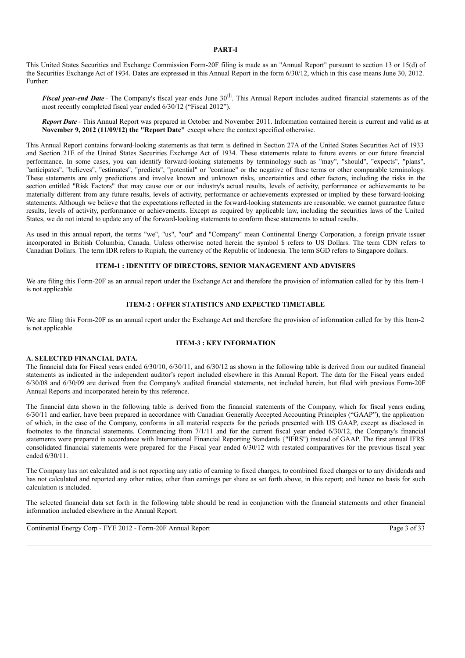#### **PART-I**

This United States Securities and Exchange Commission Form-20F filing is made as an "Annual Report" pursuant to section 13 or 15(d) of the Securities Exchange Act of 1934. Dates are expressed in this Annual Report in the form 6/30/12, which in this case means June 30, 2012. Further:

Fiscal year-end Date - The Company's fiscal year ends June 30<sup>th</sup>. This Annual Report includes audited financial statements as of the most recently completed fiscal year ended 6/30/12 ("Fiscal 2012").

*Report Date* - This Annual Report was prepared in October and November 2011. Information contained herein is current and valid as at **November 9, 2012 (11/09/12) the "Report Date"** except where the context specified otherwise.

This Annual Report contains forward-looking statements as that term is defined in Section 27A of the United States Securities Act of 1933 and Section 21E of the United States Securities Exchange Act of 1934. These statements relate to future events or our future financial performance. In some cases, you can identify forward-looking statements by terminology such as "may", "should", "expects", "plans", "anticipates", "believes", "estimates", "predicts", "potential" or "continue" or the negative of these terms or other comparable terminology. These statements are only predictions and involve known and unknown risks, uncertainties and other factors, including the risks in the section entitled "Risk Factors" that may cause our or our industry's actual results, levels of activity, performance or achievements to be materially different from any future results, levels of activity, performance or achievements expressed or implied by these forward-looking statements. Although we believe that the expectations reflected in the forward-looking statements are reasonable, we cannot guarantee future results, levels of activity, performance or achievements. Except as required by applicable law, including the securities laws of the United States, we do not intend to update any of the forward-looking statements to conform these statements to actual results.

As used in this annual report, the terms "we", "us", "our" and "Company" mean Continental Energy Corporation, a foreign private issuer incorporated in British Columbia, Canada. Unless otherwise noted herein the symbol \$ refers to US Dollars. The term CDN refers to Canadian Dollars. The term IDR refers to Rupiah, the currency of the Republic of Indonesia. The term SGD refers to Singapore dollars.

#### **ITEM-1 : IDENTITY OF DIRECTORS, SENIOR MANAGEMENT AND ADVISERS**

We are filing this Form-20F as an annual report under the Exchange Act and therefore the provision of information called for by this Item-1 is not applicable.

## **ITEM-2 : OFFER STATISTICS AND EXPECTED TIMETABLE**

We are filing this Form-20F as an annual report under the Exchange Act and therefore the provision of information called for by this Item-2 is not applicable.

#### **ITEM-3 : KEY INFORMATION**

## **A. SELECTED FINANCIAL DATA.**

The financial data for Fiscal years ended 6/30/10, 6/30/11, and 6/30/12 as shown in the following table is derived from our audited financial statements as indicated in the independent auditor's report included elsewhere in this Annual Report. The data for the Fiscal years ended 6/30/08 and 6/30/09 are derived from the Company's audited financial statements, not included herein, but filed with previous Form-20F Annual Reports and incorporated herein by this reference.

The financial data shown in the following table is derived from the financial statements of the Company, which for fiscal years ending 6/30/11 and earlier, have been prepared in accordance with Canadian Generally Accepted Accounting Principles ("GAAP"), the application of which, in the case of the Company, conforms in all material respects for the periods presented with US GAAP, except as disclosed in footnotes to the financial statements. Commencing from 7/1/11 and for the current fiscal year ended 6/30/12, the Company's financial statements were prepared in accordance with International Financial Reporting Standards {"IFRS") instead of GAAP. The first annual IFRS consolidated financial statements were prepared for the Fiscal year ended 6/30/12 with restated comparatives for the previous fiscal year ended 6/30/11.

The Company has not calculated and is not reporting any ratio of earning to fixed charges, to combined fixed charges or to any dividends and has not calculated and reported any other ratios, other than earnings per share as set forth above, in this report; and hence no basis for such calculation is included.

The selected financial data set forth in the following table should be read in conjunction with the financial statements and other financial information included elsewhere in the Annual Report.

Continental Energy Corp - FYE 2012 - Form-20F Annual Report Page 3 of 33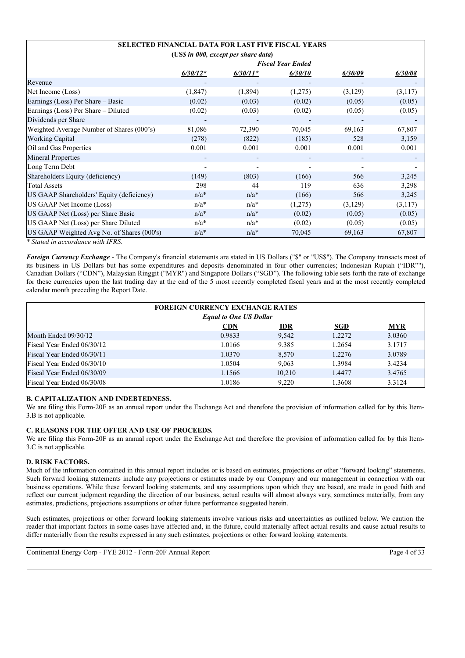| <b>SELECTED FINANCIAL DATA FOR LAST FIVE FISCAL YEARS</b> |            |            |                          |                          |         |  |  |  |  |
|-----------------------------------------------------------|------------|------------|--------------------------|--------------------------|---------|--|--|--|--|
| (US\$ in 000, except per share data)                      |            |            |                          |                          |         |  |  |  |  |
| <b>Fiscal Year Ended</b>                                  |            |            |                          |                          |         |  |  |  |  |
|                                                           | $6/30/12*$ | $6/30/11*$ | 6/30/10                  | 6/30/09                  | 6/30/08 |  |  |  |  |
| Revenue                                                   |            |            |                          |                          |         |  |  |  |  |
| Net Income (Loss)                                         | (1, 847)   | (1,894)    | (1,275)                  | (3,129)                  | (3,117) |  |  |  |  |
| Earnings (Loss) Per Share - Basic                         | (0.02)     | (0.03)     | (0.02)                   | (0.05)                   | (0.05)  |  |  |  |  |
| Earnings (Loss) Per Share - Diluted                       | (0.02)     | (0.03)     | (0.02)                   | (0.05)                   | (0.05)  |  |  |  |  |
| Dividends per Share                                       |            |            |                          |                          |         |  |  |  |  |
| Weighted Average Number of Shares (000's)                 | 81,086     | 72,390     | 70,045                   | 69,163                   | 67,807  |  |  |  |  |
| <b>Working Capital</b>                                    | (278)      | (822)      | (185)                    | 528                      | 3,159   |  |  |  |  |
| Oil and Gas Properties                                    | 0.001      | 0.001      | 0.001                    | 0.001                    | 0.001   |  |  |  |  |
| <b>Mineral Properties</b>                                 |            |            | $\overline{\phantom{a}}$ | $\overline{\phantom{a}}$ |         |  |  |  |  |
| Long Term Debt                                            |            |            |                          |                          |         |  |  |  |  |
| Shareholders Equity (deficiency)                          | (149)      | (803)      | (166)                    | 566                      | 3,245   |  |  |  |  |
| <b>Total Assets</b>                                       | 298        | 44         | 119                      | 636                      | 3,298   |  |  |  |  |
| US GAAP Shareholders' Equity (deficiency)                 | $n/a^*$    | $n/a^*$    | (166)                    | 566                      | 3,245   |  |  |  |  |
| US GAAP Net Income (Loss)                                 | $n/a^*$    | $n/a^*$    | (1,275)                  | (3,129)                  | (3,117) |  |  |  |  |
| US GAAP Net (Loss) per Share Basic                        | $n/a*$     | $n/a^*$    | (0.02)                   | (0.05)                   | (0.05)  |  |  |  |  |
| US GAAP Net (Loss) per Share Diluted                      | $n/a*$     | $n/a^*$    | (0.02)                   | (0.05)                   | (0.05)  |  |  |  |  |
| US GAAP Weighted Avg No. of Shares (000's)                | $n/a^*$    | $n/a^*$    | 70,045                   | 69,163                   | 67,807  |  |  |  |  |

*\* Stated in accordance with IFRS.*

*Foreign Currency Exchange* - The Company's financial statements are stated in US Dollars ("\$" or "US\$"). The Company transacts most of its business in US Dollars but has some expenditures and deposits denominated in four other currencies; Indonesian Rupiah ("IDR""), Canadian Dollars ("CDN"), Malaysian Ringgit ("MYR") and Singapore Dollars ("SGD"). The following table sets forth the rate of exchange for these currencies upon the last trading day at the end of the 5 most recently completed fiscal years and at the most recently completed calendar month preceding the Report Date.

| <b>FOREIGN CURRENCY EXCHANGE RATES</b><br><b>Equal to One US Dollar</b> |            |            |            |            |  |  |  |
|-------------------------------------------------------------------------|------------|------------|------------|------------|--|--|--|
|                                                                         | <b>CDN</b> | <b>IDR</b> | <b>SGD</b> | <b>MYR</b> |  |  |  |
| Month Ended $09/30/12$                                                  | 0.9833     | 9,542      | 1.2272     | 3.0360     |  |  |  |
| Fiscal Year Ended 06/30/12                                              | 1.0166     | 9.385      | 1.2654     | 3.1717     |  |  |  |
| Fiscal Year Ended 06/30/11                                              | 1.0370     | 8,570      | 1.2276     | 3.0789     |  |  |  |
| Fiscal Year Ended 06/30/10                                              | 1.0504     | 9.063      | 1.3984     | 3.4234     |  |  |  |
| Fiscal Year Ended 06/30/09                                              | 1.1566     | 10,210     | 1.4477     | 3.4765     |  |  |  |
| Fiscal Year Ended 06/30/08                                              | 1.0186     | 9.220      | 1.3608     | 3.3124     |  |  |  |

#### **B. CAPITALIZATION AND INDEBTEDNESS.**

We are filing this Form-20F as an annual report under the Exchange Act and therefore the provision of information called for by this Item-3.B is not applicable.

#### **C. REASONS FOR THE OFFER AND USE OF PROCEEDS.**

We are filing this Form-20F as an annual report under the Exchange Act and therefore the provision of information called for by this Item-3.C is not applicable.

#### **D. RISK FACTORS.**

Much of the information contained in this annual report includes or is based on estimates, projections or other "forward looking" statements. Such forward looking statements include any projections or estimates made by our Company and our management in connection with our business operations. While these forward looking statements, and any assumptions upon which they are based, are made in good faith and reflect our current judgment regarding the direction of our business, actual results will almost always vary, sometimes materially, from any estimates, predictions, projections assumptions or other future performance suggested herein.

Such estimates, projections or other forward looking statements involve various risks and uncertainties as outlined below. We caution the reader that important factors in some cases have affected and, in the future, could materially affect actual results and cause actual results to differ materially from the results expressed in any such estimates, projections or other forward looking statements.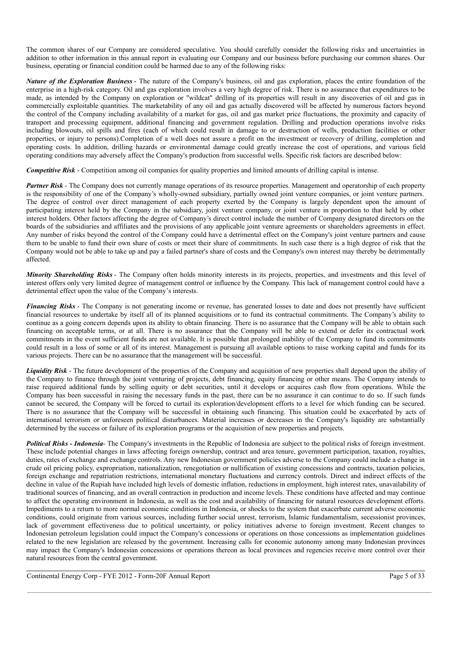The common shares of our Company are considered speculative. You should carefully consider the following risks and uncertainties in addition to other information in this annual report in evaluating our Company and our business before purchasing our common shares. Our business, operating or financial condition could be harmed due to any of the following risks:

*Nature of the Exploration Business* - The nature of the Company's business, oil and gas exploration, places the entire foundation of the enterprise in a high-risk category. Oil and gas exploration involves a very high degree of risk. There is no assurance that expenditures to be made, as intended by the Company on exploration or "wildcat" drilling of its properties will result in any discoveries of oil and gas in commercially exploitable quantities. The marketability of any oil and gas actually discovered will be affected by numerous factors beyond the control of the Company including availability of a market for gas, oil and gas market price fluctuations, the proximity and capacity of transport and processing equipment, additional financing and government regulation. Drilling and production operations involve risks including blowouts, oil spills and fires (each of which could result in damage to or destruction of wells, production facilities or other properties, or injury to persons).Completion of a well does not assure a profit on the investment or recovery of drilling, completion and operating costs. In addition, drilling hazards or environmental damage could greatly increase the cost of operations, and various field operating conditions may adversely affect the Company's production from successful wells. Specific risk factors are described below:

*Competitive Risk* - Competition among oil companies for quality properties and limited amounts of drilling capital is intense.

*Partner Risk* - The Company does not currently manage operations of its resource properties. Management and operatorship of each property is the responsibility of one of the Company's wholly-owned subsidiary, partially owned joint venture companies, or joint venture partners. The degree of control over direct management of each property exerted by the Company is largely dependent upon the amount of participating interest held by the Company in the subsidiary, joint venture company, or joint venture in proportion to that held by other interest holders. Other factors affecting the degree of Company's direct control include the number of Company designated directors on the boards of the subsidiaries and affiliates and the provisions of any applicable joint venture agreements or shareholders agreements in effect. Any number of risks beyond the control of the Company could have a detrimental effect on the Company's joint venture partners and cause them to be unable to fund their own share of costs or meet their share of commitments. In such case there is a high degree of risk that the Company would not be able to take up and pay a failed partner's share of costs and the Company's own interest may thereby be detrimentally affected.

*Minority Shareholding Risks* - The Company often holds minority interests in its projects, properties, and investments and this level of interest offers only very limited degree of management control or influence by the Company. This lack of management control could have a detrimental effect upon the value of the Company's interests.

*Financing Risks* - The Company is not generating income or revenue, has generated losses to date and does not presently have sufficient financial resources to undertake by itself all of its planned acquisitions or to fund its contractual commitments. The Company's ability to continue as a going concern depends upon its ability to obtain financing. There is no assurance that the Company will be able to obtain such financing on acceptable terms, or at all. There is no assurance that the Company will be able to extend or defer its contractual work commitments in the event sufficient funds are not available. It is possible that prolonged inability of the Company to fund its commitments could result in a loss of some or all of its interest. Management is pursuing all available options to raise working capital and funds for its various projects. There can be no assurance that the management will be successful.

*Liquidity Risk* - The future development of the properties of the Company and acquisition of new properties shall depend upon the ability of the Company to finance through the joint venturing of projects, debt financing, equity financing or other means. The Company intends to raise required additional funds by selling equity or debt securities, until it develops or acquires cash flow from operations. While the Company has been successful in raising the necessary funds in the past, there can be no assurance it can continue to do so. If such funds cannot be secured, the Company will be forced to curtail its exploration/development efforts to a level for which funding can be secured. There is no assurance that the Company will be successful in obtaining such financing. This situation could be exacerbated by acts of international terrorism or unforeseen political disturbances. Material increases or decreases in the Company's liquidity are substantially determined by the success or failure of its exploration programs or the acquisition of new properties and projects.

*Political Risks - Indonesia*- The Company's investments in the Republic of Indonesia are subject to the political risks of foreign investment. These include potential changes in laws affecting foreign ownership, contract and area tenure, government participation, taxation, royalties, duties, rates of exchange and exchange controls. Any new Indonesian government policies adverse to the Company could include a change in crude oil pricing policy, expropriation, nationalization, renegotiation or nullification of existing concessions and contracts, taxation policies, foreign exchange and repatriation restrictions, international monetary fluctuations and currency controls. Direct and indirect effects of the decline in value of the Rupiah have included high levels of domestic inflation, reductions in employment, high interest rates, unavailability of traditional sources of financing, and an overall contraction in production and income levels. These conditions have affected and may continue to affect the operating environment in Indonesia, as well as the cost and availability of financing for natural resources development efforts. Impediments to a return to more normal economic conditions in Indonesia, or shocks to the system that exacerbate current adverse economic conditions, could originate from various sources, including further social unrest, terrorism, Islamic fundamentalism, secessionist provinces, lack of government effectiveness due to political uncertainty, or policy initiatives adverse to foreign investment. Recent changes to Indonesian petroleum legislation could impact the Company's concessions or operations on those concessions as implementation guidelines related to the new legislation are released by the government. Increasing calls for economic autonomy among many Indonesian provinces may impact the Company's Indonesian concessions or operations thereon as local provinces and regencies receive more control over their natural resources from the central government.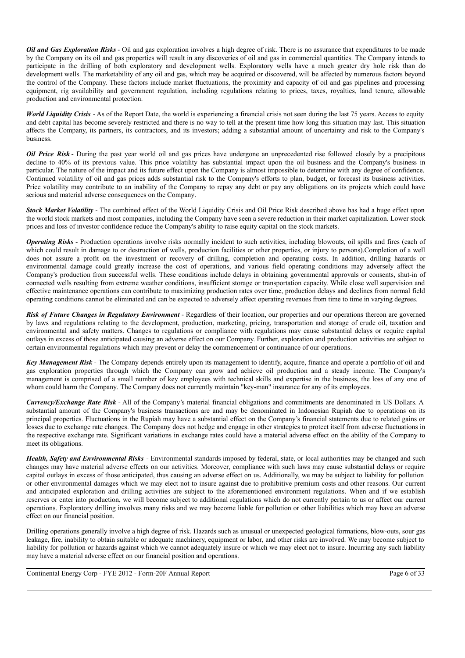*Oil and Gas Exploration Risks* - Oil and gas exploration involves a high degree of risk. There is no assurance that expenditures to be made by the Company on its oil and gas properties will result in any discoveries of oil and gas in commercial quantities. The Company intends to participate in the drilling of both exploratory and development wells. Exploratory wells have a much greater dry hole risk than do development wells. The marketability of any oil and gas, which may be acquired or discovered, will be affected by numerous factors beyond the control of the Company. These factors include market fluctuations, the proximity and capacity of oil and gas pipelines and processing equipment, rig availability and government regulation, including regulations relating to prices, taxes, royalties, land tenure, allowable production and environmental protection.

*World Liquidity Crisis* - As of the Report Date, the world is experiencing a financial crisis not seen during the last 75 years. Access to equity and debt capital has become severely restricted and there is no way to tell at the present time how long this situation may last. This situation affects the Company, its partners, its contractors, and its investors; adding a substantial amount of uncertainty and risk to the Company's business.

*Oil Price Risk* - During the past year world oil and gas prices have undergone an unprecedented rise followed closely by a precipitous decline to 40% of its previous value. This price volatility has substantial impact upon the oil business and the Company's business in particular. The nature of the impact and its future effect upon the Company is almost impossible to determine with any degree of confidence. Continued volatility of oil and gas prices adds substantial risk to the Company's efforts to plan, budget, or forecast its business activities. Price volatility may contribute to an inability of the Company to repay any debt or pay any obligations on its projects which could have serious and material adverse consequences on the Company.

*Stock Market Volatility* - The combined effect of the World Liquidity Crisis and Oil Price Risk described above has had a huge effect upon the world stock markets and most companies, including the Company have seen a severe reduction in their market capitalization. Lower stock prices and loss of investor confidence reduce the Company's ability to raise equity capital on the stock markets.

*Operating Risks* - Production operations involve risks normally incident to such activities, including blowouts, oil spills and fires (each of which could result in damage to or destruction of wells, production facilities or other properties, or injury to persons).Completion of a well does not assure a profit on the investment or recovery of drilling, completion and operating costs. In addition, drilling hazards or environmental damage could greatly increase the cost of operations, and various field operating conditions may adversely affect the Company's production from successful wells. These conditions include delays in obtaining governmental approvals or consents, shut-in of connected wells resulting from extreme weather conditions, insufficient storage or transportation capacity. While close well supervision and effective maintenance operations can contribute to maximizing production rates over time, production delays and declines from normal field operating conditions cannot be eliminated and can be expected to adversely affect operating revenues from time to time in varying degrees.

*Risk of Future Changes in Regulatory Environment* - Regardless of their location, our properties and our operations thereon are governed by laws and regulations relating to the development, production, marketing, pricing, transportation and storage of crude oil, taxation and environmental and safety matters. Changes to regulations or compliance with regulations may cause substantial delays or require capital outlays in excess of those anticipated causing an adverse effect on our Company. Further, exploration and production activities are subject to certain environmental regulations which may prevent or delay the commencement or continuance of our operations.

*Key Management Risk* - The Company depends entirely upon its management to identify, acquire, finance and operate a portfolio of oil and gas exploration properties through which the Company can grow and achieve oil production and a steady income. The Company's management is comprised of a small number of key employees with technical skills and expertise in the business, the loss of any one of whom could harm the Company. The Company does not currently maintain "key-man" insurance for any of its employees.

*Currency/Exchange Rate Risk* - All of the Company's material financial obligations and commitments are denominated in US Dollars. A substantial amount of the Company's business transactions are and may be denominated in Indonesian Rupiah due to operations on its principal properties. Fluctuations in the Rupiah may have a substantial effect on the Company's financial statements due to related gains or losses due to exchange rate changes. The Company does not hedge and engage in other strategies to protect itself from adverse fluctuations in the respective exchange rate. Significant variations in exchange rates could have a material adverse effect on the ability of the Company to meet its obligations.

*Health, Safety and Environmental Risks* - Environmental standards imposed by federal, state, or local authorities may be changed and such changes may have material adverse effects on our activities. Moreover, compliance with such laws may cause substantial delays or require capital outlays in excess of those anticipated, thus causing an adverse effect on us. Additionally, we may be subject to liability for pollution or other environmental damages which we may elect not to insure against due to prohibitive premium costs and other reasons. Our current and anticipated exploration and drilling activities are subject to the aforementioned environment regulations. When and if we establish reserves or enter into production, we will become subject to additional regulations which do not currently pertain to us or affect our current operations. Exploratory drilling involves many risks and we may become liable for pollution or other liabilities which may have an adverse effect on our financial position.

Drilling operations generally involve a high degree of risk. Hazards such as unusual or unexpected geological formations, blow-outs, sour gas leakage, fire, inability to obtain suitable or adequate machinery, equipment or labor, and other risks are involved. We may become subject to liability for pollution or hazards against which we cannot adequately insure or which we may elect not to insure. Incurring any such liability may have a material adverse effect on our financial position and operations.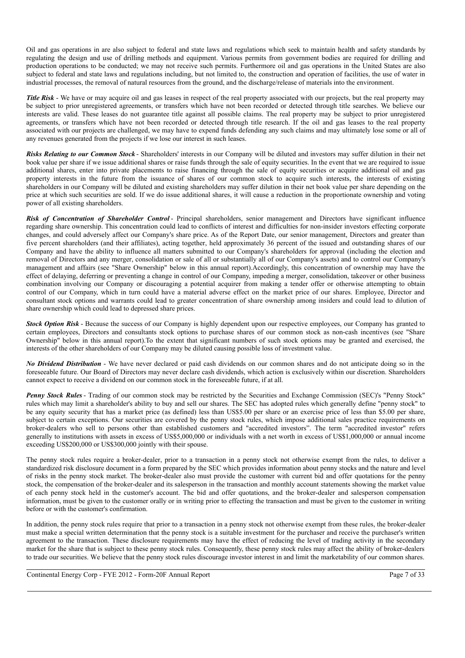Oil and gas operations in are also subject to federal and state laws and regulations which seek to maintain health and safety standards by regulating the design and use of drilling methods and equipment. Various permits from government bodies are required for drilling and production operations to be conducted; we may not receive such permits. Furthermore oil and gas operations in the United States are also subject to federal and state laws and regulations including, but not limited to, the construction and operation of facilities, the use of water in industrial processes, the removal of natural resources from the ground, and the discharge/release of materials into the environment.

**Title Risk** - We have or may acquire oil and gas leases in respect of the real property associated with our projects, but the real property may be subject to prior unregistered agreements, or transfers which have not been recorded or detected through title searches. We believe our interests are valid. These leases do not guarantee title against all possible claims. The real property may be subject to prior unregistered agreements, or transfers which have not been recorded or detected through title research. If the oil and gas leases to the real property associated with our projects are challenged, we may have to expend funds defending any such claims and may ultimately lose some or all of any revenues generated from the projects if we lose our interest in such leases.

*Risks Relating to our Common Stock*- Shareholders' interests in our Company will be diluted and investors may suffer dilution in their net book value per share if we issue additional shares or raise funds through the sale of equity securities. In the event that we are required to issue additional shares, enter into private placements to raise financing through the sale of equity securities or acquire additional oil and gas property interests in the future from the issuance of shares of our common stock to acquire such interests, the interests of existing shareholders in our Company will be diluted and existing shareholders may suffer dilution in their net book value per share depending on the price at which such securities are sold. If we do issue additional shares, it will cause a reduction in the proportionate ownership and voting power of all existing shareholders.

*Risk of Concentration of Shareholder Control* - Principal shareholders, senior management and Directors have significant influence regarding share ownership. This concentration could lead to conflicts of interest and difficulties for non-insider investors effecting corporate changes, and could adversely affect our Company's share price. As of the Report Date, our senior management, Directors and greater than five percent shareholders (and their affiliates), acting together, held approximately 36 percent of the issued and outstanding shares of our Company and have the ability to influence all matters submitted to our Company's shareholders for approval (including the election and removal of Directors and any merger, consolidation or sale of all or substantially all of our Company's assets) and to control our Company's management and affairs (see "Share Ownership" below in this annual report).Accordingly, this concentration of ownership may have the effect of delaying, deferring or preventing a change in control of our Company, impeding a merger, consolidation, takeover or other business combination involving our Company or discouraging a potential acquirer from making a tender offer or otherwise attempting to obtain control of our Company, which in turn could have a material adverse effect on the market price of our shares. Employee, Director and consultant stock options and warrants could lead to greater concentration of share ownership among insiders and could lead to dilution of share ownership which could lead to depressed share prices.

*Stock Option Risk* - Because the success of our Company is highly dependent upon our respective employees, our Company has granted to certain employees, Directors and consultants stock options to purchase shares of our common stock as non-cash incentives (see "Share Ownership" below in this annual report).To the extent that significant numbers of such stock options may be granted and exercised, the interests of the other shareholders of our Company may be diluted causing possible loss of investment value.

*No Dividend Distribution* - We have never declared or paid cash dividends on our common shares and do not anticipate doing so in the foreseeable future. Our Board of Directors may never declare cash dividends, which action is exclusively within our discretion. Shareholders cannot expect to receive a dividend on our common stock in the foreseeable future, if at all.

*Penny Stock Rules* - Trading of our common stock may be restricted by the Securities and Exchange Commission (SEC)'s "Penny Stock" rules which may limit a shareholder's ability to buy and sell our shares. The SEC has adopted rules which generally define "penny stock" to be any equity security that has a market price (as defined) less than US\$5.00 per share or an exercise price of less than \$5.00 per share, subject to certain exceptions. Our securities are covered by the penny stock rules, which impose additional sales practice requirements on broker-dealers who sell to persons other than established customers and "accredited investors". The term "accredited investor" refers generally to institutions with assets in excess of US\$5,000,000 or individuals with a net worth in excess of US\$1,000,000 or annual income exceeding US\$200,000 or US\$300,000 jointly with their spouse.

The penny stock rules require a broker-dealer, prior to a transaction in a penny stock not otherwise exempt from the rules, to deliver a standardized risk disclosure document in a form prepared by the SEC which provides information about penny stocks and the nature and level of risks in the penny stock market. The broker-dealer also must provide the customer with current bid and offer quotations for the penny stock, the compensation of the broker-dealer and its salesperson in the transaction and monthly account statements showing the market value of each penny stock held in the customer's account. The bid and offer quotations, and the broker-dealer and salesperson compensation information, must be given to the customer orally or in writing prior to effecting the transaction and must be given to the customer in writing before or with the customer's confirmation.

In addition, the penny stock rules require that prior to a transaction in a penny stock not otherwise exempt from these rules, the broker-dealer must make a special written determination that the penny stock is a suitable investment for the purchaser and receive the purchaser's written agreement to the transaction. These disclosure requirements may have the effect of reducing the level of trading activity in the secondary market for the share that is subject to these penny stock rules. Consequently, these penny stock rules may affect the ability of broker-dealers to trade our securities. We believe that the penny stock rules discourage investor interest in and limit the marketability of our common shares.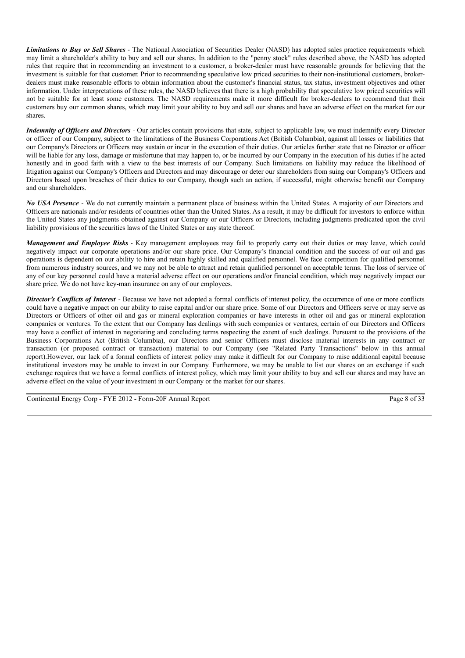*Limitations to Buy or Sell Shares* - The National Association of Securities Dealer (NASD) has adopted sales practice requirements which may limit a shareholder's ability to buy and sell our shares. In addition to the "penny stock" rules described above, the NASD has adopted rules that require that in recommending an investment to a customer, a broker-dealer must have reasonable grounds for believing that the investment is suitable for that customer. Prior to recommending speculative low priced securities to their non-institutional customers, brokerdealers must make reasonable efforts to obtain information about the customer's financial status, tax status, investment objectives and other information. Under interpretations of these rules, the NASD believes that there is a high probability that speculative low priced securities will not be suitable for at least some customers. The NASD requirements make it more difficult for broker-dealers to recommend that their customers buy our common shares, which may limit your ability to buy and sell our shares and have an adverse effect on the market for our shares.

*Indemnity of Of icers and Directors* - Our articles contain provisions that state, subject to applicable law, we must indemnify every Director or officer of our Company, subject to the limitations of the Business Corporations Act (British Columbia), against all losses or liabilities that our Company's Directors or Officers may sustain or incur in the execution of their duties. Our articles further state that no Director or officer will be liable for any loss, damage or misfortune that may happen to, or be incurred by our Company in the execution of his duties if he acted honestly and in good faith with a view to the best interests of our Company. Such limitations on liability may reduce the likelihood of litigation against our Company's Officers and Directors and may discourage or deter our shareholders from suing our Company's Officers and Directors based upon breaches of their duties to our Company, though such an action, if successful, might otherwise benefit our Company and our shareholders.

*No USA Presence* - We do not currently maintain a permanent place of business within the United States. A majority of our Directors and Officers are nationals and/or residents of countries other than the United States. As a result, it may be difficult for investors to enforce within the United States any judgments obtained against our Company or our Officers or Directors, including judgments predicated upon the civil liability provisions of the securities laws of the United States or any state thereof.

*Management and Employee Risks* - Key management employees may fail to properly carry out their duties or may leave, which could negatively impact our corporate operations and/or our share price. Our Company's financial condition and the success of our oil and gas operations is dependent on our ability to hire and retain highly skilled and qualified personnel. We face competition for qualified personnel from numerous industry sources, and we may not be able to attract and retain qualified personnel on acceptable terms. The loss of service of any of our key personnel could have a material adverse effect on our operations and/or financial condition, which may negatively impact our share price. We do not have key-man insurance on any of our employees.

*Director's Conflicts of Interest* - Because we have not adopted a formal conflicts of interest policy, the occurrence of one or more conflicts could have a negative impact on our ability to raise capital and/or our share price. Some of our Directors and Officers serve or may serve as Directors or Officers of other oil and gas or mineral exploration companies or have interests in other oil and gas or mineral exploration companies or ventures. To the extent that our Company has dealings with such companies or ventures, certain of our Directors and Officers may have a conflict of interest in negotiating and concluding terms respecting the extent of such dealings. Pursuant to the provisions of the Business Corporations Act (British Columbia), our Directors and senior Officers must disclose material interests in any contract or transaction (or proposed contract or transaction) material to our Company (see "Related Party Transactions" below in this annual report).However, our lack of a formal conflicts of interest policy may make it difficult for our Company to raise additional capital because institutional investors may be unable to invest in our Company. Furthermore, we may be unable to list our shares on an exchange if such exchange requires that we have a formal conflicts of interest policy, which may limit your ability to buy and sell our shares and may have an adverse effect on the value of your investment in our Company or the market for our shares.

Continental Energy Corp - FYE 2012 - Form-20F Annual Report Page 8 of 33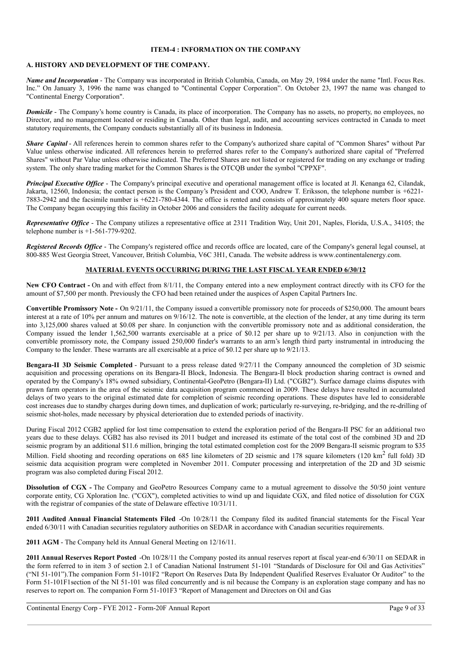## **ITEM-4 : INFORMATION ON THE COMPANY**

#### **A. HISTORY AND DEVELOPMENT OF THE COMPANY.**

*Name and Incorporation* - The Company was incorporated in British Columbia, Canada, on May 29, 1984 under the name "Intl. Focus Res. Inc." On January 3, 1996 the name was changed to "Continental Copper Corporation". On October 23, 1997 the name was changed to "Continental Energy Corporation".

*Domicile* - The Company's home country is Canada, its place of incorporation. The Company has no assets, no property, no employees, no Director, and no management located or residing in Canada. Other than legal, audit, and accounting services contracted in Canada to meet statutory requirements, the Company conducts substantially all of its business in Indonesia.

*Share Capital* - All references herein to common shares refer to the Company's authorized share capital of "Common Shares" without Par Value unless otherwise indicated. All references herein to preferred shares refer to the Company's authorized share capital of "Preferred Shares" without Par Value unless otherwise indicated. The Preferred Shares are not listed or registered for trading on any exchange or trading system. The only share trading market for the Common Shares is the OTCQB under the symbol "CPPXF".

*Principal Executive Office* - The Company's principal executive and operational management office is located at Jl. Kenanga 62, Cilandak, Jakarta, 12560, Indonesia; the contact person is the Company's President and COO, Andrew T. Eriksson, the telephone number is +6221- 7883-2942 and the facsimile number is +6221-780-4344. The office is rented and consists of approximately 400 square meters floor space. The Company began occupying this facility in October 2006 and considers the facility adequate for current needs.

*Representative Office* - The Company utilizes a representative office at 2311 Tradition Way, Unit 201, Naples, Florida, U.S.A., 34105; the telephone number is +1-561-779-9202.

*Registered Records Office* - The Company's registered office and records office are located, care of the Company's general legal counsel, at 800-885 West Georgia Street, Vancouver, British Columbia, V6C 3H1, Canada. The website address is www.continentalenergy.com.

## **MATERIAL EVENTS OCCURRING DURING THE LAST FISCAL YEAR ENDED 6/30/12**

**New CFO Contract -** On and with effect from 8/1/11, the Company entered into a new employment contract directly with its CFO for the amount of \$7,500 per month. Previously the CFO had been retained under the auspices of Aspen Capital Partners Inc.

**Convertible Promissory Note -** On 9/21/11, the Company issued a convertible promissory note for proceeds of \$250,000. The amount bears interest at a rate of 10% per annum and matures on 9/16/12. The note is convertible, at the election of the lender, at any time during its term into 3,125,000 shares valued at \$0.08 per share. In conjunction with the convertible promissory note and as additional consideration, the Company issued the lender 1,562,500 warrants exercisable at a price of \$0.12 per share up to 9/21/13. Also in conjunction with the convertible promissory note, the Company issued 250,000 finder's warrants to an arm's length third party instrumental in introducing the Company to the lender. These warrants are all exercisable at a price of \$0.12 per share up to 9/21/13.

**Bengara-II 3D Seismic Completed** - Pursuant to a press release dated 9/27/11 the Company announced the completion of 3D seismic acquisition and processing operations on its Bengara-II Block, Indonesia. The Bengara-II block production sharing contract is owned and operated by the Company's 18% owned subsidiary, Continental-GeoPetro (Bengara-II) Ltd. ("CGB2"). Surface damage claims disputes with prawn farm operators in the area of the seismic data acquisition program commenced in 2009. These delays have resulted in accumulated delays of two years to the original estimated date for completion of seismic recording operations. These disputes have led to considerable cost increases due to standby charges during down times, and duplication of work; particularly re-surveying, re-bridging, and the re-drilling of seismic shot-holes, made necessary by physical deterioration due to extended periods of inactivity.

During Fiscal 2012 CGB2 applied for lost time compensation to extend the exploration period of the Bengara-II PSC for an additional two years due to these delays. CGB2 has also revised its 2011 budget and increased its estimate of the total cost of the combined 3D and 2D seismic program by an additional \$11.6 million, bringing the total estimated completion cost for the 2009 Bengara-II seismic program to \$35 Million. Field shooting and recording operations on 685 line kilometers of 2D seismic and 178 square kilometers (120 km<sup>2</sup> full fold) 3D seismic data acquisition program were completed in November 2011. Computer processing and interpretation of the 2D and 3D seismic program was also completed during Fiscal 2012.

**Dissolution of CGX -** The Company and GeoPetro Resources Company came to a mutual agreement to dissolve the 50/50 joint venture corporate entity, CG Xploration Inc. ("CGX"), completed activities to wind up and liquidate CGX, and filed notice of dissolution for CGX with the registrar of companies of the state of Delaware effective  $10/31/11$ .

**2011 Audited Annual Financial Statements Filed** -On 10/28/11 the Company filed its audited financial statements for the Fiscal Year ended 6/30/11 with Canadian securities regulatory authorities on SEDAR in accordance with Canadian securities requirements.

**2011 AGM** - The Company held its Annual General Meeting on 12/16/11.

**2011 Annual Reserves Report Posted** -On 10/28/11 the Company posted its annual reserves report at fiscal year-end 6/30/11 on SEDAR in the form referred to in item 3 of section 2.1 of Canadian National Instrument 51-101 "Standards of Disclosure for Oil and Gas Activities" ("NI 51-101").The companion Form 51-101F2 "Report On Reserves Data By Independent Qualified Reserves Evaluator Or Auditor" to the Form 51-101F1section of the NI 51-101 was filed concurrently and is nil because the Company is an exploration stage company and has no reserves to report on. The companion Form 51-101F3 "Report of Management and Directors on Oil and Gas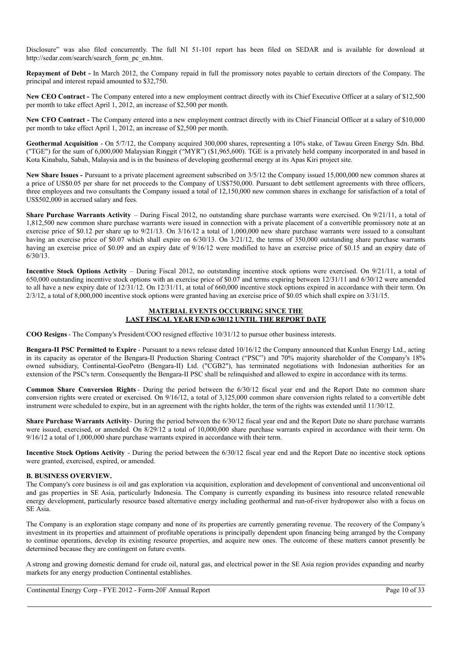Disclosure" was also filed concurrently. The full NI 51-101 report has been filed on SEDAR and is available for download at http://sedar.com/search/search\_form\_pc\_en.htm.

**Repayment of Debt -** In March 2012, the Company repaid in full the promissory notes payable to certain directors of the Company. The principal and interest repaid amounted to \$32,750.

**New CEO Contract -** The Company entered into a new employment contract directly with its Chief Executive Officer at a salary of \$12,500 per month to take effect April 1, 2012, an increase of \$2,500 per month.

**New CFO Contract -** The Company entered into a new employment contract directly with its Chief Financial Officer at a salary of \$10,000 per month to take effect April 1, 2012, an increase of \$2,500 per month.

**Geothermal Acquisition** - On 5/7/12, the Company acquired 300,000 shares, representing a 10% stake, of Tawau Green Energy Sdn. Bhd. ("TGE") for the sum of 6,000,000 Malaysian Ringgit ("MYR") (\$1,965,600). TGE is a privately held company incorporated in and based in Kota Kinabalu, Sabah, Malaysia and is in the business of developing geothermal energy at its Apas Kiri project site.

**New Share Issues -** Pursuant to a private placement agreement subscribed on 3/5/12 the Company issued 15,000,000 new common shares at a price of US\$0.05 per share for net proceeds to the Company of US\$750,000. Pursuant to debt settlement agreements with three officers, three employees and two consultants the Company issued a total of 12,150,000 new common shares in exchange for satisfaction of a total of US\$502,000 in accrued salary and fees.

**Share Purchase Warrants Activity** – During Fiscal 2012, no outstanding share purchase warrants were exercised. On 9/21/11, a total of 1,812,500 new common share purchase warrants were issued in connection with a private placement of a convertible promissory note at an exercise price of \$0.12 per share up to 9/21/13. On 3/16/12 a total of 1,000,000 new share purchase warrants were issued to a consultant having an exercise price of \$0.07 which shall expire on  $6/30/13$ . On  $3/21/12$ , the terms of 350,000 outstanding share purchase warrants having an exercise price of \$0.09 and an expiry date of 9/16/12 were modified to have an exercise price of \$0.15 and an expiry date of 6/30/13.

**Incentive Stock Options Activity** – During Fiscal 2012, no outstanding incentive stock options were exercised. On 9/21/11, a total of 650,000 outstanding incentive stock options with an exercise price of \$0.07 and terms expiring between 12/31/11 and 6/30/12 were amended to all have a new expiry date of 12/31/12. On 12/31/11, at total of 660,000 incentive stock options expired in accordance with their term. On 2/3/12, a total of 8,000,000 incentive stock options were granted having an exercise price of \$0.05 which shall expire on 3/31/15.

#### **MATERIAL EVENTS OCCURRING SINCE THE LAST FISCAL YEAR END 6/30/12 UNTIL THE REPORT DATE**

**COO Resigns** - The Company's President/COO resigned effective 10/31/12 to pursue other business interests.

**Bengara-II PSC Permitted to Expire** - Pursuant to a news release dated 10/16/12 the Company announced that Kunlun Energy Ltd., acting in its capacity as operator of the Bengara-II Production Sharing Contract ("PSC") and 70% majority shareholder of the Company's 18% owned subsidiary, Continental-GeoPetro (Bengara-II) Ltd. ("CGB2"), has terminated negotiations with Indonesian authorities for an extension of the PSC's term. Consequently the Bengara-II PSC shall be relinquished and allowed to expire in accordance with its terms.

**Common Share Conversion Rights** - During the period between the 6/30/12 fiscal year end and the Report Date no common share conversion rights were created or exercised. On 9/16/12, a total of 3,125,000 common share conversion rights related to a convertible debt instrument were scheduled to expire, but in an agreement with the rights holder, the term of the rights was extended until 11/30/12.

**Share Purchase Warrants Activity**- During the period between the 6/30/12 fiscal year end and the Report Date no share purchase warrants were issued, exercised, or amended. On 8/29/12 a total of 10,000,000 share purchase warrants expired in accordance with their term. On 9/16/12 a total of 1,000,000 share purchase warrants expired in accordance with their term.

**Incentive Stock Options Activity** - During the period between the 6/30/12 fiscal year end and the Report Date no incentive stock options were granted, exercised, expired, or amended.

#### **B. BUSINESS OVERVIEW.**

The Company's core business is oil and gas exploration via acquisition, exploration and development of conventional and unconventional oil and gas properties in SE Asia, particularly Indonesia. The Company is currently expanding its business into resource related renewable energy development, particularly resource based alternative energy including geothermal and run-of-river hydropower also with a focus on SE Asia.

The Company is an exploration stage company and none of its properties are currently generating revenue. The recovery of the Company's investment in its properties and attainment of profitable operations is principally dependent upon financing being arranged by the Company to continue operations, develop its existing resource properties, and acquire new ones. The outcome of these matters cannot presently be determined because they are contingent on future events.

A strong and growing domestic demand for crude oil, natural gas, and electrical power in the SE Asia region provides expanding and nearby markets for any energy production Continental establishes.

Continental Energy Corp - FYE 2012 - Form-20F Annual Report Page 10 of 33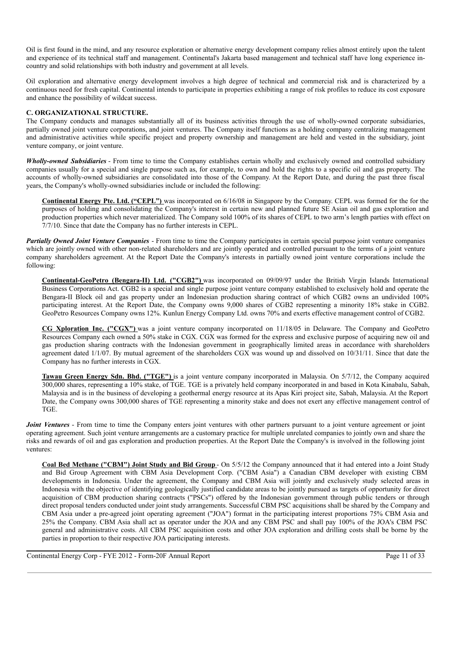Oil is first found in the mind, and any resource exploration or alternative energy development company relies almost entirely upon the talent and experience of its technical staff and management. Continental's Jakarta based management and technical staff have long experience incountry and solid relationships with both industry and government at all levels.

Oil exploration and alternative energy development involves a high degree of technical and commercial risk and is characterized by a continuous need for fresh capital. Continental intends to participate in properties exhibiting a range of risk profiles to reduce its cost exposure and enhance the possibility of wildcat success.

### **C. ORGANIZATIONAL STRUCTURE.**

The Company conducts and manages substantially all of its business activities through the use of wholly-owned corporate subsidiaries, partially owned joint venture corporations, and joint ventures. The Company itself functions as a holding company centralizing management and administrative activities while specific project and property ownership and management are held and vested in the subsidiary, joint venture company, or joint venture.

*Wholly-owned Subsidiaries* - From time to time the Company establishes certain wholly and exclusively owned and controlled subsidiary companies usually for a special and single purpose such as, for example, to own and hold the rights to a specific oil and gas property. The accounts of wholly-owned subsidiaries are consolidated into those of the Company. At the Report Date, and during the past three fiscal years, the Company's wholly-owned subsidiaries include or included the following:

**Continental Energy Pte. Ltd. ("CEPL")** was incorporated on 6/16/08 in Singapore by the Company. CEPL was formed for the for the purposes of holding and consolidating the Company's interest in certain new and planned future SE Asian oil and gas exploration and production properties which never materialized. The Company sold 100% of its shares of CEPL to two arm's length parties with effect on 7/7/10. Since that date the Company has no further interests in CEPL.

*Partially Owned Joint Venture Companies* - From time to time the Company participates in certain special purpose joint venture companies which are jointly owned with other non-related shareholders and are jointly operated and controlled pursuant to the terms of a joint venture company shareholders agreement. At the Report Date the Company's interests in partially owned joint venture corporations include the following:

**Continental-GeoPetro (Bengara-II) Ltd. ("CGB2")** was incorporated on 09/09/97 under the British Virgin Islands International Business Corporations Act. CGB2 is a special and single purpose joint venture company established to exclusively hold and operate the Bengara-II Block oil and gas property under an Indonesian production sharing contract of which CGB2 owns an undivided 100% participating interest. At the Report Date, the Company owns 9,000 shares of CGB2 representing a minority 18% stake in CGB2. GeoPetro Resources Company owns 12%. Kunlun Energy Company Ltd. owns 70% and exerts effective management control of CGB2.

**CG Xploration Inc. ("CGX")** was a joint venture company incorporated on 11/18/05 in Delaware. The Company and GeoPetro Resources Company each owned a 50% stake in CGX. CGX was formed for the express and exclusive purpose of acquiring new oil and gas production sharing contracts with the Indonesian government in geographically limited areas in accordance with shareholders agreement dated 1/1/07. By mutual agreement of the shareholders CGX was wound up and dissolved on 10/31/11. Since that date the Company has no further interests in CGX.

**Tawau Green Energy Sdn. Bhd. ("TGE")** is a joint venture company incorporated in Malaysia. On 5/7/12, the Company acquired 300,000 shares, representing a 10% stake, of TGE. TGE is a privately held company incorporated in and based in Kota Kinabalu, Sabah, Malaysia and is in the business of developing a geothermal energy resource at its Apas Kiri project site, Sabah, Malaysia. At the Report Date, the Company owns 300,000 shares of TGE representing a minority stake and does not exert any effective management control of TGE.

*Joint Ventures* - From time to time the Company enters joint ventures with other partners pursuant to a joint venture agreement or joint operating agreement. Such joint venture arrangements are a customary practice for multiple unrelated companies to jointly own and share the risks and rewards of oil and gas exploration and production properties. At the Report Date the Company's is involved in the following joint ventures:

**Coal Bed Methane ("CBM") Joint Study and Bid Group** - On 5/5/12 the Company announced that it had entered into a Joint Study and Bid Group Agreement with CBM Asia Development Corp. ("CBM Asia") a Canadian CBM developer with existing CBM developments in Indonesia. Under the agreement, the Company and CBM Asia will jointly and exclusively study selected areas in Indonesia with the objective of identifying geologically justified candidate areas to be jointly pursued as targets of opportunity for direct acquisition of CBM production sharing contracts ("PSCs") offered by the Indonesian government through public tenders or through direct proposal tenders conducted under joint study arrangements. Successful CBM PSC acquisitions shall be shared by the Company and CBM Asia under a pre-agreed joint operating agreement ("JOA") format in the participating interest proportions 75% CBM Asia and 25% the Company. CBM Asia shall act as operator under the JOA and any CBM PSC and shall pay 100% of the JOA's CBM PSC general and administrative costs. All CBM PSC acquisition costs and other JOA exploration and drilling costs shall be borne by the parties in proportion to their respective JOA participating interests.

Continental Energy Corp - FYE 2012 - Form-20F Annual Report Page 11 of 33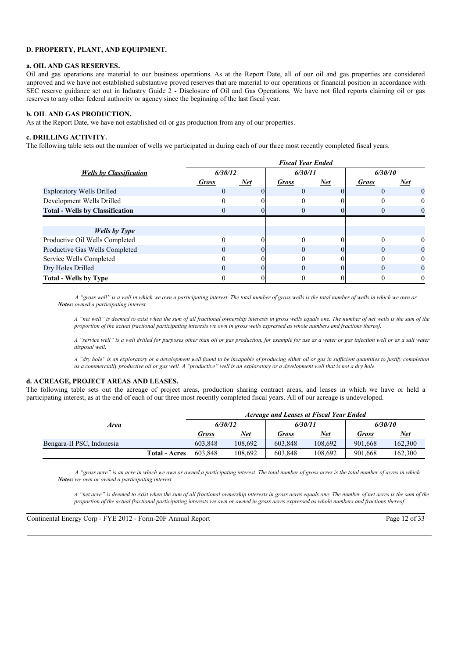#### **D. PROPERTY, PLANT, AND EQUIPMENT.**

#### **a. OIL AND GAS RESERVES.**

Oil and gas operations are material to our business operations. As at the Report Date, all of our oil and gas properties are considered unproved and we have not established substantive proved reserves that are material to our operations or financial position in accordance with SEC reserve guidance set out in Industry Guide 2 - Disclosure of Oil and Gas Operations. We have not filed reports claiming oil or gas reserves to any other federal authority or agency since the beginning of the last fiscal year.

#### **b. OIL AND GAS PRODUCTION.**

As at the Report Date, we have not established oil or gas production from any of our properties.

#### **c. DRILLING ACTIVITY.**

The following table sets out the number of wells we participated in during each of our three most recently completed fiscal years.

|                                        | <b>Fiscal Year Ended</b> |     |              |            |              |            |  |
|----------------------------------------|--------------------------|-----|--------------|------------|--------------|------------|--|
| <b>Wells by Classification</b>         | 6/30/12                  |     | 6/30/11      |            | 6/30/10      |            |  |
|                                        | <b>Gross</b>             | Net | <b>Gross</b> | <b>Net</b> | <b>Gross</b> | <b>Net</b> |  |
| <b>Exploratory Wells Drilled</b>       | 0                        |     | $\Omega$     |            | $\Omega$     | $\theta$   |  |
| Development Wells Drilled              |                          |     |              |            |              |            |  |
| <b>Total - Wells by Classification</b> |                          |     |              |            | $\theta$     |            |  |
|                                        |                          |     |              |            |              |            |  |
| <b>Wells</b> by Type                   |                          |     |              |            |              |            |  |
| Productive Oil Wells Completed         |                          |     |              |            |              |            |  |
| Productive Gas Wells Completed         | 0                        |     | $\Omega$     |            | $\Omega$     | $\theta$   |  |
| Service Wells Completed                |                          |     |              |            |              | $\Omega$   |  |
| Dry Holes Drilled                      | $_{0}$                   |     | $\Omega$     |            | $\Omega$     | $\Omega$   |  |
| <b>Total - Wells by Type</b>           |                          |     |              |            |              |            |  |

*Notes: owned a participating interest.* A "gross well" is a well in which we own a participating interest. The total number of gross wells is the total number of wells in which we own or

A "net well" is deemed to exist when the sum of all fractional ownership interests in gross wells equals one. The number of net wells is the sum of the proportion of the actual fractional participating interests we own in gross wells expressed as whole numbers and fractions thereof.

A "service well" is a well drilled for purposes other than oil or gas production, for example for use as a water or gas injection well or as a salt water *disposal well.*

A "dry hole" is an exploratory or a development well found to be incapable of producing either oil or gas in sufficient quantities to justify completion as a commercially productive oil or gas well. A "productive" well is an exploratory or a development well that is not a dry hole.

#### **d. ACREAGE, PROJECT AREAS AND LEASES.**

The following table sets out the acreage of project areas, production sharing contract areas, and leases in which we have or held a participating interest, as at the end of each of our three most recently completed fiscal years. All of our acreage is undeveloped.

|                           |                      | <b>Acreage and Leases at Fiscal Year Ended</b> |         |         |         |         |            |  |
|---------------------------|----------------------|------------------------------------------------|---------|---------|---------|---------|------------|--|
| <u>Area</u>               |                      | 6/30/12                                        |         | 6/30/11 |         | 6/30/10 |            |  |
|                           |                      | <b>Gross</b>                                   | Net     | Gross   | Net     | Gross   | <b>Net</b> |  |
| Bengara-II PSC, Indonesia |                      | 603.848                                        | 108,692 | 603.848 | 108,692 | 901,668 | 162,300    |  |
|                           | <b>Total - Acres</b> | 603.848                                        | 108,692 | 603.848 | 108,692 | 901,668 | 162,300    |  |

*Notes: we own or owned a participating interest.* A "gross acre" is an acre in which we own or owned a participating interest. The total number of gross acres is the total number of acres in which

A "net acre" is deemed to exist when the sum of all fractional ownership interests in gross acres equals one. The number of net acres is the sum of the proportion of the actual fractional participating interests we own or owned in gross acres expressed as whole numbers and fractions thereof.

Continental Energy Corp - FYE 2012 - Form-20F Annual Report Page 12 of 33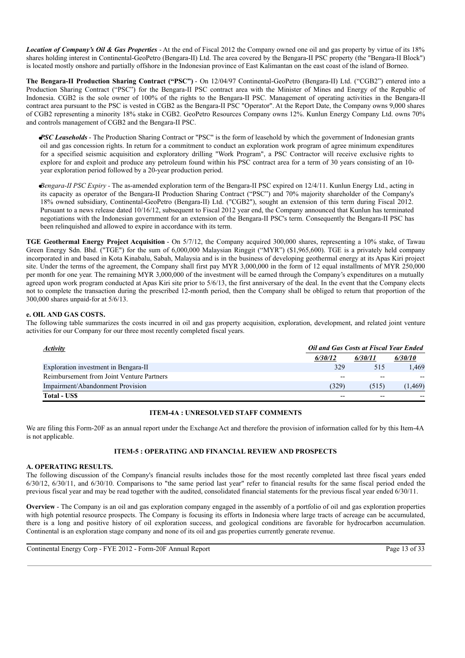*Location of Company's Oil & Gas Properties* - At the end of Fiscal 2012 the Company owned one oil and gas property by virtue of its 18% shares holding interest in Continental-GeoPetro (Bengara-II) Ltd. The area covered by the Bengara-II PSC property (the "Bengara-II Block") is located mostly onshore and partially offshore in the Indonesian province of East Kalimantan on the east coast of the island of Borneo.

**The Bengara-II Production Sharing Contract ("PSC")** - On 12/04/97 Continental-GeoPetro (Bengara-II) Ltd. ("CGB2") entered into a Production Sharing Contract ("PSC") for the Bengara-II PSC contract area with the Minister of Mines and Energy of the Republic of Indonesia. CGB2 is the sole owner of 100% of the rights to the Bengara-II PSC. Management of operating activities in the Bengara-II contract area pursuant to the PSC is vested in CGB2 as the Bengara-II PSC "Operator". At the Report Date, the Company owns 9,000 shares of CGB2 representing a minority 18% stake in CGB2. GeoPetro Resources Company owns 12%. Kunlun Energy Company Ltd. owns 70% and controls management of CGB2 and the Bengara-II PSC.

*PSC Leaseholds* - The Production Sharing Contract or "PSC" is the form of leasehold by which the government of Indonesian grants oil and gas concession rights. In return for a commitment to conduct an exploration work program of agree minimum expenditures for a specified seismic acquisition and exploratory drilling "Work Program", a PSC Contractor will receive exclusive rights to explore for and exploit and produce any petroleum found within his PSC contract area for a term of 30 years consisting of an 10 year exploration period followed by a 20-year production period.

*Bengara-II PSC Expiry -* The as-amended exploration term of the Bengara-II PSC expired on 12/4/11. Kunlun Energy Ltd., acting in its capacity as operator of the Bengara-II Production Sharing Contract ("PSC") and 70% majority shareholder of the Company's 18% owned subsidiary, Continental-GeoPetro (Bengara-II) Ltd. ("CGB2"), sought an extension of this term during Fiscal 2012. Pursuant to a news release dated 10/16/12, subsequent to Fiscal 2012 year end, the Company announced that Kunlun has terminated negotiations with the Indonesian government for an extension of the Bengara-II PSC's term. Consequently the Bengara-II PSC has been relinquished and allowed to expire in accordance with its term.

**TGE Geothermal Energy Project Acquisition** - On 5/7/12, the Company acquired 300,000 shares, representing a 10% stake, of Tawau Green Energy Sdn. Bhd. ("TGE") for the sum of 6,000,000 Malaysian Ringgit ("MYR") (\$1,965,600). TGE is a privately held company incorporated in and based in Kota Kinabalu, Sabah, Malaysia and is in the business of developing geothermal energy at its Apas Kiri project site. Under the terms of the agreement, the Company shall first pay MYR 3,000,000 in the form of 12 equal installments of MYR 250,000 per month for one year. The remaining MYR 3,000,000 of the investment will be earned through the Company's expenditures on a mutually agreed upon work program conducted at Apas Kiri site prior to 5/6/13, the first anniversary of the deal. In the event that the Company elects not to complete the transaction during the prescribed 12-month period, then the Company shall be obliged to return that proportion of the 300,000 shares unpaid-for at 5/6/13.

#### **e. OIL AND GAS COSTS.**

The following table summarizes the costs incurred in oil and gas property acquisition, exploration, development, and related joint venture activities for our Company for our three most recently completed fiscal years.

| <b>Activity</b>                           | Oil and Gas Costs at Fiscal Year Ended |         |          |
|-------------------------------------------|----------------------------------------|---------|----------|
|                                           | 6/30/12                                | 6/30/11 | 6/30/10  |
| Exploration investment in Bengara-II      | 329                                    | 515     | .469     |
| Reimbursement from Joint Venture Partners | $- -$                                  | $- -$   |          |
| Impairment/Abandonment Provision          | (329)                                  | (515)   | (1, 469) |
| <b>Total - USS</b>                        |                                        |         |          |

#### **ITEM-4A : UNRESOLVED STAFF COMMENTS**

We are filing this Form-20F as an annual report under the Exchange Act and therefore the provision of information called for by this Item-4A is not applicable.

#### **ITEM-5 : OPERATING AND FINANCIAL REVIEW AND PROSPECTS**

#### **A. OPERATING RESULTS.**

The following discussion of the Company's financial results includes those for the most recently completed last three fiscal years ended 6/30/12, 6/30/11, and 6/30/10. Comparisons to "the same period last year" refer to financial results for the same fiscal period ended the previous fiscal year and may be read together with the audited, consolidated financial statements for the previous fiscal year ended 6/30/11.

**Overview** - The Company is an oil and gas exploration company engaged in the assembly of a portfolio of oil and gas exploration properties with high potential resource prospects. The Company is focusing its efforts in Indonesia where large tracts of acreage can be accumulated, there is a long and positive history of oil exploration success, and geological conditions are favorable for hydrocarbon accumulation. Continental is an exploration stage company and none of its oil and gas properties currently generate revenue.

Continental Energy Corp - FYE 2012 - Form-20F Annual Report Page 13 of 33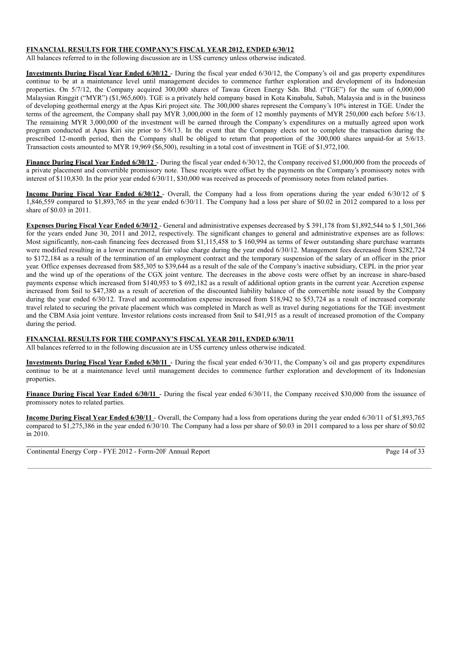## **FINANCIAL RESULTS FOR THE COMPANY'S FISCAL YEAR 2012, ENDED 6/30/12**

All balances referred to in the following discussion are in US\$ currency unless otherwise indicated.

**Investments During Fiscal Year Ended 6/30/12** - During the fiscal year ended 6/30/12, the Company's oil and gas property expenditures continue to be at a maintenance level until management decides to commence further exploration and development of its Indonesian properties. On 5/7/12, the Company acquired 300,000 shares of Tawau Green Energy Sdn. Bhd. ("TGE") for the sum of 6,000,000 Malaysian Ringgit ("MYR") (\$1,965,600). TGE is a privately held company based in Kota Kinabalu, Sabah, Malaysia and is in the business of developing geothermal energy at the Apas Kiri project site. The 300,000 shares represent the Company's 10% interest in TGE. Under the terms of the agreement, the Company shall pay MYR 3,000,000 in the form of 12 monthly payments of MYR 250,000 each before 5/6/13. The remaining MYR 3,000,000 of the investment will be earned through the Company's expenditures on a mutually agreed upon work program conducted at Apas Kiri site prior to 5/6/13. In the event that the Company elects not to complete the transaction during the prescribed 12-month period, then the Company shall be obliged to return that proportion of the 300,000 shares unpaid-for at 5/6/13. Transaction costs amounted to MYR 19,969 (\$6,500), resulting in a total cost of investment in TGE of \$1,972,100.

**Finance During Fiscal Year Ended 6/30/12** - During the fiscal year ended 6/30/12, the Company received \$1,000,000 from the proceeds of a private placement and convertible promissory note. These receipts were offset by the payments on the Company's promissory notes with interest of \$110,830. In the prior year ended 6/30/11, \$30,000 was received as proceeds of promissory notes from related parties.

**Income During Fiscal Year Ended 6/30/12** - Overall, the Company had a loss from operations during the year ended 6/30/12 of \$ 1,846,559 compared to \$1,893,765 in the year ended 6/30/11. The Company had a loss per share of \$0.02 in 2012 compared to a loss per share of \$0.03 in 2011.

**Expenses During Fiscal Year Ended 6/30/12** - General and administrative expenses decreased by \$ 391,178 from \$1,892,544 to \$ 1,501,366 for the years ended June 30, 2011 and 2012, respectively. The significant changes to general and administrative expenses are as follows: Most significantly, non-cash financing fees decreased from \$1,115,458 to \$ 160,994 as terms of fewer outstanding share purchase warrants were modified resulting in a lower incremental fair value charge during the year ended 6/30/12. Management fees decreased from \$282,724 to \$172,184 as a result of the termination of an employment contract and the temporary suspension of the salary of an officer in the prior year. Office expenses decreased from \$85,305 to \$39,644 as a result of the sale of the Company's inactive subsidiary, CEPL in the prior year and the wind up of the operations of the CGX joint venture. The decreases in the above costs were offset by an increase in share-based payments expense which increased from \$140,953 to \$ 692,182 as a result of additional option grants in the current year. Accretion expense increased from \$nil to \$47,380 as a result of accretion of the discounted liability balance of the convertible note issued by the Company during the year ended 6/30/12. Travel and accommodation expense increased from \$18,942 to \$53,724 as a result of increased corporate travel related to securing the private placement which was completed in March as well as travel during negotiations for the TGE investment and the CBM Asia joint venture. Investor relations costs increased from \$nil to \$41,915 as a result of increased promotion of the Company during the period.

#### **FINANCIAL RESULTS FOR THE COMPANY'S FISCAL YEAR 2011, ENDED 6/30/11**

All balances referred to in the following discussion are in US\$ currency unless otherwise indicated.

**Investments During Fiscal Year Ended 6/30/11** - During the fiscal year ended 6/30/11, the Company's oil and gas property expenditures continue to be at a maintenance level until management decides to commence further exploration and development of its Indonesian properties.

**Finance During Fiscal Year Ended 6/30/11** - During the fiscal year ended 6/30/11, the Company received \$30,000 from the issuance of promissory notes to related parties.

**Income During Fiscal Year Ended 6/30/11** - Overall, the Company had a loss from operations during the year ended 6/30/11 of \$1,893,765 compared to \$1,275,386 in the year ended 6/30/10. The Company had a loss per share of \$0.03 in 2011 compared to a loss per share of \$0.02 in 2010.

Continental Energy Corp - FYE 2012 - Form-20F Annual Report Page 14 of 33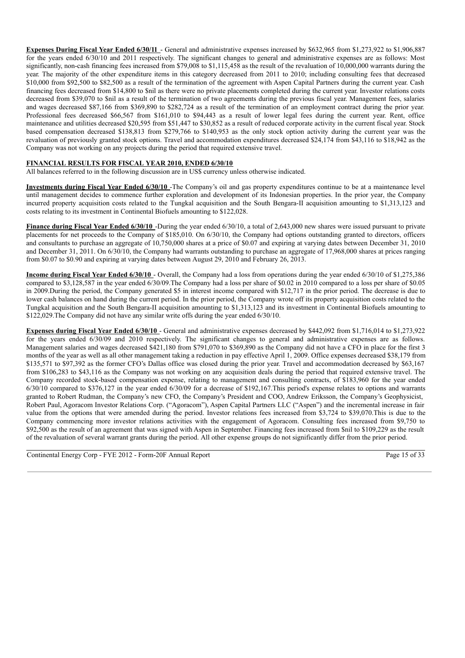**Expenses During Fiscal Year Ended 6/30/11** - General and administrative expenses increased by \$632,965 from \$1,273,922 to \$1,906,887 for the years ended 6/30/10 and 2011 respectively. The significant changes to general and administrative expenses are as follows: Most significantly, non-cash financing fees increased from \$79,008 to \$1,115,458 as the result of the revaluation of 10,000,000 warrants during the year. The majority of the other expenditure items in this category decreased from 2011 to 2010; including consulting fees that decreased \$10,000 from \$92,500 to \$82,500 as a result of the termination of the agreement with Aspen Capital Partners during the current year. Cash financing fees decreased from \$14,800 to \$nil as there were no private placements completed during the current year. Investor relations costs decreased from \$39,070 to \$nil as a result of the termination of two agreements during the previous fiscal year. Management fees, salaries and wages decreased \$87,166 from \$369,890 to \$282,724 as a result of the termination of an employment contract during the prior year. Professional fees decreased \$66,567 from \$161,010 to \$94,443 as a result of lower legal fees during the current year. Rent, office maintenance and utilities decreased \$20,595 from \$51,447 to \$30,852 as a result of reduced corporate activity in the current fiscal year. Stock based compensation decreased \$138,813 from \$279,766 to \$140,953 as the only stock option activity during the current year was the revaluation of previously granted stock options. Travel and accommodation expenditures decreased \$24,174 from \$43,116 to \$18,942 as the Company was not working on any projects during the period that required extensive travel.

#### **FINANCIAL RESULTS FOR FISCAL YEAR 2010, ENDED 6/30/10**

All balances referred to in the following discussion are in US\$ currency unless otherwise indicated.

**Investments during Fiscal Year Ended 6/30/10** -The Company's oil and gas property expenditures continue to be at a maintenance level until management decides to commence further exploration and development of its Indonesian properties. In the prior year, the Company incurred property acquisition costs related to the Tungkal acquisition and the South Bengara-II acquisition amounting to \$1,313,123 and costs relating to its investment in Continental Biofuels amounting to \$122,028.

**Finance during Fiscal Year Ended 6/30/10** -During the year ended 6/30/10, a total of 2,643,000 new shares were issued pursuant to private placements for net proceeds to the Company of \$185,010. On 6/30/10, the Company had options outstanding granted to directors, officers and consultants to purchase an aggregate of 10,750,000 shares at a price of \$0.07 and expiring at varying dates between December 31, 2010 and December 31, 2011. On 6/30/10, the Company had warrants outstanding to purchase an aggregate of 17,968,000 shares at prices ranging from \$0.07 to \$0.90 and expiring at varying dates between August 29, 2010 and February 26, 2013.

**Income during Fiscal Year Ended 6/30/10** - Overall, the Company had a loss from operations during the year ended 6/30/10 of \$1,275,386 compared to \$3,128,587 in the year ended 6/30/09.The Company had a loss per share of \$0.02 in 2010 compared to a loss per share of \$0.05 in 2009.During the period, the Company generated \$5 in interest income compared with \$12,717 in the prior period. The decrease is due to lower cash balances on hand during the current period. In the prior period, the Company wrote off its property acquisition costs related to the Tungkal acquisition and the South Bengara-II acquisition amounting to \$1,313,123 and its investment in Continental Biofuels amounting to \$122,029.The Company did not have any similar write offs during the year ended 6/30/10.

**Expenses during Fiscal Year Ended 6/30/10** - General and administrative expenses decreased by \$442,092 from \$1,716,014 to \$1,273,922 for the years ended 6/30/09 and 2010 respectively. The significant changes to general and administrative expenses are as follows. Management salaries and wages decreased \$421,180 from \$791,070 to \$369,890 as the Company did not have a CFO in place for the first 3 months of the year as well as all other management taking a reduction in pay effective April 1, 2009. Office expenses decreased \$38,179 from \$135,571 to \$97,392 as the former CFO's Dallas office was closed during the prior year. Travel and accommodation decreased by \$63,167 from \$106,283 to \$43,116 as the Company was not working on any acquisition deals during the period that required extensive travel. The Company recorded stock-based compensation expense, relating to management and consulting contracts, of \$183,960 for the year ended 6/30/10 compared to \$376,127 in the year ended 6/30/09 for a decrease of \$192,167.This period's expense relates to options and warrants granted to Robert Rudman, the Company's new CFO, the Company's President and COO, Andrew Eriksson, the Company's Geophysicist, Robert Paul, Agoracom Investor Relations Corp. ("Agoracom"), Aspen Capital Partners LLC ("Aspen") and the incremental increase in fair value from the options that were amended during the period. Investor relations fees increased from \$3,724 to \$39,070.This is due to the Company commencing more investor relations activities with the engagement of Agoracom. Consulting fees increased from \$9,750 to \$92,500 as the result of an agreement that was signed with Aspen in September. Financing fees increased from \$nil to \$109,229 as the result of the revaluation of several warrant grants during the period. All other expense groups do not significantly differ from the prior period.

Continental Energy Corp - FYE 2012 - Form-20F Annual Report Page 15 of 33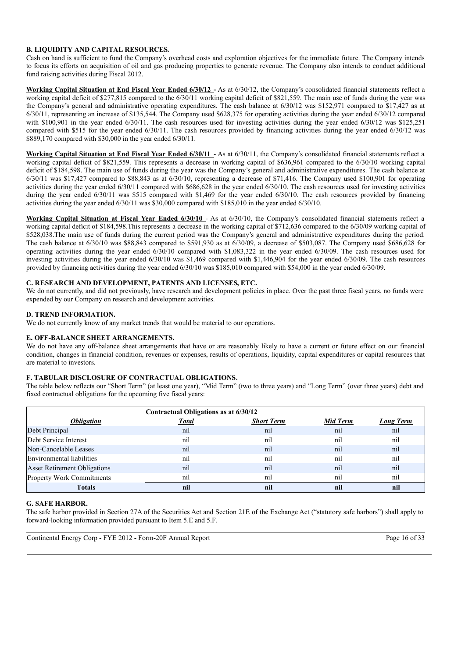## **B. LIQUIDITY AND CAPITAL RESOURCES.**

Cash on hand is sufficient to fund the Company's overhead costs and exploration objectives for the immediate future. The Company intends to focus its efforts on acquisition of oil and gas producing properties to generate revenue. The Company also intends to conduct additional fund raising activities during Fiscal 2012.

**Working Capital Situation at End Fiscal Year Ended 6/30/12 -** As at 6/30/12, the Company's consolidated financial statements reflect a working capital deficit of \$277,815 compared to the 6/30/11 working capital deficit of \$821,559. The main use of funds during the year was the Company's general and administrative operating expenditures. The cash balance at 6/30/12 was \$152,971 compared to \$17,427 as at 6/30/11, representing an increase of \$135,544. The Company used \$628,375 for operating activities during the year ended 6/30/12 compared with \$100,901 in the year ended 6/30/11. The cash resources used for investing activities during the year ended 6/30/12 was \$125,251 compared with \$515 for the year ended 6/30/11. The cash resources provided by financing activities during the year ended 6/30/12 was \$889,170 compared with \$30,000 in the year ended 6/30/11.

**Working Capital Situation at End Fiscal Year Ended 6/30/11** - As at 6/30/11, the Company's consolidated financial statements reflect a working capital deficit of \$821,559. This represents a decrease in working capital of \$636,961 compared to the 6/30/10 working capital deficit of \$184,598. The main use of funds during the year was the Company's general and administrative expenditures. The cash balance at 6/30/11 was \$17,427 compared to \$88,843 as at 6/30/10, representing a decrease of \$71,416. The Company used \$100,901 for operating activities during the year ended 6/30/11 compared with \$686,628 in the year ended 6/30/10. The cash resources used for investing activities during the year ended 6/30/11 was \$515 compared with \$1,469 for the year ended 6/30/10. The cash resources provided by financing activities during the year ended 6/30/11 was \$30,000 compared with \$185,010 in the year ended 6/30/10.

**Working Capital Situation at Fiscal Year Ended 6/30/10** - As at 6/30/10, the Company's consolidated financial statements reflect a working capital deficit of \$184,598.This represents a decrease in the working capital of \$712,636 compared to the 6/30/09 working capital of \$528,038.The main use of funds during the current period was the Company's general and administrative expenditures during the period. The cash balance at 6/30/10 was \$88,843 compared to \$591,930 as at 6/30/09, a decrease of \$503,087. The Company used \$686,628 for operating activities during the year ended 6/30/10 compared with \$1,083,322 in the year ended 6/30/09. The cash resources used for investing activities during the year ended 6/30/10 was \$1,469 compared with \$1,446,904 for the year ended 6/30/09. The cash resources provided by financing activities during the year ended 6/30/10 was \$185,010 compared with \$54,000 in the year ended 6/30/09.

### **C. RESEARCH AND DEVELOPMENT, PATENTS AND LICENSES, ETC.**

We do not currently, and did not previously, have research and development policies in place. Over the past three fiscal years, no funds were expended by our Company on research and development activities.

#### **D. TREND INFORMATION.**

We do not currently know of any market trends that would be material to our operations.

#### **E. OFF-BALANCE SHEET ARRANGEMENTS.**

We do not have any off-balance sheet arrangements that have or are reasonably likely to have a current or future effect on our financial condition, changes in financial condition, revenues or expenses, results of operations, liquidity, capital expenditures or capital resources that are material to investors.

#### **F. TABULAR DISCLOSURE OF CONTRACTUAL OBLIGATIONS.**

The table below reflects our "Short Term" (at least one year), "Mid Term" (two to three years) and "Long Term" (over three years) debt and fixed contractual obligations for the upcoming five fiscal years:

| Contractual Obligations as at 6/30/12 |              |                   |          |                  |  |  |  |  |
|---------------------------------------|--------------|-------------------|----------|------------------|--|--|--|--|
| <i><b>Obligation</b></i>              | <b>Total</b> | <b>Short Term</b> | Mid Term | <b>Long Term</b> |  |  |  |  |
| Debt Principal                        | nil          | nil               | nil      | nil              |  |  |  |  |
| Debt Service Interest                 | nil          | nil               | nil      | nil              |  |  |  |  |
| Non-Cancelable Leases                 | nil          | nil               | nil      | nil              |  |  |  |  |
| Environmental liabilities             | nil          | nil               | nil      | nil              |  |  |  |  |
| <b>Asset Retirement Obligations</b>   | nil          | nil               | nil      | nil              |  |  |  |  |
| <b>Property Work Commitments</b>      | nil          | nil               | nil      | nil              |  |  |  |  |
| <b>Totals</b>                         | nil          | nil               | nil      | nil              |  |  |  |  |

#### **G. SAFE HARBOR.**

The safe harbor provided in Section 27A of the Securities Act and Section 21E of the Exchange Act ("statutory safe harbors") shall apply to forward-looking information provided pursuant to Item 5.E and 5.F.

Continental Energy Corp - FYE 2012 - Form-20F Annual Report Page 16 of 33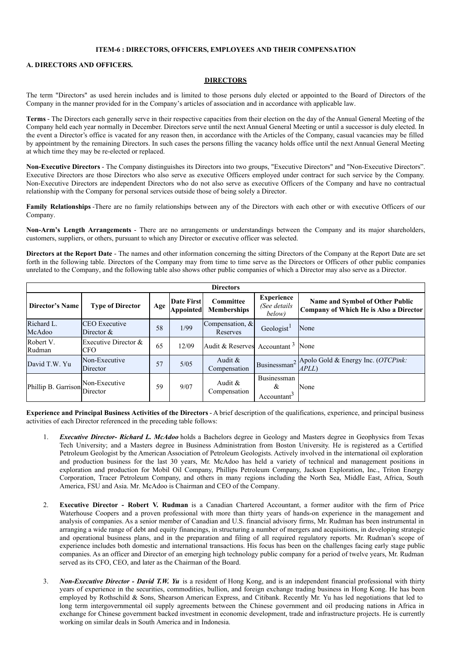#### **ITEM-6 : DIRECTORS, OFFICERS, EMPLOYEES AND THEIR COMPENSATION**

## **A. DIRECTORS AND OFFICERS.**

#### **DIRECTORS**

The term "Directors" as used herein includes and is limited to those persons duly elected or appointed to the Board of Directors of the Company in the manner provided for in the Company's articles of association and in accordance with applicable law.

**Terms** - The Directors each generally serve in their respective capacities from their election on the day of the Annual General Meeting of the Company held each year normally in December. Directors serve until the next Annual General Meeting or until a successor is duly elected. In the event a Director's office is vacated for any reason then, in accordance with the Articles of the Company, casual vacancies may be filled by appointment by the remaining Directors. In such cases the persons filling the vacancy holds office until the next Annual General Meeting at which time they may be re-elected or replaced.

**Non-Executive Directors** - The Company distinguishes its Directors into two groups, "Executive Directors" and "Non-Executive Directors". Executive Directors are those Directors who also serve as executive Officers employed under contract for such service by the Company. Non-Executive Directors are independent Directors who do not also serve as executive Officers of the Company and have no contractual relationship with the Company for personal services outside those of being solely a Director.

**Family Relationships** -There are no family relationships between any of the Directors with each other or with executive Officers of our Company.

**Non-Arm's Length Arrangements** - There are no arrangements or understandings between the Company and its major shareholders, customers, suppliers, or others, pursuant to which any Director or executive officer was selected.

**Directors at the Report Date** - The names and other information concerning the sitting Directors of the Company at the Report Date are set forth in the following table. Directors of the Company may from time to time serve as the Directors or Officers of other public companies unrelated to the Company, and the following table also shows other public companies of which a Director may also serve as a Director.

|                      | <b>Directors</b>                     |     |                         |                                               |                                             |                                                                           |  |  |  |  |
|----------------------|--------------------------------------|-----|-------------------------|-----------------------------------------------|---------------------------------------------|---------------------------------------------------------------------------|--|--|--|--|
| Director's Name      | <b>Type of Director</b>              | Age | Date First<br>Appointed | Committee<br><b>Memberships</b>               | <b>Experience</b><br>(See details<br>below) | Name and Symbol of Other Public<br>Company of Which He is Also a Director |  |  |  |  |
| Richard L.<br>McAdoo | <b>CEO</b> Executive<br>Director $&$ | 58  | 1/99                    | Compensation, &<br>Reserves                   | Geologist <sup>1</sup>                      | None                                                                      |  |  |  |  |
| Robert V.<br>Rudman  | Executive Director &<br><b>CFO</b>   | 65  | 12/09                   | Audit & Reserves Accountant <sup>3</sup> None |                                             |                                                                           |  |  |  |  |
| David T.W. Yu        | Non-Executive<br>Director            | 57  | 5/05                    | Audit $\&$<br>Compensation                    | Businessman                                 | 2 Apolo Gold & Energy Inc. (OTCPink:<br>APLL                              |  |  |  |  |
| Phillip B. Garrison  | Non-Executive<br>Director            | 59  | 9/07                    | Audit $\&$<br>Compensation                    | Businessman<br>&<br>Accountant              | None                                                                      |  |  |  |  |

**Experience and Principal Business Activities of the Directors** - A brief description of the qualifications, experience, and principal business activities of each Director referenced in the preceding table follows:

- 1. *Executive Director- Richard L. McAdoo* holds a Bachelors degree in Geology and Masters degree in Geophysics from Texas Tech University; and a Masters degree in Business Administration from Boston University. He is registered as a Certified Petroleum Geologist by the American Association of Petroleum Geologists. Actively involved in the international oil exploration and production business for the last 30 years, Mr. McAdoo has held a variety of technical and management positions in exploration and production for Mobil Oil Company, Phillips Petroleum Company, Jackson Exploration, Inc., Triton Energy Corporation, Tracer Petroleum Company, and others in many regions including the North Sea, Middle East, Africa, South America, FSU and Asia. Mr. McAdoo is Chairman and CEO of the Company.
- 2. **Executive Director - Robert V. Rudman** is a Canadian Chartered Accountant, a former auditor with the firm of Price Waterhouse Coopers and a proven professional with more than thirty years of hands-on experience in the management and analysis of companies. As a senior member of Canadian and U.S. financial advisory firms, Mr. Rudman has been instrumental in arranging a wide range of debt and equity financings, in structuring a number of mergers and acquisitions, in developing strategic and operational business plans, and in the preparation and filing of all required regulatory reports. Mr. Rudman's scope of experience includes both domestic and international transactions. His focus has been on the challenges facing early stage public companies. As an officer and Director of an emerging high technology public company for a period of twelve years, Mr. Rudman served as its CFO, CEO, and later as the Chairman of the Board.
- 3. *Non-Executive Director - David T.W. Yu* is a resident of Hong Kong, and is an independent financial professional with thirty years of experience in the securities, commodities, bullion, and foreign exchange trading business in Hong Kong. He has been employed by Rothschild & Sons, Shearson American Express, and Citibank. Recently Mr. Yu has led negotiations that led to long term intergovernmental oil supply agreements between the Chinese government and oil producing nations in Africa in exchange for Chinese government backed investment in economic development, trade and infrastructure projects. He is currently working on similar deals in South America and in Indonesia.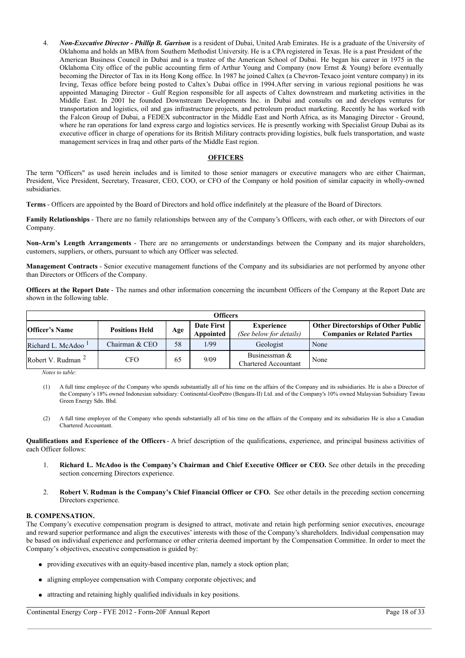4. *Non-Executive Director - Phillip B. Garrison* is a resident of Dubai, United Arab Emirates. He is a graduate of the University of Oklahoma and holds an MBA from Southern Methodist University. He is a CPA registered in Texas. He is a past President of the American Business Council in Dubai and is a trustee of the American School of Dubai. He began his career in 1975 in the Oklahoma City office of the public accounting firm of Arthur Young and Company (now Ernst & Young) before eventually becoming the Director of Tax in its Hong Kong office. In 1987 he joined Caltex (a Chevron-Texaco joint venture company) in its Irving, Texas office before being posted to Caltex's Dubai office in 1994.After serving in various regional positions he was appointed Managing Director - Gulf Region responsible for all aspects of Caltex downstream and marketing activities in the Middle East. In 2001 he founded Downstream Developments Inc. in Dubai and consults on and develops ventures for transportation and logistics, oil and gas infrastructure projects, and petroleum product marketing. Recently he has worked with the Falcon Group of Dubai, a FEDEX subcontractor in the Middle East and North Africa, as its Managing Director - Ground, where he ran operations for land express cargo and logistics services. He is presently working with Specialist Group Dubai as its executive officer in charge of operations for its British Military contracts providing logistics, bulk fuels transportation, and waste management services in Iraq and other parts of the Middle East region.

## **OFFICERS**

The term "Officers" as used herein includes and is limited to those senior managers or executive managers who are either Chairman, President, Vice President, Secretary, Treasurer, CEO, COO, or CFO of the Company or hold position of similar capacity in wholly-owned subsidiaries.

**Terms** - Officers are appointed by the Board of Directors and hold office indefinitely at the pleasure of the Board of Directors.

**Family Relationships** - There are no family relationships between any of the Company's Officers, with each other, or with Directors of our Company.

**Non-Arm's Length Arrangements** - There are no arrangements or understandings between the Company and its major shareholders, customers, suppliers, or others, pursuant to which any Officer was selected.

**Management Contracts** - Senior executive management functions of the Company and its subsidiaries are not performed by anyone other than Directors or Officers of the Company.

**Officers at the Report Date** - The names and other information concerning the incumbent Officers of the Company at the Report Date are shown in the following table.

| <b>Officers</b>                |                       |     |                                |                                              |                                                                                   |  |  |  |
|--------------------------------|-----------------------|-----|--------------------------------|----------------------------------------------|-----------------------------------------------------------------------------------|--|--|--|
| <b>Officer's Name</b>          | <b>Positions Held</b> | Age | <b>Date First</b><br>Appointed | <b>Experience</b><br>(See below for details) | <b>Other Directorships of Other Public</b><br><b>Companies or Related Parties</b> |  |  |  |
| Richard L. McAdoo <sup>1</sup> | Chairman & CEO        | 58  | 1/99                           | Geologist                                    | None                                                                              |  |  |  |
| Robert V. Rudman <sup>2</sup>  | CFO                   | 65  | 9/09                           | Businessman &<br>Chartered Accountant        | None                                                                              |  |  |  |

*Notes to table:*

(1) A full time employee of the Company who spends substantially all of his time on the affairs of the Company and its subsidiaries. He is also a Director of the Company's 18% owned Indonesian subsidiary: Continental-GeoPetro (Bengara-II) Ltd. and of the Company's 10% owned Malaysian Subsidiary Tawau Green Energy Sdn. Bhd.

(2) A full time employee of the Company who spends substantially all of his time on the affairs of the Company and its subsidiaries He is also a Canadian Chartered Accountant.

**Qualifications and Experience of the Officers** - A brief description of the qualifications, experience, and principal business activities of each Officer follows:

- 1. **Richard L. McAdoo is the Company's Chairman and Chief Executive Officer or CEO.** See other details in the preceding section concerning Directors experience.
- 2. **Robert V. Rudman is the Company's Chief Financial Officer or CFO.** See other details in the preceding section concerning Directors experience.

#### **B. COMPENSATION.**

The Company's executive compensation program is designed to attract, motivate and retain high performing senior executives, encourage and reward superior performance and align the executives' interests with those of the Company's shareholders. Individual compensation may be based on individual experience and performance or other criteria deemed important by the Compensation Committee. In order to meet the Company's objectives, executive compensation is guided by:

- providing executives with an equity-based incentive plan, namely a stock option plan;
- aligning employee compensation with Company corporate objectives; and
- attracting and retaining highly qualified individuals in key positions.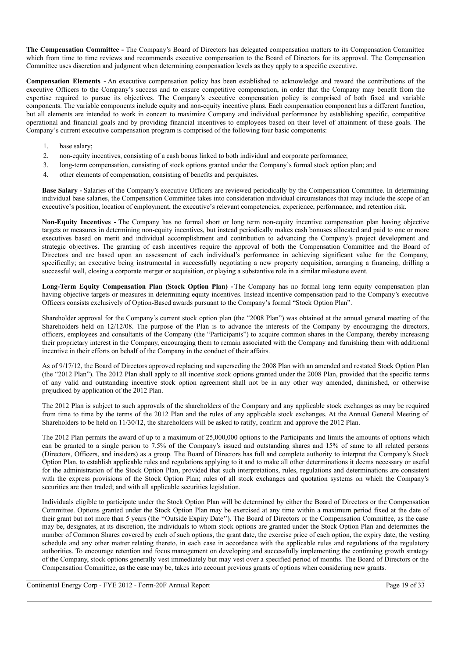**The Compensation Committee -** The Company's Board of Directors has delegated compensation matters to its Compensation Committee which from time to time reviews and recommends executive compensation to the Board of Directors for its approval. The Compensation Committee uses discretion and judgment when determining compensation levels as they apply to a specific executive.

**Compensation Elements -** An executive compensation policy has been established to acknowledge and reward the contributions of the executive Officers to the Company's success and to ensure competitive compensation, in order that the Company may benefit from the expertise required to pursue its objectives. The Company's executive compensation policy is comprised of both fixed and variable components. The variable components include equity and non-equity incentive plans. Each compensation component has a different function, but all elements are intended to work in concert to maximize Company and individual performance by establishing specific, competitive operational and financial goals and by providing financial incentives to employees based on their level of attainment of these goals. The Company's current executive compensation program is comprised of the following four basic components:

- 1. base salary;
- 2. non-equity incentives, consisting of a cash bonus linked to both individual and corporate performance;
- 3. long-term compensation, consisting of stock options granted under the Company's formal stock option plan; and
- 4. other elements of compensation, consisting of benefits and perquisites.

**Base Salary -** Salaries of the Company's executive Officers are reviewed periodically by the Compensation Committee. In determining individual base salaries, the Compensation Committee takes into consideration individual circumstances that may include the scope of an executive's position, location of employment, the executive's relevant competencies, experience, performance, and retention risk.

**Non-Equity Incentives -** The Company has no formal short or long term non-equity incentive compensation plan having objective targets or measures in determining non-equity incentives, but instead periodically makes cash bonuses allocated and paid to one or more executives based on merit and individual accomplishment and contribution to advancing the Company's project development and strategic objectives. The granting of cash incentives require the approval of both the Compensation Committee and the Board of Directors and are based upon an assessment of each individual's performance in achieving significant value for the Company, specifically; an executive being instrumental in successfully negotiating a new property acquisition, arranging a financing, drilling a successful well, closing a corporate merger or acquisition, or playing a substantive role in a similar milestone event.

**Long-Term Equity Compensation Plan (Stock Option Plan) -** The Company has no formal long term equity compensation plan having objective targets or measures in determining equity incentives. Instead incentive compensation paid to the Company's executive Officers consists exclusively of Option-Based awards pursuant to the Company's formal "Stock Option Plan".

Shareholder approval for the Company's current stock option plan (the "2008 Plan") was obtained at the annual general meeting of the Shareholders held on 12/12/08. The purpose of the Plan is to advance the interests of the Company by encouraging the directors, officers, employees and consultants of the Company (the "Participants") to acquire common shares in the Company, thereby increasing their proprietary interest in the Company, encouraging them to remain associated with the Company and furnishing them with additional incentive in their efforts on behalf of the Company in the conduct of their affairs.

As of 9/17/12, the Board of Directors approved replacing and superseding the 2008 Plan with an amended and restated Stock Option Plan (the "2012 Plan"). The 2012 Plan shall apply to all incentive stock options granted under the 2008 Plan, provided that the specific terms of any valid and outstanding incentive stock option agreement shall not be in any other way amended, diminished, or otherwise prejudiced by application of the 2012 Plan.

The 2012 Plan is subject to such approvals of the shareholders of the Company and any applicable stock exchanges as may be required from time to time by the terms of the 2012 Plan and the rules of any applicable stock exchanges. At the Annual General Meeting of Shareholders to be held on 11/30/12, the shareholders will be asked to ratify, confirm and approve the 2012 Plan.

The 2012 Plan permits the award of up to a maximum of 25,000,000 options to the Participants and limits the amounts of options which can be granted to a single person to 7.5% of the Company's issued and outstanding shares and 15% of same to all related persons (Directors, Officers, and insiders) as a group. The Board of Directors has full and complete authority to interpret the Company's Stock Option Plan, to establish applicable rules and regulations applying to it and to make all other determinations it deems necessary or useful for the administration of the Stock Option Plan, provided that such interpretations, rules, regulations and determinations are consistent with the express provisions of the Stock Option Plan; rules of all stock exchanges and quotation systems on which the Company's securities are then traded; and with all applicable securities legislation.

Individuals eligible to participate under the Stock Option Plan will be determined by either the Board of Directors or the Compensation Committee. Options granted under the Stock Option Plan may be exercised at any time within a maximum period fixed at the date of their grant but not more than 5 years (the ''Outside Expiry Date''). The Board of Directors or the Compensation Committee, as the case may be, designates, at its discretion, the individuals to whom stock options are granted under the Stock Option Plan and determines the number of Common Shares covered by each of such options, the grant date, the exercise price of each option, the expiry date, the vesting schedule and any other matter relating thereto, in each case in accordance with the applicable rules and regulations of the regulatory authorities. To encourage retention and focus management on developing and successfully implementing the continuing growth strategy of the Company, stock options generally vest immediately but may vest over a specified period of months. The Board of Directors or the Compensation Committee, as the case may be, takes into account previous grants of options when considering new grants.

Continental Energy Corp - FYE 2012 - Form-20F Annual Report Page 19 of 33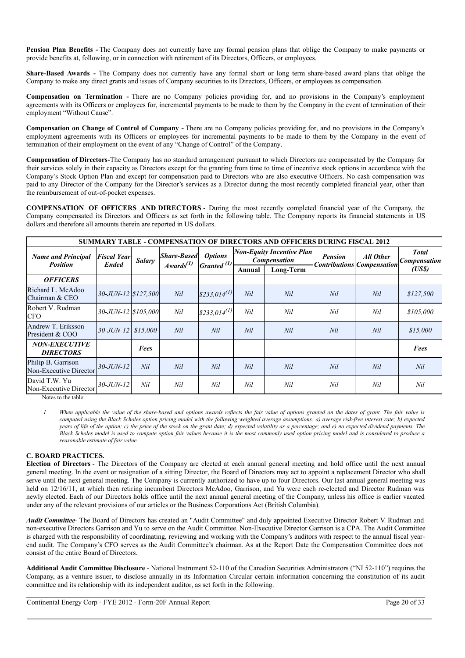**Pension Plan Benefits -** The Company does not currently have any formal pension plans that oblige the Company to make payments or provide benefits at, following, or in connection with retirement of its Directors, Officers, or employees.

**Share-Based Awards -** The Company does not currently have any formal short or long term share-based award plans that oblige the Company to make any direct grants and issues of Company securities to its Directors, Officers, or employees as compensation.

**Compensation on Termination -** There are no Company policies providing for, and no provisions in the Company's employment agreements with its Officers or employees for, incremental payments to be made to them by the Company in the event of termination of their employment "Without Cause".

**Compensation on Change of Control of Company -** There are no Company policies providing for, and no provisions in the Company's employment agreements with its Officers or employees for incremental payments to be made to them by the Company in the event of termination of their employment on the event of any "Change of Control" of the Company.

**Compensation of Directors**-The Company has no standard arrangement pursuant to which Directors are compensated by the Company for their services solely in their capacity as Directors except for the granting from time to time of incentive stock options in accordance with the Company's Stock Option Plan and except for compensation paid to Directors who are also executive Officers. No cash compensation was paid to any Director of the Company for the Director's services as a Director during the most recently completed financial year, other than the reimbursement of out-of-pocket expenses.

**COMPENSATION OF OFFICERS AND DIRECTORS** - During the most recently completed financial year of the Company, the Company compensated its Directors and Officers as set forth in the following table. The Company reports its financial statements in US dollars and therefore all amounts therein are reported in US dollars.

| SUMMARY TABLE - COMPENSATION OF DIRECTORS AND OFFICERS DURING FISCAL 2012 |                                    |               |                    |                                          |                                                         |           |                |                                   |                                     |  |
|---------------------------------------------------------------------------|------------------------------------|---------------|--------------------|------------------------------------------|---------------------------------------------------------|-----------|----------------|-----------------------------------|-------------------------------------|--|
| <b>Name and Principal</b>                                                 | <b>Fiscal Year</b><br><b>Ended</b> | <b>Salary</b> | <b>Share-Based</b> | <b>Options</b><br>Granted <sup>(1)</sup> | <b>Non-Equity Incentive Plan</b><br><b>Compensation</b> |           | <b>Pension</b> | All Other                         | <b>Total</b><br><b>Compensation</b> |  |
| <b>Position</b>                                                           |                                    |               | $A$ wards $^{(1)}$ |                                          | Annual                                                  | Long-Term |                | <b>Contributions Compensation</b> | (USS)                               |  |
| <b>OFFICERS</b>                                                           |                                    |               |                    |                                          |                                                         |           |                |                                   |                                     |  |
| Richard L. McAdoo<br>Chairman & CEO                                       | 30-JUN-12 \$127,500                |               | Nil                | $$233,014^{(1)}$$                        | Nil                                                     | Nil       | Nil            | Nil                               | \$127,500                           |  |
| Robert V. Rudman<br><b>CFO</b>                                            | 30-JUN-12 \$105,000                |               | Nil                | $$233.014^{(1)}$$                        | Nil                                                     | Nil       | Nil            | Nil                               | \$105,000                           |  |
| Andrew T. Eriksson<br>President & COO                                     | $30$ -JUN-12 $$15,000$             |               | Nil                | Nil                                      | Nil                                                     | Nil       | Nil            | Nil                               | \$15,000                            |  |
| <b>NON-EXECUTIVE</b><br><b>DIRECTORS</b>                                  |                                    | Fees          |                    |                                          |                                                         |           |                |                                   | Fees                                |  |
| Philip B. Garrison<br>Non-Executive Director                              | $30 - H/N - 12$                    | Nil           | Nil.               | Nil                                      | Nil                                                     | Nil       | Nil.           | Nil                               | Nil                                 |  |
| David T.W. Yu<br>Non-Executive Director                                   | $30 - JUN - 12$                    | Nil           | Nil                | Nil                                      | Nil                                                     | Nil       | Nil            | Nil                               | Nil                                 |  |

Notes to the table:

When applicable the value of the share-based and options awards reflects the fair value of options granted on the dates of grant. The fair value is computed using the Black Scholes option pricing model with the following weighted average assumptions: a) average risk-free interest rate; b) expected years of life of the option; c) the price of the stock on the grant date; d) expected volatility as a percentage; and e) no expected dividend payments. The Black Scholes model is used to compute option fair values because it is the most commonly used option pricing model and is considered to produce a *reasonable estimate of fair value.*

#### **C. BOARD PRACTICES.**

**Election of Directors** - The Directors of the Company are elected at each annual general meeting and hold office until the next annual general meeting. In the event or resignation of a sitting Director, the Board of Directors may act to appoint a replacement Director who shall serve until the next general meeting. The Company is currently authorized to have up to four Directors. Our last annual general meeting was held on 12/16/11, at which then retiring incumbent Directors McAdoo, Garrison, and Yu were each re-elected and Director Rudman was newly elected. Each of our Directors holds office until the next annual general meeting of the Company, unless his office is earlier vacated under any of the relevant provisions of our articles or the Business Corporations Act (British Columbia).

*Audit Committee*- The Board of Directors has created an "Audit Committee" and duly appointed Executive Director Robert V. Rudman and non-executive Directors Garrison and Yu to serve on the Audit Committee. Non-Executive Director Garrison is a CPA. The Audit Committee is charged with the responsibility of coordinating, reviewing and working with the Company's auditors with respect to the annual fiscal yearend audit. The Company's CFO serves as the Audit Committee's chairman. As at the Report Date the Compensation Committee does not consist of the entire Board of Directors.

**Additional Audit Committee Disclosure** - National Instrument 52-110 of the Canadian Securities Administrators ("NI 52-110") requires the Company, as a venture issuer, to disclose annually in its Information Circular certain information concerning the constitution of its audit committee and its relationship with its independent auditor, as set forth in the following.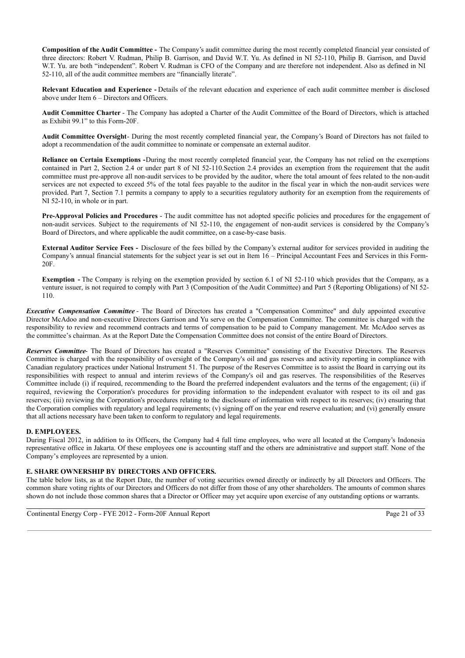**Composition of the Audit Committee -** The Company's audit committee during the most recently completed financial year consisted of three directors: Robert V. Rudman, Philip B. Garrison, and David W.T. Yu. As defined in NI 52-110, Philip B. Garrison, and David W.T. Yu. are both "independent". Robert V. Rudman is CFO of the Company and are therefore not independent. Also as defined in NI 52-110, all of the audit committee members are "financially literate".

**Relevant Education and Experience -** Details of the relevant education and experience of each audit committee member is disclosed above under Item 6 – Directors and Officers.

**Audit Committee Charter** - The Company has adopted a Charter of the Audit Committee of the Board of Directors, which is attached as Exhibit 99.1" to this Form-20F.

**Audit Committee Oversight**- During the most recently completed financial year, the Company's Board of Directors has not failed to adopt a recommendation of the audit committee to nominate or compensate an external auditor.

**Reliance on Certain Exemptions -**During the most recently completed financial year, the Company has not relied on the exemptions contained in Part 2, Section 2.4 or under part 8 of NI 52-110.Section 2.4 provides an exemption from the requirement that the audit committee must pre-approve all non-audit services to be provided by the auditor, where the total amount of fees related to the non-audit services are not expected to exceed 5% of the total fees payable to the auditor in the fiscal year in which the non-audit services were provided. Part 7, Section 7.1 permits a company to apply to a securities regulatory authority for an exemption from the requirements of NI 52-110, in whole or in part.

**Pre-Approval Policies and Procedures** - The audit committee has not adopted specific policies and procedures for the engagement of non-audit services. Subject to the requirements of NI 52-110, the engagement of non-audit services is considered by the Company's Board of Directors, and where applicable the audit committee, on a case-by-case basis.

**External Auditor Service Fees -** Disclosure of the fees billed by the Company's external auditor for services provided in auditing the Company's annual financial statements for the subject year is set out in Item 16 – Principal Accountant Fees and Services in this Form-20F.

**Exemption** - The Company is relying on the exemption provided by section 6.1 of NI 52-110 which provides that the Company, as a venture issuer, is not required to comply with Part 3 (Composition of the Audit Committee) and Part 5 (Reporting Obligations) of NI 52- 110.

*Executive Compensation Committee* - The Board of Directors has created a "Compensation Committee" and duly appointed executive Director McAdoo and non-executive Directors Garrison and Yu serve on the Compensation Committee. The committee is charged with the responsibility to review and recommend contracts and terms of compensation to be paid to Company management. Mr. McAdoo serves as the committee's chairman. As at the Report Date the Compensation Committee does not consist of the entire Board of Directors.

*Reserves Committee*- The Board of Directors has created a "Reserves Committee" consisting of the Executive Directors. The Reserves Committee is charged with the responsibility of oversight of the Company's oil and gas reserves and activity reporting in compliance with Canadian regulatory practices under National Instrument 51. The purpose of the Reserves Committee is to assist the Board in carrying out its responsibilities with respect to annual and interim reviews of the Company's oil and gas reserves. The responsibilities of the Reserves Committee include (i) if required, recommending to the Board the preferred independent evaluators and the terms of the engagement; (ii) if required, reviewing the Corporation's procedures for providing information to the independent evaluator with respect to its oil and gas reserves; (iii) reviewing the Corporation's procedures relating to the disclosure of information with respect to its reserves; (iv) ensuring that the Corporation complies with regulatory and legal requirements; (v) signing off on the year end reserve evaluation; and (vi) generally ensure that all actions necessary have been taken to conform to regulatory and legal requirements.

#### **D. EMPLOYEES.**

During Fiscal 2012, in addition to its Officers, the Company had 4 full time employees, who were all located at the Company's Indonesia representative office in Jakarta. Of these employees one is accounting staff and the others are administrative and support staff. None of the Company's employees are represented by a union.

#### **E. SHARE OWNERSHIP BY DIRECTORS AND OFFICERS.**

The table below lists, as at the Report Date, the number of voting securities owned directly or indirectly by all Directors and Officers. The common share voting rights of our Directors and Officers do not differ from those of any other shareholders. The amounts of common shares shown do not include those common shares that a Director or Officer may yet acquire upon exercise of any outstanding options or warrants.

Continental Energy Corp - FYE 2012 - Form-20F Annual Report Page 21 of 33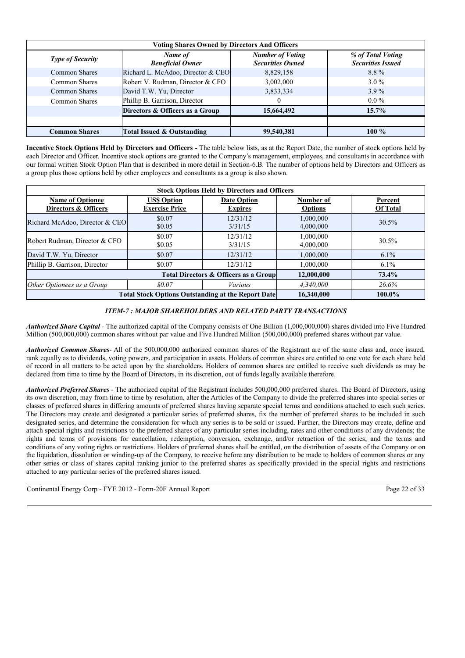|                         | <b>Voting Shares Owned by Directors And Officers</b> |                                                    |                                               |  |  |  |  |  |  |  |
|-------------------------|------------------------------------------------------|----------------------------------------------------|-----------------------------------------------|--|--|--|--|--|--|--|
| <b>Type of Security</b> | Name of<br><b>Beneficial Owner</b>                   | <b>Number of Voting</b><br><b>Securities Owned</b> | % of Total Voting<br><b>Securities Issued</b> |  |  |  |  |  |  |  |
| Common Shares           | Richard L. McAdoo, Director & CEO                    | 8,829,158                                          | $8.8\%$                                       |  |  |  |  |  |  |  |
| Common Shares           | Robert V. Rudman, Director & CFO                     | 3,002,000                                          | $3.0\%$                                       |  |  |  |  |  |  |  |
| Common Shares           | David T.W. Yu, Director                              | 3,833,334                                          | $3.9\%$                                       |  |  |  |  |  |  |  |
| Common Shares           | Phillip B. Garrison, Director                        |                                                    | $0.0\%$                                       |  |  |  |  |  |  |  |
|                         | Directors & Officers as a Group                      | 15,664,492                                         | $15.7\%$                                      |  |  |  |  |  |  |  |
|                         |                                                      |                                                    |                                               |  |  |  |  |  |  |  |
| <b>Common Shares</b>    | Total Issued & Outstanding                           | 99,540,381                                         | $100 \%$                                      |  |  |  |  |  |  |  |

**Incentive Stock Options Held by Directors and Officers** - The table below lists, as at the Report Date, the number of stock options held by each Director and Officer. Incentive stock options are granted to the Company's management, employees, and consultants in accordance with our formal written Stock Option Plan that is described in more detail in Section-6.B. The number of options held by Directors and Officers as a group plus those options held by other employees and consultants as a group is also shown.

| <b>Stock Options Held by Directors and Officers</b>        |                                                           |                                      |                             |                            |  |  |  |  |  |
|------------------------------------------------------------|-----------------------------------------------------------|--------------------------------------|-----------------------------|----------------------------|--|--|--|--|--|
| <b>Name of Optionee</b><br><b>Directors &amp; Officers</b> | <b>USS Option</b><br><b>Exercise Price</b>                | <b>Date Option</b><br><b>Expires</b> | Number of<br><b>Options</b> | Percent<br><b>Of Total</b> |  |  |  |  |  |
| Richard McAdoo, Director & CEO                             | \$0.07<br>\$0.05                                          | 12/31/12<br>3/31/15                  | 1,000,000<br>4,000,000      | $30.5\%$                   |  |  |  |  |  |
| Robert Rudman, Director & CFO                              | \$0.07<br>\$0.05                                          | 12/31/12<br>3/31/15                  | 1,000,000<br>4,000,000      | $30.5\%$                   |  |  |  |  |  |
| David T.W. Yu, Director                                    | \$0.07                                                    | 12/31/12                             | 1,000,000                   | $6.1\%$                    |  |  |  |  |  |
| Phillip B. Garrison, Director                              | \$0.07                                                    | 12/31/12                             | 1,000,000                   | $6.1\%$                    |  |  |  |  |  |
|                                                            | 12,000,000<br>Total Directors & Officers as a Group       | $73.4\%$                             |                             |                            |  |  |  |  |  |
| Other Optionees as a Group                                 | \$0.07                                                    | Various                              | 4,340,000                   | $26.6\%$                   |  |  |  |  |  |
|                                                            | <b>Total Stock Options Outstanding at the Report Date</b> | 16,340,000                           | 100.0%                      |                            |  |  |  |  |  |

## *ITEM-7 : MAJOR SHAREHOLDERS AND RELATED PARTY TRANSACTIONS*

*Authorized Share Capital* - The authorized capital of the Company consists of One Billion (1,000,000,000) shares divided into Five Hundred Million (500,000,000) common shares without par value and Five Hundred Million (500,000,000) preferred shares without par value.

*Authorized Common Shares*- All of the 500,000,000 authorized common shares of the Registrant are of the same class and, once issued, rank equally as to dividends, voting powers, and participation in assets. Holders of common shares are entitled to one vote for each share held of record in all matters to be acted upon by the shareholders. Holders of common shares are entitled to receive such dividends as may be declared from time to time by the Board of Directors, in its discretion, out of funds legally available therefore.

*Authorized Preferred Shares* - The authorized capital of the Registrant includes 500,000,000 preferred shares. The Board of Directors, using its own discretion, may from time to time by resolution, alter the Articles of the Company to divide the preferred shares into special series or classes of preferred shares in differing amounts of preferred shares having separate special terms and conditions attached to each such series. The Directors may create and designated a particular series of preferred shares, fix the number of preferred shares to be included in such designated series, and determine the consideration for which any series is to be sold or issued. Further, the Directors may create, define and attach special rights and restrictions to the preferred shares of any particular series including, rates and other conditions of any dividends; the rights and terms of provisions for cancellation, redemption, conversion, exchange, and/or retraction of the series; and the terms and conditions of any voting rights or restrictions. Holders of preferred shares shall be entitled, on the distribution of assets of the Company or on the liquidation, dissolution or winding-up of the Company, to receive before any distribution to be made to holders of common shares or any other series or class of shares capital ranking junior to the preferred shares as specifically provided in the special rights and restrictions attached to any particular series of the preferred shares issued.

Continental Energy Corp - FYE 2012 - Form-20F Annual Report Page 22 of 33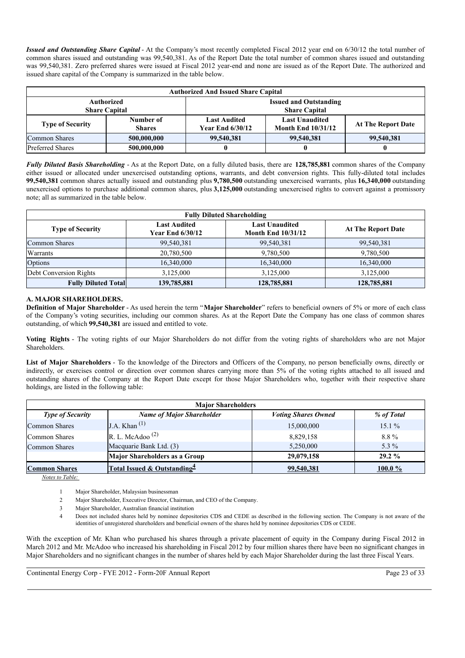*Issued and Outstanding Share Capital* - At the Company's most recently completed Fiscal 2012 year end on 6/30/12 the total number of common shares issued and outstanding was 99,540,381. As of the Report Date the total number of common shares issued and outstanding was 99,540,381. Zero preferred shares were issued at Fiscal 2012 year-end and none are issued as of the Report Date. The authorized and issued share capital of the Company is summarized in the table below.

| <b>Authorized And Issued Share Capital</b> |                                    |                                                                                                      |            |                           |  |
|--------------------------------------------|------------------------------------|------------------------------------------------------------------------------------------------------|------------|---------------------------|--|
|                                            | Authorized<br><b>Share Capital</b> | <b>Issued and Outstanding</b><br><b>Share Capital</b>                                                |            |                           |  |
| <b>Type of Security</b>                    | Number of<br><b>Shares</b>         | <b>Last Audited</b><br><b>Last Unaudited</b><br><b>Month End 10/31/12</b><br><b>Year End 6/30/12</b> |            | <b>At The Report Date</b> |  |
| <b>Common Shares</b>                       | 500,000,000                        | 99,540,381                                                                                           | 99,540,381 | 99,540,381                |  |
| <b>Preferred Shares</b>                    | 500,000,000                        |                                                                                                      | 0          |                           |  |

*Fully Diluted Basis Shareholding* - As at the Report Date, on a fully diluted basis, there are **128,785,881** common shares of the Company either issued or allocated under unexercised outstanding options, warrants, and debt conversion rights. This fully-diluted total includes **99,540,381** common shares actually issued and outstanding plus **9,780,500** outstanding unexercised warrants, plus **16,340,000** outstanding unexercised options to purchase additional common shares, plus **3,125,000** outstanding unexercised rights to convert against a promissory note; all as summarized in the table below.

| <b>Fully Diluted Shareholding</b> |                                                |                                                    |                           |  |  |  |
|-----------------------------------|------------------------------------------------|----------------------------------------------------|---------------------------|--|--|--|
| <b>Type of Security</b>           | <b>Last Audited</b><br><b>Year End 6/30/12</b> | <b>Last Unaudited</b><br><b>Month End 10/31/12</b> | <b>At The Report Date</b> |  |  |  |
| <b>Common Shares</b>              | 99,540,381                                     | 99,540,381                                         | 99,540,381                |  |  |  |
| Warrants                          | 20,780,500                                     | 9,780,500                                          | 9,780,500                 |  |  |  |
| Options                           | 16,340,000                                     | 16,340,000                                         | 16,340,000                |  |  |  |
| Debt Conversion Rights            | 3,125,000                                      | 3,125,000                                          | 3,125,000                 |  |  |  |
| <b>Fully Diluted Total</b>        | 139,785,881                                    | 128,785,881                                        | 128,785,881               |  |  |  |

### **A. MAJOR SHAREHOLDERS.**

**Definition of Major Shareholder** - As used herein the term "**Major Shareholder**" refers to beneficial owners of 5% or more of each class of the Company's voting securities, including our common shares. As at the Report Date the Company has one class of common shares outstanding, of which **99,540,381** are issued and entitled to vote.

**Voting Rights** - The voting rights of our Major Shareholders do not differ from the voting rights of shareholders who are not Major Shareholders.

**List of Major Shareholders** - To the knowledge of the Directors and Officers of the Company, no person beneficially owns, directly or indirectly, or exercises control or direction over common shares carrying more than 5% of the voting rights attached to all issued and outstanding shares of the Company at the Report Date except for those Major Shareholders who, together with their respective share holdings, are listed in the following table:

| <b>Major Shareholders</b> |                                         |                            |            |  |  |  |
|---------------------------|-----------------------------------------|----------------------------|------------|--|--|--|
| <b>Type of Security</b>   | <b>Name of Major Shareholder</b>        | <b>Voting Shares Owned</b> | % of Total |  |  |  |
| <b>Common Shares</b>      | $J.A.$ Khan <sup><math>(1)</math></sup> | 15,000,000                 | $15.1\%$   |  |  |  |
| Common Shares             | R. L. McAdoo $^{(2)}$                   | 8,829,158                  | 8.8%       |  |  |  |
| Common Shares             | Macquarie Bank Ltd. (3)                 | 5,250,000                  | 5.3 $\%$   |  |  |  |
|                           | Major Shareholders as a Group           | 29,079,158                 | $29.2\%$   |  |  |  |
| <b>Common Shares</b>      | Total Issued & Outstanding <sup>4</sup> | 99,540,381                 | $100.0 \%$ |  |  |  |

*Notes to Table:*

- 1 Major Shareholder, Malaysian businessman
- 2 Major Shareholder, Executive Director, Chairman, and CEO of the Company.
- 3 Major Shareholder, Australian financial institution
- 4 Does not included shares held by nominee depositories CDS and CEDE as described in the following section. The Company is not aware of the identities of unregistered shareholders and beneficial owners of the shares held by nominee depositories CDS or CEDE.

With the exception of Mr. Khan who purchased his shares through a private placement of equity in the Company during Fiscal 2012 in March 2012 and Mr. McAdoo who increased his shareholding in Fiscal 2012 by four million shares there have been no significant changes in Major Shareholders and no significant changes in the number of shares held by each Major Shareholder during the last three Fiscal Years.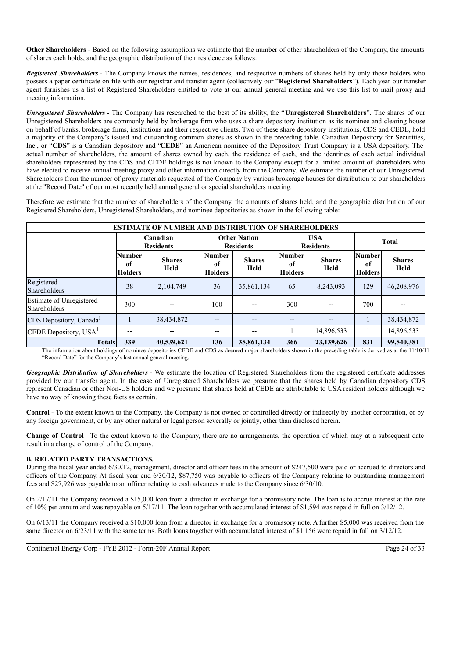**Other Shareholders -** Based on the following assumptions we estimate that the number of other shareholders of the Company, the amounts of shares each holds, and the geographic distribution of their residence as follows:

*Registered Shareholders* - The Company knows the names, residences, and respective numbers of shares held by only those holders who possess a paper certificate on file with our registrar and transfer agent (collectively our "**Registered Shareholders**"). Each year our transfer agent furnishes us a list of Registered Shareholders entitled to vote at our annual general meeting and we use this list to mail proxy and meeting information.

*Unregistered Shareholders* - The Company has researched to the best of its ability, the "**Unregistered Shareholders**". The shares of our Unregistered Shareholders are commonly held by brokerage firm who uses a share depository institution as its nominee and clearing house on behalf of banks, brokerage firms, institutions and their respective clients. Two of these share depository institutions, CDS and CEDE, hold a majority of the Company's issued and outstanding common shares as shown in the preceding table. Canadian Depository for Securities, Inc., or "**CDS**" is a Canadian depository and "**CEDE**" an American nominee of the Depository Trust Company is a USA depository. The actual number of shareholders, the amount of shares owned by each, the residence of each, and the identities of each actual individual shareholders represented by the CDS and CEDE holdings is not known to the Company except for a limited amount of shareholders who have elected to receive annual meeting proxy and other information directly from the Company. We estimate the number of our Unregistered Shareholders from the number of proxy materials requested of the Company by various brokerage houses for distribution to our shareholders at the "Record Date" of our most recently held annual general or special shareholders meeting.

Therefore we estimate that the number of shareholders of the Company, the amounts of shares held, and the geographic distribution of our Registered Shareholders, Unregistered Shareholders, and nominee depositories as shown in the following table:

| <b>ESTIMATE OF NUMBER AND DISTRIBUTION OF SHAREHOLDERS</b> |                                       |                       |                                         |                       |                                       |                       |                                       |                       |
|------------------------------------------------------------|---------------------------------------|-----------------------|-----------------------------------------|-----------------------|---------------------------------------|-----------------------|---------------------------------------|-----------------------|
|                                                            | Canadian<br><b>Residents</b>          |                       | <b>Other Nation</b><br><b>Residents</b> |                       | <b>USA</b><br><b>Residents</b>        |                       | <b>Total</b>                          |                       |
|                                                            | <b>Number</b><br>of<br><b>Holders</b> | <b>Shares</b><br>Held | <b>Number</b><br>-of<br><b>Holders</b>  | <b>Shares</b><br>Held | <b>Number</b><br>оf<br><b>Holders</b> | <b>Shares</b><br>Held | <b>Number</b><br>оf<br><b>Holders</b> | <b>Shares</b><br>Held |
| Registered<br><b>Shareholders</b>                          | 38                                    | 2,104,749             | 36                                      | 35,861,134            | 65                                    | 8,243,093             | 129                                   | 46,208,976            |
| <b>Estimate of Unregistered</b><br><b>Shareholders</b>     | 300                                   | --                    | 100                                     |                       | 300                                   | --                    | 700                                   |                       |
| CDS Depository, Canada <sup>1</sup>                        |                                       | 38,434,872            |                                         |                       |                                       |                       |                                       | 38,434,872            |
| CEDE Depository, $USA1$                                    | --                                    | --                    | $- -$                                   | $-$                   |                                       | 14,896,533            |                                       | 14,896,533            |
| <b>Totals</b>                                              | 339                                   | 40,539,621            | 136                                     | 35,861,134            | 366                                   | 23,139,626            | 831                                   | 99,540,381            |

The information about holdings of nominee depositories CEDE and CDS as deemed major shareholders shown in the preceding table is derived as at the 11/10/11 "Record Date" for the Company's last annual general meeting.

*Geographic Distribution of Shareholders* - We estimate the location of Registered Shareholders from the registered certificate addresses provided by our transfer agent. In the case of Unregistered Shareholders we presume that the shares held by Canadian depository CDS represent Canadian or other Non-US holders and we presume that shares held at CEDE are attributable to USA resident holders although we have no way of knowing these facts as certain.

**Control** - To the extent known to the Company, the Company is not owned or controlled directly or indirectly by another corporation, or by any foreign government, or by any other natural or legal person severally or jointly, other than disclosed herein.

**Change of Control** - To the extent known to the Company, there are no arrangements, the operation of which may at a subsequent date result in a change of control of the Company.

#### **B. RELATED PARTY TRANSACTIONS.**

During the fiscal year ended 6/30/12, management, director and officer fees in the amount of \$247,500 were paid or accrued to directors and officers of the Company. At fiscal year-end 6/30/12, \$87,750 was payable to officers of the Company relating to outstanding management fees and \$27,926 was payable to an officer relating to cash advances made to the Company since 6/30/10.

On 2/17/11 the Company received a \$15,000 loan from a director in exchange for a promissory note. The loan is to accrue interest at the rate of 10% per annum and was repayable on 5/17/11. The loan together with accumulated interest of \$1,594 was repaid in full on 3/12/12.

On 6/13/11 the Company received a \$10,000 loan from a director in exchange for a promissory note. A further \$5,000 was received from the same director on 6/23/11 with the same terms. Both loans together with accumulated interest of \$1,156 were repaid in full on 3/12/12.

Continental Energy Corp - FYE 2012 - Form-20F Annual Report Page 24 of 33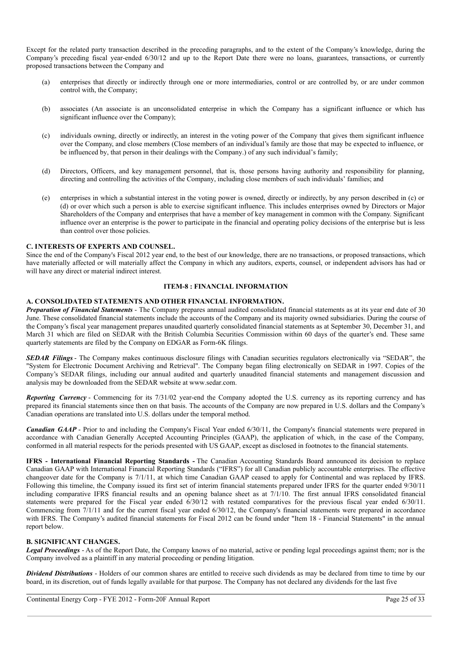Except for the related party transaction described in the preceding paragraphs, and to the extent of the Company's knowledge, during the Company's preceding fiscal year-ended 6/30/12 and up to the Report Date there were no loans, guarantees, transactions, or currently proposed transactions between the Company and

- (a) enterprises that directly or indirectly through one or more intermediaries, control or are controlled by, or are under common control with, the Company;
- (b) associates (An associate is an unconsolidated enterprise in which the Company has a significant influence or which has significant influence over the Company);
- (c) individuals owning, directly or indirectly, an interest in the voting power of the Company that gives them significant influence over the Company, and close members (Close members of an individual's family are those that may be expected to influence, or be influenced by, that person in their dealings with the Company.) of any such individual's family;
- (d) Directors, Officers, and key management personnel, that is, those persons having authority and responsibility for planning, directing and controlling the activities of the Company, including close members of such individuals' families; and
- (e) enterprises in which a substantial interest in the voting power is owned, directly or indirectly, by any person described in (c) or (d) or over which such a person is able to exercise significant influence. This includes enterprises owned by Directors or Major Shareholders of the Company and enterprises that have a member of key management in common with the Company. Significant influence over an enterprise is the power to participate in the financial and operating policy decisions of the enterprise but is less than control over those policies.

#### **C. INTERESTS OF EXPERTS AND COUNSEL.**

Since the end of the Company's Fiscal 2012 year end, to the best of our knowledge, there are no transactions, or proposed transactions, which have materially affected or will materially affect the Company in which any auditors, experts, counsel, or independent advisors has had or will have any direct or material indirect interest.

#### **ITEM-8 : FINANCIAL INFORMATION**

#### **A. CONSOLIDATED STATEMENTS AND OTHER FINANCIAL INFORMATION.**

*Preparation of Financial Statements* - The Company prepares annual audited consolidated financial statements as at its year end date of 30 June. These consolidated financial statements include the accounts of the Company and its majority owned subsidiaries. During the course of the Company's fiscal year management prepares unaudited quarterly consolidated financial statements as at September 30, December 31, and March 31 which are filed on SEDAR with the British Columbia Securities Commission within 60 days of the quarter's end. These same quarterly statements are filed by the Company on EDGAR as Form-6K filings.

*SEDAR Filings* - The Company makes continuous disclosure filings with Canadian securities regulators electronically via "SEDAR", the "System for Electronic Document Archiving and Retrieval". The Company began filing electronically on SEDAR in 1997. Copies of the Company's SEDAR filings, including our annual audited and quarterly unaudited financial statements and management discussion and analysis may be downloaded from the SEDAR website at www.sedar.com.

*Reporting Currency* - Commencing for its 7/31/02 year-end the Company adopted the U.S. currency as its reporting currency and has prepared its financial statements since then on that basis. The accounts of the Company are now prepared in U.S. dollars and the Company's Canadian operations are translated into U.S. dollars under the temporal method.

*Canadian GAAP* - Prior to and including the Company's Fiscal Year ended 6/30/11, the Company's financial statements were prepared in accordance with Canadian Generally Accepted Accounting Principles (GAAP), the application of which, in the case of the Company, conformed in all material respects for the periods presented with US GAAP, except as disclosed in footnotes to the financial statements.

**IFRS - International Financial Reporting Standards -** The Canadian Accounting Standards Board announced its decision to replace Canadian GAAP with International Financial Reporting Standards ("IFRS") for all Canadian publicly accountable enterprises. The effective changeover date for the Company is 7/1/11, at which time Canadian GAAP ceased to apply for Continental and was replaced by IFRS. Following this timeline, the Company issued its first set of interim financial statements prepared under IFRS for the quarter ended 9/30/11 including comparative IFRS financial results and an opening balance sheet as at 7/1/10. The first annual IFRS consolidated financial statements were prepared for the Fiscal year ended 6/30/12 with restated comparatives for the previous fiscal year ended 6/30/11. Commencing from 7/1/11 and for the current fiscal year ended 6/30/12, the Company's financial statements were prepared in accordance with IFRS. The Company's audited financial statements for Fiscal 2012 can be found under "Item 18 - Financial Statements" in the annual report below.

## **B. SIGNIFICANT CHANGES.**

*Legal Proceedings* - As of the Report Date, the Company knows of no material, active or pending legal proceedings against them; nor is the Company involved as a plaintiff in any material proceeding or pending litigation.

*Dividend Distributions* - Holders of our common shares are entitled to receive such dividends as may be declared from time to time by our board, in its discretion, out of funds legally available for that purpose. The Company has not declared any dividends for the last five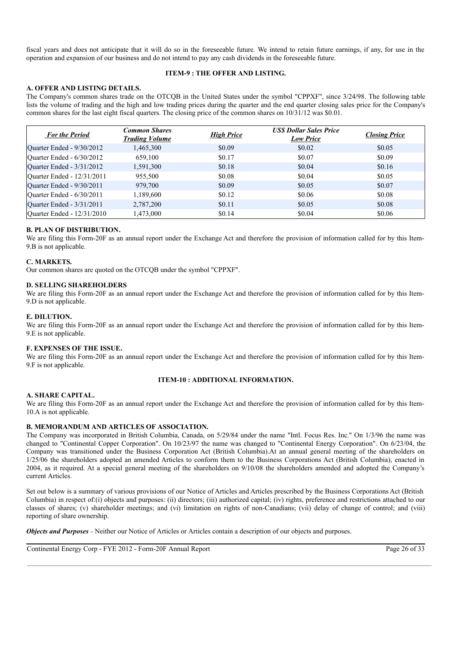fiscal years and does not anticipate that it will do so in the foreseeable future. We intend to retain future earnings, if any, for use in the operation and expansion of our business and do not intend to pay any cash dividends in the foreseeable future.

#### **ITEM-9 : THE OFFER AND LISTING.**

#### **A. OFFER AND LISTING DETAILS.**

The Company's common shares trade on the OTCQB in the United States under the symbol "CPPXF", since 3/24/98. The following table lists the volume of trading and the high and low trading prices during the quarter and the end quarter closing sales price for the Company's common shares for the last eight fiscal quarters. The closing price of the common shares on 10/31/12 was \$0.01.

| <b>For the Period</b>             | <b>Common Shares</b><br><b>Trading Volume</b> | <b>High Price</b> | <b>USS Dollar Sales Price</b><br><b>Low Price</b> | <b>Closing Price</b> |
|-----------------------------------|-----------------------------------------------|-------------------|---------------------------------------------------|----------------------|
| Quarter Ended - 9/30/2012         | 1,465,300                                     | \$0.09            | \$0.02                                            | \$0.05               |
| Ouarter Ended - 6/30/2012         | 659,100                                       | \$0.17            | \$0.07                                            | \$0.09               |
| Quarter Ended - 3/31/2012         | 1,591,300                                     | \$0.18            | \$0.04                                            | \$0.16               |
| Quarter Ended - 12/31/2011        | 955,500                                       | \$0.08            | \$0.04                                            | \$0.05               |
| Quarter Ended - 9/30/2011         | 979,700                                       | \$0.09            | \$0.05                                            | \$0.07               |
| Quarter Ended - 6/30/2011         | 1,189,600                                     | \$0.12            | \$0.06                                            | \$0.08               |
| Quarter Ended - 3/31/2011         | 2,787,200                                     | \$0.11            | \$0.05                                            | \$0.08               |
| <b>Ouarter Ended - 12/31/2010</b> | ,473,000                                      | \$0.14            | \$0.04                                            | \$0.06               |

#### **B. PLAN OF DISTRIBUTION.**

We are filing this Form-20F as an annual report under the Exchange Act and therefore the provision of information called for by this Item-9.B is not applicable.

#### **C. MARKETS.**

Our common shares are quoted on the OTCQB under the symbol "CPPXF".

#### **D. SELLING SHAREHOLDERS**

We are filing this Form-20F as an annual report under the Exchange Act and therefore the provision of information called for by this Item-9.D is not applicable.

#### **E. DILUTION.**

We are filing this Form-20F as an annual report under the Exchange Act and therefore the provision of information called for by this Item-9.E is not applicable.

#### **F. EXPENSES OF THE ISSUE.**

We are filing this Form-20F as an annual report under the Exchange Act and therefore the provision of information called for by this Item-9.F is not applicable.

## **ITEM-10 : ADDITIONAL INFORMATION.**

#### **A. SHARE CAPITAL.**

We are filing this Form-20F as an annual report under the Exchange Act and therefore the provision of information called for by this Item-10.A is not applicable.

#### **B. MEMORANDUM AND ARTICLES OF ASSOCIATION.**

The Company was incorporated in British Columbia, Canada, on 5/29/84 under the name "Intl. Focus Res. Inc." On 1/3/96 the name was changed to "Continental Copper Corporation". On 10/23/97 the name was changed to "Continental Energy Corporation". On 6/23/04, the Company was transitioned under the Business Corporation Act (British Columbia).At an annual general meeting of the shareholders on 1/25/06 the shareholders adopted an amended Articles to conform them to the Business Corporations Act (British Columbia), enacted in 2004, as it required. At a special general meeting of the shareholders on 9/10/08 the shareholders amended and adopted the Company's current Articles.

Set out below is a summary of various provisions of our Notice of Articles and Articles prescribed by the Business Corporations Act (British Columbia) in respect of:(i) objects and purposes: (ii) directors; (iii) authorized capital; (iv) rights, preference and restrictions attached to our classes of shares; (v) shareholder meetings; and (vi) limitation on rights of non-Canadians; (vii) delay of change of control; and (viii) reporting of share ownership.

*Objects and Purposes -* Neither our Notice of Articles or Articles contain a description of our objects and purposes.

Continental Energy Corp - FYE 2012 - Form-20F Annual Report Page 26 of 33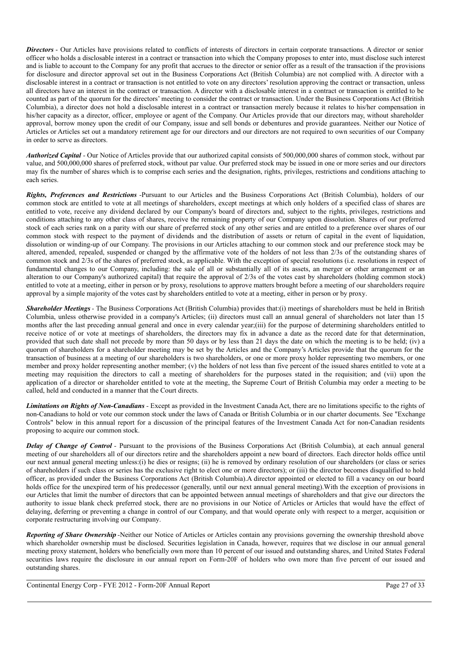*Directors* - Our Articles have provisions related to conflicts of interests of directors in certain corporate transactions. A director or senior officer who holds a disclosable interest in a contract or transaction into which the Company proposes to enter into, must disclose such interest and is liable to account to the Company for any profit that accrues to the director or senior offer as a result of the transaction if the provisions for disclosure and director approval set out in the Business Corporations Act (British Columbia) are not complied with. A director with a disclosable interest in a contract or transaction is not entitled to vote on any directors' resolution approving the contract or transaction, unless all directors have an interest in the contract or transaction. A director with a disclosable interest in a contract or transaction is entitled to be counted as part of the quorum for the directors' meeting to consider the contract or transaction. Under the Business Corporations Act (British Columbia), a director does not hold a disclosable interest in a contract or transaction merely because it relates to his/her compensation in his/her capacity as a director, officer, employee or agent of the Company. Our Articles provide that our directors may, without shareholder approval, borrow money upon the credit of our Company, issue and sell bonds or debentures and provide guarantees. Neither our Notice of Articles or Articles set out a mandatory retirement age for our directors and our directors are not required to own securities of our Company in order to serve as directors.

*Authorized Capital -* Our Notice of Articles provide that our authorized capital consists of 500,000,000 shares of common stock, without par value, and 500,000,000 shares of preferred stock, without par value. Our preferred stock may be issued in one or more series and our directors may fix the number of shares which is to comprise each series and the designation, rights, privileges, restrictions and conditions attaching to each series.

*Rights, Preferences and Restrictions -*Pursuant to our Articles and the Business Corporations Act (British Columbia), holders of our common stock are entitled to vote at all meetings of shareholders, except meetings at which only holders of a specified class of shares are entitled to vote, receive any dividend declared by our Company's board of directors and, subject to the rights, privileges, restrictions and conditions attaching to any other class of shares, receive the remaining property of our Company upon dissolution. Shares of our preferred stock of each series rank on a parity with our share of preferred stock of any other series and are entitled to a preference over shares of our common stock with respect to the payment of dividends and the distribution of assets or return of capital in the event of liquidation, dissolution or winding-up of our Company. The provisions in our Articles attaching to our common stock and our preference stock may be altered, amended, repealed, suspended or changed by the affirmative vote of the holders of not less than 2/3s of the outstanding shares of common stock and 2/3s of the shares of preferred stock, as applicable. With the exception of special resolutions (i.e. resolutions in respect of fundamental changes to our Company, including: the sale of all or substantially all of its assets, an merger or other arrangement or an alteration to our Company's authorized capital) that require the approval of 2/3s of the votes cast by shareholders (holding common stock) entitled to vote at a meeting, either in person or by proxy, resolutions to approve matters brought before a meeting of our shareholders require approval by a simple majority of the votes cast by shareholders entitled to vote at a meeting, either in person or by proxy.

*Shareholder Meetings -* The Business Corporations Act (British Columbia) provides that:(i) meetings of shareholders must be held in British Columbia, unless otherwise provided in a company's Articles; (ii) directors must call an annual general of shareholders not later than 15 months after the last preceding annual general and once in every calendar year;(iii) for the purpose of determining shareholders entitled to receive notice of or vote at meetings of shareholders, the directors may fix in advance a date as the record date for that determination, provided that such date shall not precede by more than 50 days or by less than 21 days the date on which the meeting is to be held; (iv) a quorum of shareholders for a shareholder meeting may be set by the Articles and the Company's Articles provide that the quorum for the transaction of business at a meeting of our shareholders is two shareholders, or one or more proxy holder representing two members, or one member and proxy holder representing another member; (v) the holders of not less than five percent of the issued shares entitled to vote at a meeting may requisition the directors to call a meeting of shareholders for the purposes stated in the requisition; and (vii) upon the application of a director or shareholder entitled to vote at the meeting, the Supreme Court of British Columbia may order a meeting to be called, held and conducted in a manner that the Court directs.

*Limitations on Rights of Non-Canadians -* Except as provided in the Investment Canada Act, there are no limitations specific to the rights of non-Canadians to hold or vote our common stock under the laws of Canada or British Columbia or in our charter documents. See "Exchange Controls" below in this annual report for a discussion of the principal features of the Investment Canada Act for non-Canadian residents proposing to acquire our common stock.

*Delay of Change of Control -* Pursuant to the provisions of the Business Corporations Act (British Columbia), at each annual general meeting of our shareholders all of our directors retire and the shareholders appoint a new board of directors. Each director holds office until our next annual general meeting unless:(i) he dies or resigns; (ii) he is removed by ordinary resolution of our shareholders (or class or series of shareholders if such class or series has the exclusive right to elect one or more directors); or (iii) the director becomes disqualified to hold officer, as provided under the Business Corporations Act (British Columbia).A director appointed or elected to fill a vacancy on our board holds office for the unexpired term of his predecessor (generally, until our next annual general meeting).With the exception of provisions in our Articles that limit the number of directors that can be appointed between annual meetings of shareholders and that give our directors the authority to issue blank check preferred stock, there are no provisions in our Notice of Articles or Articles that would have the effect of delaying, deferring or preventing a change in control of our Company, and that would operate only with respect to a merger, acquisition or corporate restructuring involving our Company.

*Reporting of Share Ownership -*Neither our Notice of Articles or Articles contain any provisions governing the ownership threshold above which shareholder ownership must be disclosed. Securities legislation in Canada, however, requires that we disclose in our annual general meeting proxy statement, holders who beneficially own more than 10 percent of our issued and outstanding shares, and United States Federal securities laws require the disclosure in our annual report on Form-20F of holders who own more than five percent of our issued and outstanding shares.

Continental Energy Corp - FYE 2012 - Form-20F Annual Report Page 27 of 33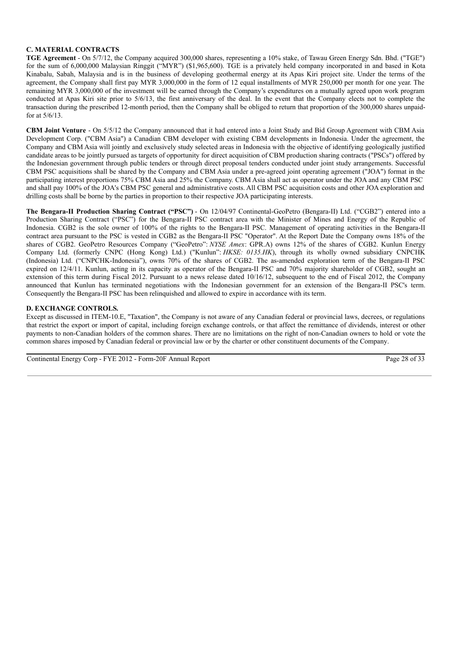#### **C. MATERIAL CONTRACTS**

**TGE Agreement** - On 5/7/12, the Company acquired 300,000 shares, representing a 10% stake, of Tawau Green Energy Sdn. Bhd. ("TGE") for the sum of 6,000,000 Malaysian Ringgit ("MYR") (\$1,965,600). TGE is a privately held company incorporated in and based in Kota Kinabalu, Sabah, Malaysia and is in the business of developing geothermal energy at its Apas Kiri project site. Under the terms of the agreement, the Company shall first pay MYR 3,000,000 in the form of 12 equal installments of MYR 250,000 per month for one year. The remaining MYR 3,000,000 of the investment will be earned through the Company's expenditures on a mutually agreed upon work program conducted at Apas Kiri site prior to 5/6/13, the first anniversary of the deal. In the event that the Company elects not to complete the transaction during the prescribed 12-month period, then the Company shall be obliged to return that proportion of the 300,000 shares unpaidfor at 5/6/13.

**CBM Joint Venture** - On 5/5/12 the Company announced that it had entered into a Joint Study and Bid Group Agreement with CBM Asia Development Corp. ("CBM Asia") a Canadian CBM developer with existing CBM developments in Indonesia. Under the agreement, the Company and CBM Asia will jointly and exclusively study selected areas in Indonesia with the objective of identifying geologically justified candidate areas to be jointly pursued as targets of opportunity for direct acquisition of CBM production sharing contracts ("PSCs") offered by the Indonesian government through public tenders or through direct proposal tenders conducted under joint study arrangements. Successful CBM PSC acquisitions shall be shared by the Company and CBM Asia under a pre-agreed joint operating agreement ("JOA") format in the participating interest proportions 75% CBM Asia and 25% the Company. CBM Asia shall act as operator under the JOA and any CBM PSC and shall pay 100% of the JOA's CBM PSC general and administrative costs. All CBM PSC acquisition costs and other JOA exploration and drilling costs shall be borne by the parties in proportion to their respective JOA participating interests.

**The Bengara-II Production Sharing Contract ("PSC")** - On 12/04/97 Continental-GeoPetro (Bengara-II) Ltd. ("CGB2") entered into a Production Sharing Contract ("PSC") for the Bengara-II PSC contract area with the Minister of Mines and Energy of the Republic of Indonesia. CGB2 is the sole owner of 100% of the rights to the Bengara-II PSC. Management of operating activities in the Bengara-II contract area pursuant to the PSC is vested in CGB2 as the Bengara-II PSC "Operator". At the Report Date the Company owns 18% of the shares of CGB2. GeoPetro Resources Company ("GeoPetro": *NYSE Amex*: GPR.A) owns 12% of the shares of CGB2. Kunlun Energy Company Ltd. (formerly CNPC (Hong Kong) Ltd.) ("Kunlun": *HKSE: 0135.HK*), through its wholly owned subsidiary CNPCHK (Indonesia) Ltd. ("CNPCHK-Indonesia"), owns 70% of the shares of CGB2. The as-amended exploration term of the Bengara-II PSC expired on 12/4/11. Kunlun, acting in its capacity as operator of the Bengara-II PSC and 70% majority shareholder of CGB2, sought an extension of this term during Fiscal 2012. Pursuant to a news release dated 10/16/12, subsequent to the end of Fiscal 2012, the Company announced that Kunlun has terminated negotiations with the Indonesian government for an extension of the Bengara-II PSC's term. Consequently the Bengara-II PSC has been relinquished and allowed to expire in accordance with its term.

#### **D. EXCHANGE CONTROLS.**

Except as discussed in ITEM-10.E, "Taxation", the Company is not aware of any Canadian federal or provincial laws, decrees, or regulations that restrict the export or import of capital, including foreign exchange controls, or that affect the remittance of dividends, interest or other payments to non-Canadian holders of the common shares. There are no limitations on the right of non-Canadian owners to hold or vote the common shares imposed by Canadian federal or provincial law or by the charter or other constituent documents of the Company.

Continental Energy Corp - FYE 2012 - Form-20F Annual Report Page 28 of 33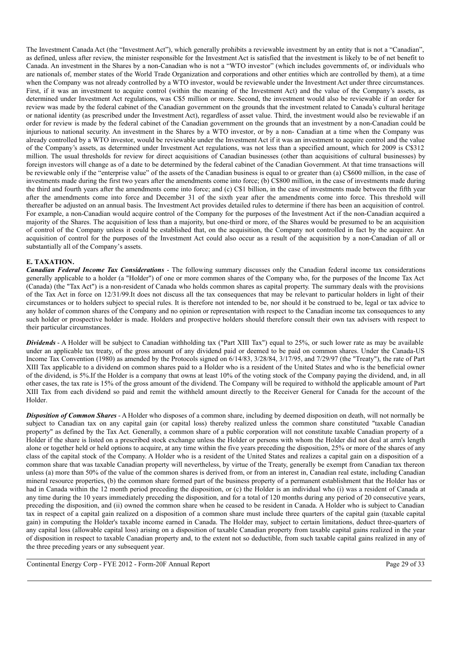The Investment Canada Act (the "Investment Act"), which generally prohibits a reviewable investment by an entity that is not a "Canadian", as defined, unless after review, the minister responsible for the Investment Act is satisfied that the investment is likely to be of net benefit to Canada. An investment in the Shares by a non-Canadian who is not a "WTO investor" (which includes governments of, or individuals who are nationals of, member states of the World Trade Organization and corporations and other entities which are controlled by them), at a time when the Company was not already controlled by a WTO investor, would be reviewable under the Investment Act under three circumstances. First, if it was an investment to acquire control (within the meaning of the Investment Act) and the value of the Company's assets, as determined under Investment Act regulations, was C\$5 million or more. Second, the investment would also be reviewable if an order for review was made by the federal cabinet of the Canadian government on the grounds that the investment related to Canada's cultural heritage or national identity (as prescribed under the Investment Act), regardless of asset value. Third, the investment would also be reviewable if an order for review is made by the federal cabinet of the Canadian government on the grounds that an investment by a non-Canadian could be injurious to national security. An investment in the Shares by a WTO investor, or by a non- Canadian at a time when the Company was already controlled by a WTO investor, would be reviewable under the Investment Act if it was an investment to acquire control and the value of the Company's assets, as determined under Investment Act regulations, was not less than a specified amount, which for 2009 is C\$312 million. The usual thresholds for review for direct acquisitions of Canadian businesses (other than acquisitions of cultural businesses) by foreign investors will change as of a date to be determined by the federal cabinet of the Canadian Government. At that time transactions will be reviewable only if the "enterprise value" of the assets of the Canadian business is equal to or greater than (a) C\$600 million, in the case of investments made during the first two years after the amendments come into force; (b) C\$800 million, in the case of investments made during the third and fourth years after the amendments come into force; and (c) C\$1 billion, in the case of investments made between the fifth year after the amendments come into force and December 31 of the sixth year after the amendments come into force. This threshold will thereafter be adjusted on an annual basis. The Investment Act provides detailed rules to determine if there has been an acquisition of control. For example, a non-Canadian would acquire control of the Company for the purposes of the Investment Act if the non-Canadian acquired a majority of the Shares. The acquisition of less than a majority, but one-third or more, of the Shares would be presumed to be an acquisition of control of the Company unless it could be established that, on the acquisition, the Company not controlled in fact by the acquirer. An acquisition of control for the purposes of the Investment Act could also occur as a result of the acquisition by a non-Canadian of all or substantially all of the Company's assets.

#### **E. TAXATION.**

*Canadian Federal Income Tax Considerations* - The following summary discusses only the Canadian federal income tax considerations generally applicable to a holder (a "Holder") of one or more common shares of the Company who, for the purposes of the Income Tax Act (Canada) (the "Tax Act") is a non-resident of Canada who holds common shares as capital property. The summary deals with the provisions of the Tax Act in force on 12/31/99.It does not discuss all the tax consequences that may be relevant to particular holders in light of their circumstances or to holders subject to special rules. It is therefore not intended to be, nor should it be construed to be, legal or tax advice to any holder of common shares of the Company and no opinion or representation with respect to the Canadian income tax consequences to any such holder or prospective holder is made. Holders and prospective holders should therefore consult their own tax advisers with respect to their particular circumstances.

*Dividends* - A Holder will be subject to Canadian withholding tax ("Part XIII Tax") equal to 25%, or such lower rate as may be available under an applicable tax treaty, of the gross amount of any dividend paid or deemed to be paid on common shares. Under the Canada-US Income Tax Convention (1980) as amended by the Protocols signed on 6/14/83, 3/28/84, 3/17/95, and 7/29/97 (the "Treaty"), the rate of Part XIII Tax applicable to a dividend on common shares paid to a Holder who is a resident of the United States and who is the beneficial owner of the dividend, is 5%.If the Holder is a company that owns at least 10% of the voting stock of the Company paying the dividend, and, in all other cases, the tax rate is 15% of the gross amount of the dividend. The Company will be required to withhold the applicable amount of Part XIII Tax from each dividend so paid and remit the withheld amount directly to the Receiver General for Canada for the account of the Holder.

*Disposition of Common Shares* - A Holder who disposes of a common share, including by deemed disposition on death, will not normally be subject to Canadian tax on any capital gain (or capital loss) thereby realized unless the common share constituted "taxable Canadian" property" as defined by the Tax Act. Generally, a common share of a public corporation will not constitute taxable Canadian property of a Holder if the share is listed on a prescribed stock exchange unless the Holder or persons with whom the Holder did not deal at arm's length alone or together held or held options to acquire, at any time within the five years preceding the disposition, 25% or more of the shares of any class of the capital stock of the Company. A Holder who is a resident of the United States and realizes a capital gain on a disposition of a common share that was taxable Canadian property will nevertheless, by virtue of the Treaty, generally be exempt from Canadian tax thereon unless (a) more than 50% of the value of the common shares is derived from, or from an interest in, Canadian real estate, including Canadian mineral resource properties, (b) the common share formed part of the business property of a permanent establishment that the Holder has or had in Canada within the 12 month period preceding the disposition, or (c) the Holder is an individual who (i) was a resident of Canada at any time during the 10 years immediately preceding the disposition, and for a total of 120 months during any period of 20 consecutive years, preceding the disposition, and (ii) owned the common share when he ceased to be resident in Canada. A Holder who is subject to Canadian tax in respect of a capital gain realized on a disposition of a common share must include three quarters of the capital gain (taxable capital gain) in computing the Holder's taxable income earned in Canada. The Holder may, subject to certain limitations, deduct three-quarters of any capital loss (allowable capital loss) arising on a disposition of taxable Canadian property from taxable capital gains realized in the year of disposition in respect to taxable Canadian property and, to the extent not so deductible, from such taxable capital gains realized in any of the three preceding years or any subsequent year.

Continental Energy Corp - FYE 2012 - Form-20F Annual Report Page 29 of 33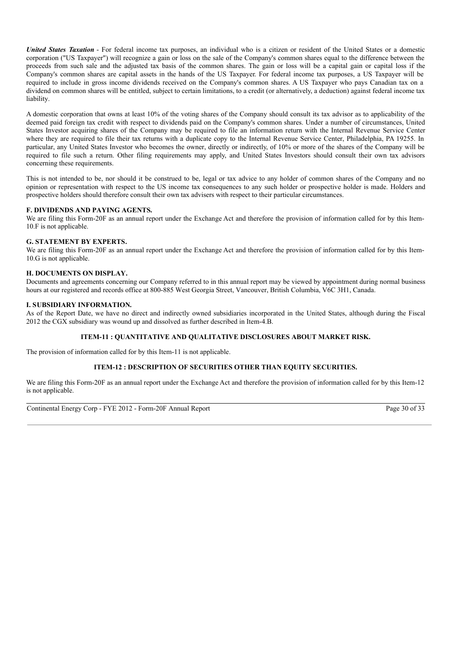*United States Taxation* - For federal income tax purposes, an individual who is a citizen or resident of the United States or a domestic corporation ("US Taxpayer") will recognize a gain or loss on the sale of the Company's common shares equal to the difference between the proceeds from such sale and the adjusted tax basis of the common shares. The gain or loss will be a capital gain or capital loss if the Company's common shares are capital assets in the hands of the US Taxpayer. For federal income tax purposes, a US Taxpayer will be required to include in gross income dividends received on the Company's common shares. A US Taxpayer who pays Canadian tax on a dividend on common shares will be entitled, subject to certain limitations, to a credit (or alternatively, a deduction) against federal income tax liability.

A domestic corporation that owns at least 10% of the voting shares of the Company should consult its tax advisor as to applicability of the deemed paid foreign tax credit with respect to dividends paid on the Company's common shares. Under a number of circumstances, United States Investor acquiring shares of the Company may be required to file an information return with the Internal Revenue Service Center where they are required to file their tax returns with a duplicate copy to the Internal Revenue Service Center, Philadelphia, PA 19255. In particular, any United States Investor who becomes the owner, directly or indirectly, of 10% or more of the shares of the Company will be required to file such a return. Other filing requirements may apply, and United States Investors should consult their own tax advisors concerning these requirements.

This is not intended to be, nor should it be construed to be, legal or tax advice to any holder of common shares of the Company and no opinion or representation with respect to the US income tax consequences to any such holder or prospective holder is made. Holders and prospective holders should therefore consult their own tax advisers with respect to their particular circumstances.

#### **F. DIVIDENDS AND PAYING AGENTS.**

We are filing this Form-20F as an annual report under the Exchange Act and therefore the provision of information called for by this Item-10.F is not applicable.

#### **G. STATEMENT BY EXPERTS.**

We are filing this Form-20F as an annual report under the Exchange Act and therefore the provision of information called for by this Item-10.G is not applicable.

#### **H. DOCUMENTS ON DISPLAY.**

Documents and agreements concerning our Company referred to in this annual report may be viewed by appointment during normal business hours at our registered and records office at 800-885 West Georgia Street, Vancouver, British Columbia, V6C 3H1, Canada.

#### **I. SUBSIDIARY INFORMATION.**

As of the Report Date, we have no direct and indirectly owned subsidiaries incorporated in the United States, although during the Fiscal 2012 the CGX subsidiary was wound up and dissolved as further described in Item-4.B.

#### **ITEM-11 : QUANTITATIVE AND QUALITATIVE DISCLOSURES ABOUT MARKET RISK.**

The provision of information called for by this Item-11 is not applicable.

#### **ITEM-12 : DESCRIPTION OF SECURITIES OTHER THAN EQUITY SECURITIES.**

We are filing this Form-20F as an annual report under the Exchange Act and therefore the provision of information called for by this Item-12 is not applicable.

Continental Energy Corp - FYE 2012 - Form-20F Annual Report Page 30 of 33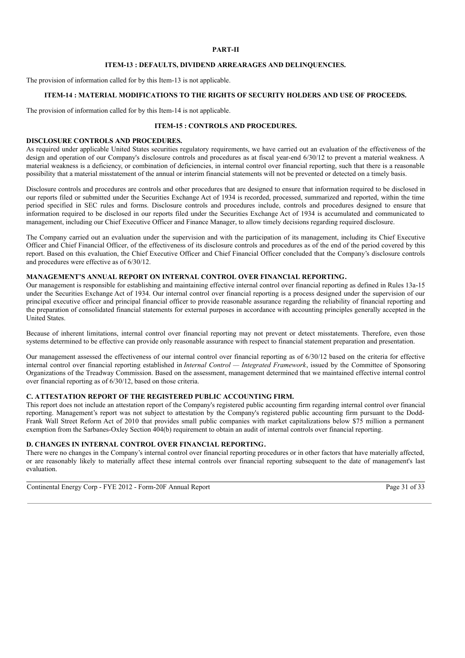## **PART-II**

#### **ITEM-13 : DEFAULTS, DIVIDEND ARREARAGES AND DELINQUENCIES.**

The provision of information called for by this Item-13 is not applicable.

#### **ITEM-14 : MATERIAL MODIFICATIONS TO THE RIGHTS OF SECURITY HOLDERS AND USE OF PROCEEDS.**

The provision of information called for by this Item-14 is not applicable.

## **ITEM-15 : CONTROLS AND PROCEDURES.**

#### **DISCLOSURE CONTROLS AND PROCEDURES.**

As required under applicable United States securities regulatory requirements, we have carried out an evaluation of the effectiveness of the design and operation of our Company's disclosure controls and procedures as at fiscal year-end 6/30/12 to prevent a material weakness. A material weakness is a deficiency, or combination of deficiencies, in internal control over financial reporting, such that there is a reasonable possibility that a material misstatement of the annual or interim financial statements will not be prevented or detected on a timely basis.

Disclosure controls and procedures are controls and other procedures that are designed to ensure that information required to be disclosed in our reports filed or submitted under the Securities Exchange Act of 1934 is recorded, processed, summarized and reported, within the time period specified in SEC rules and forms. Disclosure controls and procedures include, controls and procedures designed to ensure that information required to be disclosed in our reports filed under the Securities Exchange Act of 1934 is accumulated and communicated to management, including our Chief Executive Officer and Finance Manager, to allow timely decisions regarding required disclosure.

The Company carried out an evaluation under the supervision and with the participation of its management, including its Chief Executive Officer and Chief Financial Officer, of the effectiveness of its disclosure controls and procedures as of the end of the period covered by this report. Based on this evaluation, the Chief Executive Officer and Chief Financial Officer concluded that the Company's disclosure controls and procedures were effective as of 6/30/12.

## **MANAGEMENT'S ANNUAL REPORT ON INTERNAL CONTROL OVER FINANCIAL REPORTING.**

Our management is responsible for establishing and maintaining effective internal control over financial reporting as defined in Rules 13a-15 under the Securities Exchange Act of 1934. Our internal control over financial reporting is a process designed under the supervision of our principal executive officer and principal financial officer to provide reasonable assurance regarding the reliability of financial reporting and the preparation of consolidated financial statements for external purposes in accordance with accounting principles generally accepted in the United States.

Because of inherent limitations, internal control over financial reporting may not prevent or detect misstatements. Therefore, even those systems determined to be effective can provide only reasonable assurance with respect to financial statement preparation and presentation.

Our management assessed the effectiveness of our internal control over financial reporting as of 6/30/12 based on the criteria for effective internal control over financial reporting established in *Internal Control — Integrated Framework*, issued by the Committee of Sponsoring Organizations of the Treadway Commission. Based on the assessment, management determined that we maintained effective internal control over financial reporting as of 6/30/12, based on those criteria.

## **C. ATTESTATION REPORT OF THE REGISTERED PUBLIC ACCOUNTING FIRM.**

This report does not include an attestation report of the Company's registered public accounting firm regarding internal control over financial reporting. Management's report was not subject to attestation by the Company's registered public accounting firm pursuant to the Dodd-Frank Wall Street Reform Act of 2010 that provides small public companies with market capitalizations below \$75 million a permanent exemption from the Sarbanes-Oxley Section 404(b) requirement to obtain an audit of internal controls over financial reporting.

#### **D. CHANGES IN INTERNAL CONTROL OVER FINANCIAL REPORTING.**

There were no changes in the Company's internal control over financial reporting procedures or in other factors that have materially affected, or are reasonably likely to materially affect these internal controls over financial reporting subsequent to the date of management's last evaluation.

Continental Energy Corp - FYE 2012 - Form-20F Annual Report Page 31 of 33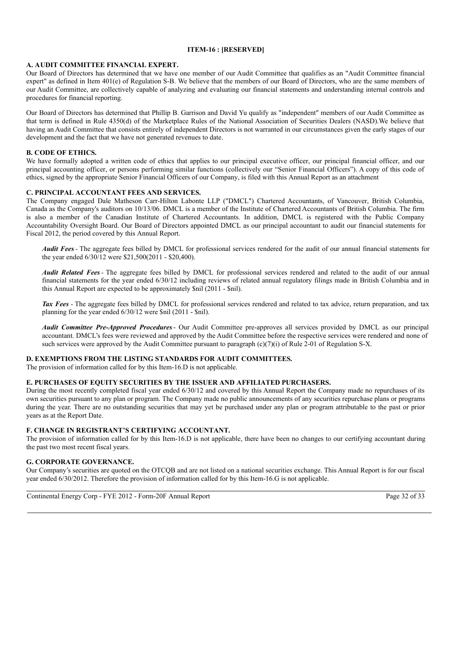#### **ITEM-16 : [RESERVED]**

#### **A. AUDIT COMMITTEE FINANCIAL EXPERT.**

Our Board of Directors has determined that we have one member of our Audit Committee that qualifies as an "Audit Committee financial expert" as defined in Item 401(e) of Regulation S-B. We believe that the members of our Board of Directors, who are the same members of our Audit Committee, are collectively capable of analyzing and evaluating our financial statements and understanding internal controls and procedures for financial reporting.

Our Board of Directors has determined that Phillip B. Garrison and David Yu qualify as "independent" members of our Audit Committee as that term is defined in Rule 4350(d) of the Marketplace Rules of the National Association of Securities Dealers (NASD).We believe that having an Audit Committee that consists entirely of independent Directors is not warranted in our circumstances given the early stages of our development and the fact that we have not generated revenues to date.

#### **B. CODE OF ETHICS.**

We have formally adopted a written code of ethics that applies to our principal executive officer, our principal financial officer, and our principal accounting officer, or persons performing similar functions (collectively our "Senior Financial Officers"). A copy of this code of ethics, signed by the appropriate Senior Financial Officers of our Company, is filed with this Annual Report as an attachment

#### **C. PRINCIPAL ACCOUNTANT FEES AND SERVICES.**

The Company engaged Dale Matheson Carr-Hilton Labonte LLP ("DMCL") Chartered Accountants, of Vancouver, British Columbia, Canada as the Company's auditors on 10/13/06. DMCL is a member of the Institute of Chartered Accountants of British Columbia. The firm is also a member of the Canadian Institute of Chartered Accountants. In addition, DMCL is registered with the Public Company Accountability Oversight Board. Our Board of Directors appointed DMCL as our principal accountant to audit our financial statements for Fiscal 2012, the period covered by this Annual Report.

*Audit Fees -* The aggregate fees billed by DMCL for professional services rendered for the audit of our annual financial statements for the year ended 6/30/12 were \$21,500(2011 - \$20,400).

*Audit Related Fees-* The aggregate fees billed by DMCL for professional services rendered and related to the audit of our annual financial statements for the year ended 6/30/12 including reviews of related annual regulatory filings made in British Columbia and in this Annual Report are expected to be approximately \$nil (2011 - \$nil).

*Tax Fees -* The aggregate fees billed by DMCL for professional services rendered and related to tax advice, return preparation, and tax planning for the year ended 6/30/12 were \$nil (2011 - \$nil).

*Audit Committee Pre-Approved Procedures*- Our Audit Committee pre-approves all services provided by DMCL as our principal accountant. DMCL's fees were reviewed and approved by the Audit Committee before the respective services were rendered and none of such services were approved by the Audit Committee pursuant to paragraph  $(c)(7)(i)$  of Rule 2-01 of Regulation S-X.

#### **D. EXEMPTIONS FROM THE LISTING STANDARDS FOR AUDIT COMMITTEES.**

The provision of information called for by this Item-16.D is not applicable.

## **E. PURCHASES OF EQUITY SECURITIES BY THE ISSUER AND AFFILIATED PURCHASERS.**

During the most recently completed fiscal year ended 6/30/12 and covered by this Annual Report the Company made no repurchases of its own securities pursuant to any plan or program. The Company made no public announcements of any securities repurchase plans or programs during the year. There are no outstanding securities that may yet be purchased under any plan or program attributable to the past or prior years as at the Report Date.

#### **F. CHANGE IN REGISTRANT'S CERTIFYING ACCOUNTANT.**

The provision of information called for by this Item-16.D is not applicable, there have been no changes to our certifying accountant during the past two most recent fiscal years.

#### **G. CORPORATE GOVERNANCE.**

Our Company's securities are quoted on the OTCQB and are not listed on a national securities exchange. This Annual Report is for our fiscal year ended 6/30/2012. Therefore the provision of information called for by this Item-16.G is not applicable.

Continental Energy Corp - FYE 2012 - Form-20F Annual Report Page 32 of 33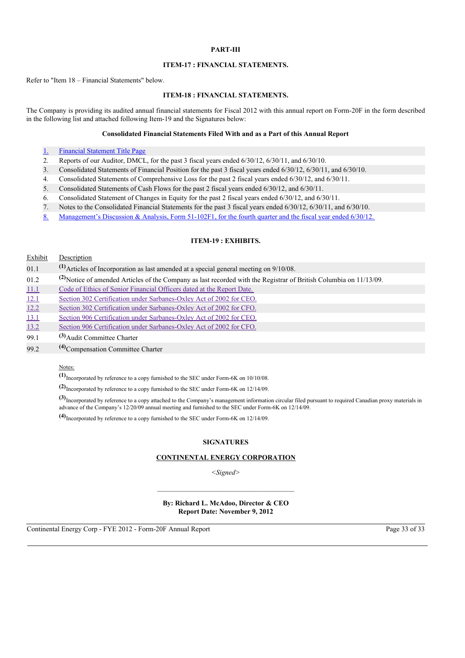#### **PART-III**

## **ITEM-17 : FINANCIAL STATEMENTS.**

Refer to "Item 18 – Financial Statements" below.

## **ITEM-18 : FINANCIAL STATEMENTS.**

The Company is providing its audited annual financial statements for Fiscal 2012 with this annual report on Form-20F in the form described in the following list and attached following Item-19 and the Signatures below:

#### **Consolidated Financial Statements Filed With and as a Part of this Annual Report**

- 1. Financial Statement Title Page
- 2. Reports of our Auditor, DMCL, for the past 3 fiscal years ended 6/30/12, 6/30/11, and 6/30/10.
- 3. Consolidated Statements of Financial Position for the past 3 fiscal years ended 6/30/12, 6/30/11, and 6/30/10.
- 4. Consolidated Statements of Comprehensive Loss for the past 2 fiscal years ended 6/30/12, and 6/30/11.
- 5. Consolidated Statements of Cash Flows for the past 2 fiscal years ended 6/30/12, and 6/30/11.
- 6. Consolidated Statement of Changes in Equity for the past 2 fiscal years ended 6/30/12, and 6/30/11.
- 7. Notes to the Consolidated Financial Statements for the past 3 fiscal years ended 6/30/12, 6/30/11, and 6/30/10.
- 8. Management's Discussion & Analysis, Form 51-102F1, for the fourth quarter and the fiscal year ended 6/30/12.

#### **ITEM-19 : EXHIBITS.**

#### Exhibit Description

- 01.1 **(1)**Articles of Incorporation as last amended at a special general meeting on 9/10/08.
- 01.2 **(2)**Notice of amended Articles of the Company as last recorded with the Registrar of British Columbia on 11/13/09.
- 11.1 Code of Ethics of Senior Financial Officers dated at the Report Date.
- 12.1 Section 302 Certification under Sarbanes-Oxley Act of 2002 for CEO.
- 12.2 Section 302 Certification under Sarbanes-Oxley Act of 2002 for CFO.
- 13.1 Section 906 Certification under Sarbanes-Oxley Act of 2002 for CEO.
- 13.2 Section 906 Certification under Sarbanes-Oxley Act of 2002 for CFO.
- 99.1 **(3)**Audit Committee Charter
- 99.2 **(4)**Compensation Committee Charter

Notes:

**(1)** Incorporated by reference to a copy furnished to the SEC under Form-6K on 10/10/08.

**(2)** Incorporated by reference to a copy furnished to the SEC under Form-6K on 12/14/09.

**(3)** Incorporated by reference to a copy attached to the Company's management information circular filed pursuant to required Canadian proxy materials in advance of the Company's 12/20/09 annual meeting and furnished to the SEC under Form-6K on 12/14/09.

**(4)** Incorporated by reference to a copy furnished to the SEC under Form-6K on 12/14/09.

#### **SIGNATURES**

#### **CONTINENTAL ENERGY CORPORATION**

*<Signed>*

**By: Richard L. McAdoo, Director & CEO Report Date: November 9, 2012**

Continental Energy Corp - FYE 2012 - Form-20F Annual Report Page 33 of 33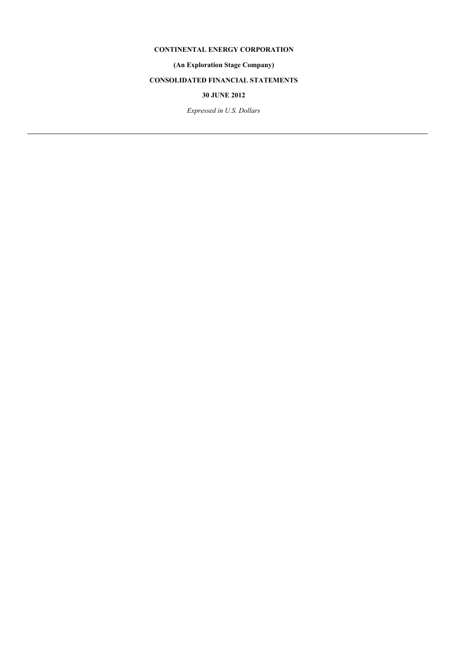## **CONTINENTAL ENERGY CORPORATION**

**(An Exploration Stage Company)**

## **CONSOLIDATED FINANCIAL STATEMENTS**

**30 JUNE 2012**

*Expressed in U.S. Dollars*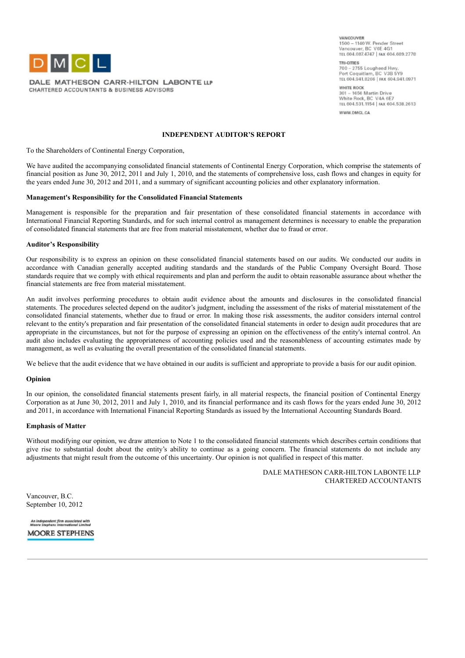

DALE MATHESON CARR-HILTON LABONTE LLP CHARTERED ACCOUNTANTS & BUSINESS ADVISORS

VANCOUVER 1500 - 1140 W. Pender Street Vancouver, BC V6E 4G1 TEL 604 687 4747 LEAX 604 689 2778

**TRI-CITIES** 700 - 2755 Lougheed Hwy Port Coquitlam, BC V3B 5Y9 TEL 604.941.8266 | FAX 604.941.0971

**WHITE ROCK** 301 - 1656 Martin Drive White Rock, BC V4A 6E7<br>TEL 604.531.1154 | FAX 604.538.2613 WWW.DMCL.CA

**INDEPENDENT AUDITOR'S REPORT**

To the Shareholders of Continental Energy Corporation,

We have audited the accompanying consolidated financial statements of Continental Energy Corporation, which comprise the statements of financial position as June 30, 2012, 2011 and July 1, 2010, and the statements of comprehensive loss, cash flows and changes in equity for the years ended June 30, 2012 and 2011, and a summary of significant accounting policies and other explanatory information.

#### **Management's Responsibility for the Consolidated Financial Statements**

Management is responsible for the preparation and fair presentation of these consolidated financial statements in accordance with International Financial Reporting Standards, and for such internal control as management determines is necessary to enable the preparation of consolidated financial statements that are free from material misstatement, whether due to fraud or error.

### **Auditor's Responsibility**

Our responsibility is to express an opinion on these consolidated financial statements based on our audits. We conducted our audits in accordance with Canadian generally accepted auditing standards and the standards of the Public Company Oversight Board. Those standards require that we comply with ethical requirements and plan and perform the audit to obtain reasonable assurance about whether the financial statements are free from material misstatement.

An audit involves performing procedures to obtain audit evidence about the amounts and disclosures in the consolidated financial statements. The procedures selected depend on the auditor's judgment, including the assessment of the risks of material misstatement of the consolidated financial statements, whether due to fraud or error. In making those risk assessments, the auditor considers internal control relevant to the entity's preparation and fair presentation of the consolidated financial statements in order to design audit procedures that are appropriate in the circumstances, but not for the purpose of expressing an opinion on the effectiveness of the entity's internal control. An audit also includes evaluating the appropriateness of accounting policies used and the reasonableness of accounting estimates made by management, as well as evaluating the overall presentation of the consolidated financial statements.

We believe that the audit evidence that we have obtained in our audits is sufficient and appropriate to provide a basis for our audit opinion.

### **Opinion**

In our opinion, the consolidated financial statements present fairly, in all material respects, the financial position of Continental Energy Corporation as at June 30, 2012, 2011 and July 1, 2010, and its financial performance and its cash flows for the years ended June 30, 2012 and 2011, in accordance with International Financial Reporting Standards as issued by the International Accounting Standards Board.

#### **Emphasis of Matter**

Without modifying our opinion, we draw attention to Note 1 to the consolidated financial statements which describes certain conditions that give rise to substantial doubt about the entity's ability to continue as a going concern. The financial statements do not include any adjustments that might result from the outcome of this uncertainty. Our opinion is not qualified in respect of this matter.

> DALE MATHESON CARR-HILTON LABONTE LLP CHARTERED ACCOUNTANTS

Vancouver, B.C. September 10, 2012

An independent firm associated with<br>Moore Stephens International Limited

**MOORE STEPHENS**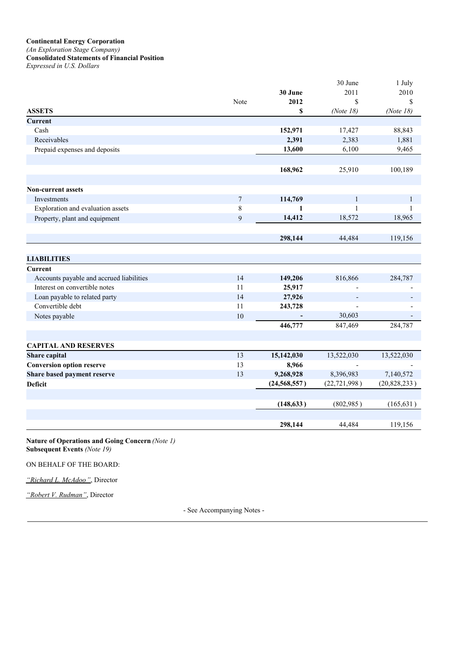### **Continental Energy Corporation**

*(An Exploration Stage Company)*

### **Consolidated Statements of Financial Position**

*Expressed in U.S. Dollars*

|                                          |             |                | 30 June        | 1 July         |
|------------------------------------------|-------------|----------------|----------------|----------------|
|                                          |             | 30 June        | 2011           | 2010           |
|                                          | Note        | 2012           | \$             | \$             |
| <b>ASSETS</b>                            |             | \$             | (Note $18$ )   | (Note $18$ )   |
| <b>Current</b>                           |             |                |                |                |
| Cash                                     |             | 152,971        | 17,427         | 88,843         |
| Receivables                              |             | 2,391          | 2,383          | 1,881          |
| Prepaid expenses and deposits            |             | 13,600         | 6,100          | 9,465          |
|                                          |             |                |                |                |
|                                          |             | 168,962        | 25,910         | 100,189        |
|                                          |             |                |                |                |
| Non-current assets                       |             |                |                |                |
| Investments                              | 7           | 114,769        | $\mathbf{1}$   | 1              |
| Exploration and evaluation assets        | $\,$ 8 $\,$ | 1              | $\mathbf{1}$   | $\mathbf{1}$   |
| Property, plant and equipment            | 9           | 14,412         | 18,572         | 18,965         |
|                                          |             |                |                |                |
|                                          |             | 298,144        | 44,484         | 119,156        |
|                                          |             |                |                |                |
| <b>LIABILITIES</b>                       |             |                |                |                |
| Current                                  |             |                |                |                |
| Accounts payable and accrued liabilities | 14          | 149,206        | 816,866        | 284,787        |
| Interest on convertible notes            | 11          | 25,917         |                |                |
| Loan payable to related party            | 14          | 27,926         |                |                |
| Convertible debt                         | 11          | 243,728        | $\overline{a}$ |                |
| Notes payable                            | 10          |                | 30,603         |                |
|                                          |             | 446,777        | 847,469        | 284,787        |
|                                          |             |                |                |                |
| <b>CAPITAL AND RESERVES</b>              |             |                |                |                |
| Share capital                            | 13          | 15,142,030     | 13,522,030     | 13,522,030     |
| <b>Conversion option reserve</b>         | 13          | 8,966          |                |                |
| Share based payment reserve              | 13          | 9,268,928      | 8,396,983      | 7,140,572      |
| <b>Deficit</b>                           |             | (24, 568, 557) | (22, 721, 998) | (20, 828, 233) |
|                                          |             |                |                |                |
|                                          |             | (148, 633)     | (802, 985)     | (165, 631)     |
|                                          |             |                |                |                |
|                                          |             | 298,144        | 44,484         | 119,156        |
|                                          |             |                |                |                |

**Nature of Operations and Going Concern** *(Note 1)* **Subsequent Events** *(Note 19)*

ON BEHALF OF THE BOARD:

*"Richard L. McAdoo"*, Director

*"Robert V. Rudman"*, Director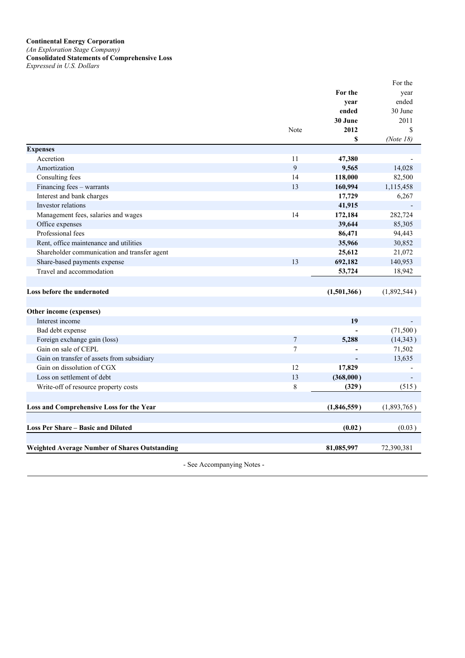### **Continental Energy Corporation** *(An Exploration Stage Company)* **Consolidated Statements of Comprehensive Loss** *Expressed in U.S. Dollars*

|                                                      |                |             | For the      |
|------------------------------------------------------|----------------|-------------|--------------|
|                                                      |                | For the     | year         |
|                                                      |                | year        | ended        |
|                                                      |                | ended       | 30 June      |
|                                                      |                | 30 June     | 2011         |
|                                                      | Note           | 2012        | \$           |
|                                                      |                | \$          | (Note $18$ ) |
| <b>Expenses</b>                                      |                |             |              |
| Accretion                                            | 11             | 47,380      |              |
| Amortization                                         | $\mathbf{Q}$   | 9,565       | 14,028       |
| Consulting fees                                      | 14             | 118,000     | 82,500       |
| Financing fees - warrants                            | 13             | 160,994     | 1,115,458    |
| Interest and bank charges                            |                | 17,729      | 6,267        |
| Investor relations                                   |                | 41,915      |              |
| Management fees, salaries and wages                  | 14             | 172,184     | 282,724      |
| Office expenses                                      |                | 39,644      | 85,305       |
| Professional fees                                    |                | 86,471      | 94,443       |
| Rent, office maintenance and utilities               |                | 35,966      | 30,852       |
| Shareholder communication and transfer agent         |                | 25,612      | 21,072       |
| Share-based payments expense                         | 13             | 692,182     | 140,953      |
| Travel and accommodation                             |                | 53,724      | 18,942       |
|                                                      |                |             |              |
| Loss before the undernoted                           |                | (1,501,366) | (1,892,544)  |
|                                                      |                |             |              |
| Other income (expenses)                              |                |             |              |
| Interest income                                      |                | 19          |              |
| Bad debt expense                                     |                |             | (71,500)     |
| Foreign exchange gain (loss)                         | $\overline{7}$ | 5,288       | (14, 343)    |
| Gain on sale of CEPL                                 | $\tau$         |             | 71,502       |
| Gain on transfer of assets from subsidiary           |                |             | 13,635       |
| Gain on dissolution of CGX                           | 12             | 17,829      |              |
| Loss on settlement of debt                           | 13             | (368,000)   |              |
| Write-off of resource property costs                 | 8              | (329)       | (515)        |
|                                                      |                |             |              |
| Loss and Comprehensive Loss for the Year             |                | (1,846,559) | (1,893,765)  |
|                                                      |                |             |              |
| <b>Loss Per Share - Basic and Diluted</b>            |                | (0.02)      | (0.03)       |
|                                                      |                |             |              |
| <b>Weighted Average Number of Shares Outstanding</b> |                | 81,085,997  | 72,390,381   |
|                                                      |                |             |              |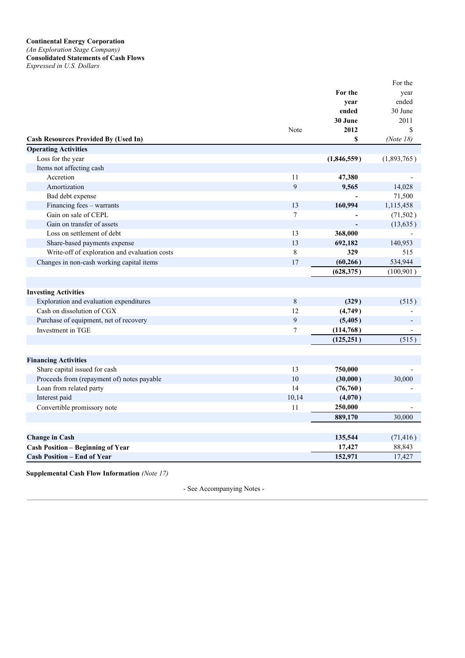### **Continental Energy Corporation** *(An Exploration Stage Company)* **Consolidated Statements of Cash Flows** *Expressed in U.S. Dollars*

|                                               |              |             | For the     |
|-----------------------------------------------|--------------|-------------|-------------|
|                                               |              | For the     | year        |
|                                               |              | year        | ended       |
|                                               |              | ended       | 30 June     |
|                                               |              | 30 June     | 2011        |
|                                               | Note         | 2012        | \$          |
| <b>Cash Resources Provided By (Used In)</b>   |              | \$          | (Note 18)   |
| <b>Operating Activities</b>                   |              |             |             |
| Loss for the year                             |              | (1,846,559) | (1,893,765) |
| Items not affecting cash                      |              |             |             |
| Accretion                                     | 11           | 47,380      |             |
| Amortization                                  | $\mathbf{Q}$ | 9,565       | 14,028      |
| Bad debt expense                              |              |             | 71,500      |
| Financing fees - warrants                     | 13           | 160,994     | 1,115,458   |
| Gain on sale of CEPL                          | $\tau$       |             | (71, 502)   |
| Gain on transfer of assets                    |              |             | (13, 635)   |
| Loss on settlement of debt                    | 13           | 368,000     |             |
| Share-based payments expense                  | 13           | 692,182     | 140,953     |
| Write-off of exploration and evaluation costs | 8            | 329         | 515         |
| Changes in non-cash working capital items     | 17           | (60, 266)   | 534,944     |
|                                               |              | (628, 375)  | (100, 901)  |
|                                               |              |             |             |
| <b>Investing Activities</b>                   |              |             |             |
| Exploration and evaluation expenditures       | 8            | (329)       | (515)       |
| Cash on dissolution of CGX                    | 12           | (4,749)     |             |
| Purchase of equipment, net of recovery        | 9            | (5, 405)    |             |
| Investment in TGE                             | $\tau$       | (114, 768)  |             |
|                                               |              | (125, 251)  | (515)       |
|                                               |              |             |             |
| <b>Financing Activities</b>                   |              |             |             |
| Share capital issued for cash                 | 13           | 750,000     |             |
| Proceeds from (repayment of) notes payable    | 10           | (30,000)    | 30,000      |
| Loan from related party                       | 14           | (76, 760)   |             |
| Interest paid                                 | 10,14        | (4,070)     |             |
| Convertible promissory note                   | 11           | 250,000     |             |
|                                               |              | 889,170     | 30,000      |
|                                               |              |             |             |
| <b>Change in Cash</b>                         |              | 135,544     | (71, 416)   |
| Cash Position - Beginning of Year             |              | 17,427      | 88,843      |
| <b>Cash Position - End of Year</b>            |              | 152,971     | 17,427      |
|                                               |              |             |             |

**Supplemental Cash Flow Information** *(Note 17)*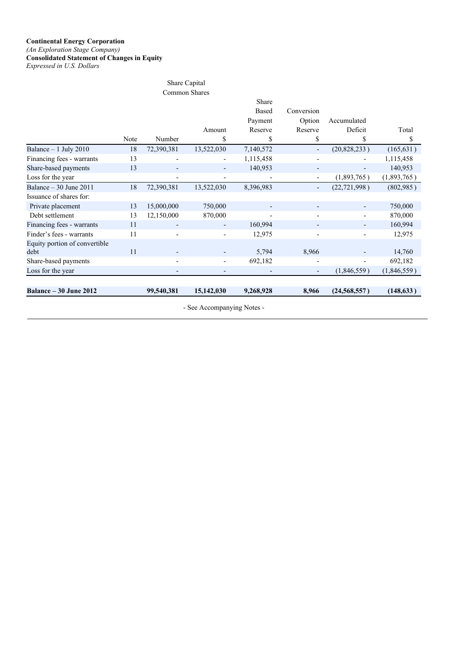# **Continental Energy Corporation**

*(An Exploration Stage Company)*

# **Consolidated Statement of Changes in Equity**

*Expressed in U.S. Dollars*

|                                       |      |                              | Share Capital            |           |                          |                |             |
|---------------------------------------|------|------------------------------|--------------------------|-----------|--------------------------|----------------|-------------|
|                                       |      |                              | Common Shares            |           |                          |                |             |
|                                       |      |                              |                          | Share     |                          |                |             |
|                                       |      |                              |                          | Based     | Conversion               |                |             |
|                                       |      |                              |                          | Payment   | Option                   | Accumulated    |             |
|                                       |      |                              | Amount                   | Reserve   | Reserve                  | Deficit        | Total       |
|                                       | Note | Number                       | \$                       | \$        | \$                       | \$             | \$          |
| Balance $-1$ July 2010                | 18   | 72,390,381                   | 13,522,030               | 7,140,572 |                          | (20, 828, 233) | (165, 631)  |
| Financing fees - warrants             | 13   |                              |                          | 1,115,458 |                          |                | 1,115,458   |
| Share-based payments                  | 13   |                              |                          | 140,953   |                          |                | 140,953     |
| Loss for the year                     |      | $\qquad \qquad \blacksquare$ | $\overline{\phantom{a}}$ |           | $\overline{\phantom{a}}$ | (1,893,765)    | (1,893,765) |
| Balance $-30$ June 2011               | 18   | 72,390,381                   | 13,522,030               | 8,396,983 |                          | (22, 721, 998) | (802,985)   |
| Issuance of shares for:               |      |                              |                          |           |                          |                |             |
| Private placement                     | 13   | 15,000,000                   | 750,000                  |           |                          |                | 750,000     |
| Debt settlement                       | 13   | 12,150,000                   | 870,000                  |           |                          |                | 870,000     |
| Financing fees - warrants             | 11   |                              | $\overline{\phantom{a}}$ | 160,994   |                          |                | 160,994     |
| Finder's fees - warrants              | 11   | $\overline{a}$               |                          | 12,975    | $\overline{\phantom{0}}$ |                | 12,975      |
| Equity portion of convertible<br>debt | 11   |                              |                          | 5,794     | 8,966                    |                | 14,760      |
| Share-based payments                  |      |                              | $\overline{\phantom{0}}$ | 692,182   |                          |                | 692,182     |
| Loss for the year                     |      |                              | $\overline{\phantom{0}}$ |           |                          | (1,846,559)    | (1,846,559) |
|                                       |      |                              |                          |           |                          |                |             |
| Balance – 30 June 2012                |      | 99,540,381                   | 15,142,030               | 9,268,928 | 8,966                    | (24, 568, 557) | (148, 633)  |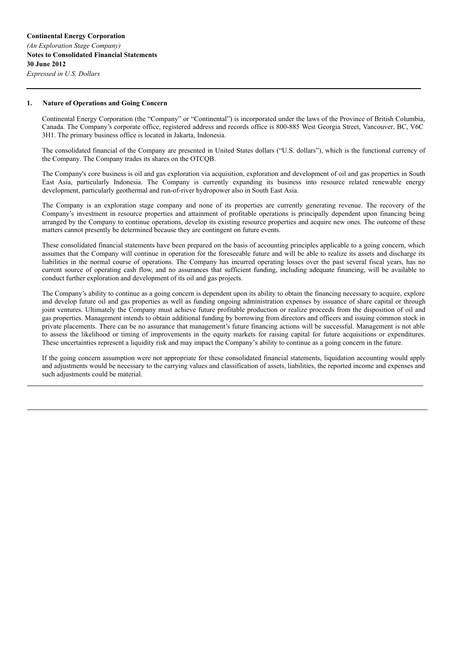#### **1. Nature of Operations and Going Concern**

Continental Energy Corporation (the "Company" or "Continental") is incorporated under the laws of the Province of British Columbia, Canada. The Company's corporate office, registered address and records office is 800-885 West Georgia Street, Vancouver, BC, V6C 3H1. The primary business office is located in Jakarta, Indonesia.

The consolidated financial of the Company are presented in United States dollars ("U.S. dollars"), which is the functional currency of the Company. The Company trades its shares on the OTCQB.

The Company's core business is oil and gas exploration via acquisition, exploration and development of oil and gas properties in South East Asia, particularly Indonesia. The Company is currently expanding its business into resource related renewable energy development, particularly geothermal and run-of-river hydropower also in South East Asia.

The Company is an exploration stage company and none of its properties are currently generating revenue. The recovery of the Company's investment in resource properties and attainment of profitable operations is principally dependent upon financing being arranged by the Company to continue operations, develop its existing resource properties and acquire new ones. The outcome of these matters cannot presently be determined because they are contingent on future events.

These consolidated financial statements have been prepared on the basis of accounting principles applicable to a going concern, which assumes that the Company will continue in operation for the foreseeable future and will be able to realize its assets and discharge its liabilities in the normal course of operations. The Company has incurred operating losses over the past several fiscal years, has no current source of operating cash flow, and no assurances that sufficient funding, including adequate financing, will be available to conduct further exploration and development of its oil and gas projects.

The Company's ability to continue as a going concern is dependent upon its ability to obtain the financing necessary to acquire, explore and develop future oil and gas properties as well as funding ongoing administration expenses by issuance of share capital or through joint ventures. Ultimately the Company must achieve future profitable production or realize proceeds from the disposition of oil and gas properties. Management intends to obtain additional funding by borrowing from directors and officers and issuing common stock in private placements. There can be no assurance that management's future financing actions will be successful. Management is not able to assess the likelihood or timing of improvements in the equity markets for raising capital for future acquisitions or expenditures. These uncertainties represent a liquidity risk and may impact the Company's ability to continue as a going concern in the future.

If the going concern assumption were not appropriate for these consolidated financial statements, liquidation accounting would apply and adjustments would be necessary to the carrying values and classification of assets, liabilities, the reported income and expenses and such adjustments could be material.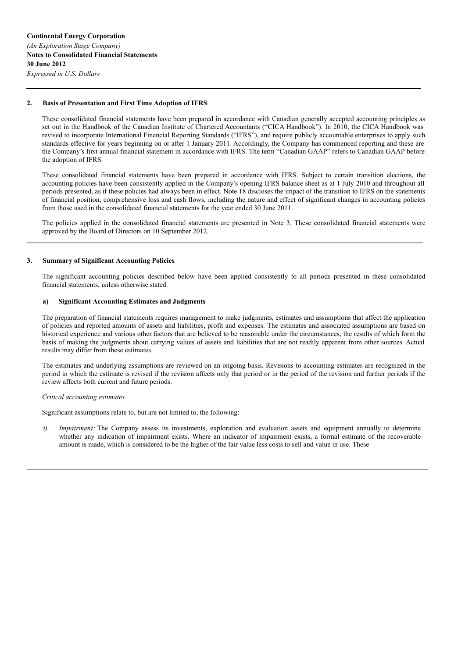### **2. Basis of Presentation and First Time Adoption of IFRS**

These consolidated financial statements have been prepared in accordance with Canadian generally accepted accounting principles as set out in the Handbook of the Canadian Institute of Chartered Accountants ("CICA Handbook"). In 2010, the CICA Handbook was revised to incorporate International Financial Reporting Standards ("IFRS"), and require publicly accountable enterprises to apply such standards effective for years beginning on or after 1 January 2011. Accordingly, the Company has commenced reporting and these are the Company's first annual financial statement in accordance with IFRS. The term "Canadian GAAP" refers to Canadian GAAP before the adoption of IFRS.

These consolidated financial statements have been prepared in accordance with IFRS. Subject to certain transition elections, the accounting policies have been consistently applied in the Company's opening IFRS balance sheet as at 1 July 2010 and throughout all periods presented, as if these policies had always been in effect. Note 18 discloses the impact of the transition to IFRS on the statements of financial position, comprehensive loss and cash flows, including the nature and effect of significant changes in accounting policies from those used in the consolidated financial statements for the year ended 30 June 2011.

The policies applied in the consolidated financial statements are presented in Note 3. These consolidated financial statements were approved by the Board of Directors on 10 September 2012.

### **3. Summary of Significant Accounting Policies**

The significant accounting policies described below have been applied consistently to all periods presented in these consolidated financial statements, unless otherwise stated.

#### **a) Significant Accounting Estimates and Judgments**

The preparation of financial statements requires management to make judgments, estimates and assumptions that affect the application of policies and reported amounts of assets and liabilities, profit and expenses. The estimates and associated assumptions are based on historical experience and various other factors that are believed to be reasonable under the circumstances, the results of which form the basis of making the judgments about carrying values of assets and liabilities that are not readily apparent from other sources. Actual results may differ from these estimates.

The estimates and underlying assumptions are reviewed on an ongoing basis. Revisions to accounting estimates are recognized in the period in which the estimate is revised if the revision affects only that period or in the period of the revision and further periods if the review affects both current and future periods.

### *Critical accounting estimates*

Significant assumptions relate to, but are not limited to, the following:

*i) Impairment:* The Company assess its investments, exploration and evaluation assets and equipment annually to determine whether any indication of impairment exists. Where an indicator of impairment exists, a formal estimate of the recoverable amount is made, which is considered to be the higher of the fair value less costs to sell and value in use. These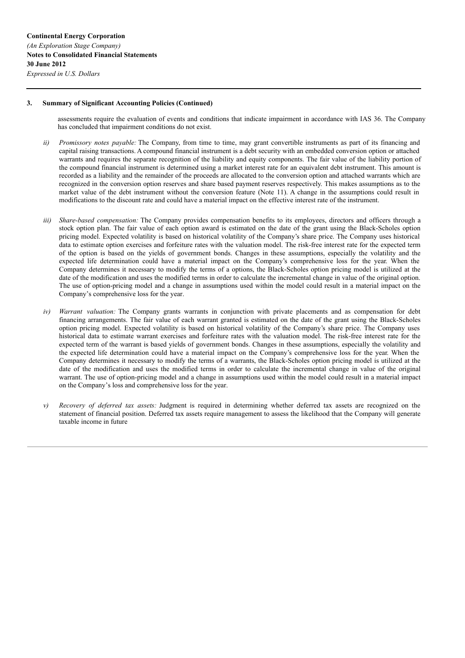assessments require the evaluation of events and conditions that indicate impairment in accordance with IAS 36. The Company has concluded that impairment conditions do not exist.

- *ii) Promissory notes payable:* The Company, from time to time, may grant convertible instruments as part of its financing and capital raising transactions. A compound financial instrument is a debt security with an embedded conversion option or attached warrants and requires the separate recognition of the liability and equity components. The fair value of the liability portion of the compound financial instrument is determined using a market interest rate for an equivalent debt instrument. This amount is recorded as a liability and the remainder of the proceeds are allocated to the conversion option and attached warrants which are recognized in the conversion option reserves and share based payment reserves respectively. This makes assumptions as to the market value of the debt instrument without the conversion feature (Note 11). A change in the assumptions could result in modifications to the discount rate and could have a material impact on the effective interest rate of the instrument.
- *iii) Share-based compensation:* The Company provides compensation benefits to its employees, directors and officers through a stock option plan. The fair value of each option award is estimated on the date of the grant using the Black-Scholes option pricing model. Expected volatility is based on historical volatility of the Company's share price. The Company uses historical data to estimate option exercises and forfeiture rates with the valuation model. The risk-free interest rate for the expected term of the option is based on the yields of government bonds. Changes in these assumptions, especially the volatility and the expected life determination could have a material impact on the Company's comprehensive loss for the year. When the Company determines it necessary to modify the terms of a options, the Black-Scholes option pricing model is utilized at the date of the modification and uses the modified terms in order to calculate the incremental change in value of the original option. The use of option-pricing model and a change in assumptions used within the model could result in a material impact on the Company's comprehensive loss for the year.
- *iv) Warrant valuation:* The Company grants warrants in conjunction with private placements and as compensation for debt financing arrangements. The fair value of each warrant granted is estimated on the date of the grant using the Black-Scholes option pricing model. Expected volatility is based on historical volatility of the Company's share price. The Company uses historical data to estimate warrant exercises and forfeiture rates with the valuation model. The risk-free interest rate for the expected term of the warrant is based yields of government bonds. Changes in these assumptions, especially the volatility and the expected life determination could have a material impact on the Company's comprehensive loss for the year. When the Company determines it necessary to modify the terms of a warrants, the Black-Scholes option pricing model is utilized at the date of the modification and uses the modified terms in order to calculate the incremental change in value of the original warrant. The use of option-pricing model and a change in assumptions used within the model could result in a material impact on the Company's loss and comprehensive loss for the year.
- *v) Recovery of deferred tax assets:* Judgment is required in determining whether deferred tax assets are recognized on the statement of financial position. Deferred tax assets require management to assess the likelihood that the Company will generate taxable income in future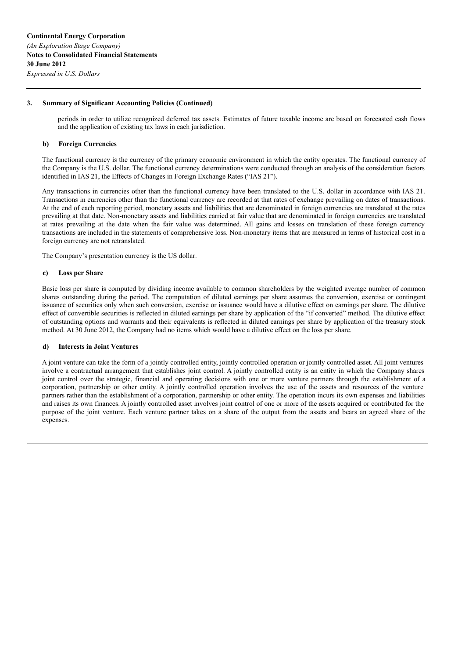periods in order to utilize recognized deferred tax assets. Estimates of future taxable income are based on forecasted cash flows and the application of existing tax laws in each jurisdiction.

### **b) Foreign Currencies**

The functional currency is the currency of the primary economic environment in which the entity operates. The functional currency of the Company is the U.S. dollar. The functional currency determinations were conducted through an analysis of the consideration factors identified in IAS 21, the Effects of Changes in Foreign Exchange Rates ("IAS 21").

Any transactions in currencies other than the functional currency have been translated to the U.S. dollar in accordance with IAS 21. Transactions in currencies other than the functional currency are recorded at that rates of exchange prevailing on dates of transactions. At the end of each reporting period, monetary assets and liabilities that are denominated in foreign currencies are translated at the rates prevailing at that date. Non-monetary assets and liabilities carried at fair value that are denominated in foreign currencies are translated at rates prevailing at the date when the fair value was determined. All gains and losses on translation of these foreign currency transactions are included in the statements of comprehensive loss. Non-monetary items that are measured in terms of historical cost in a foreign currency are not retranslated.

The Company's presentation currency is the US dollar.

#### **c) Loss per Share**

Basic loss per share is computed by dividing income available to common shareholders by the weighted average number of common shares outstanding during the period. The computation of diluted earnings per share assumes the conversion, exercise or contingent issuance of securities only when such conversion, exercise or issuance would have a dilutive effect on earnings per share. The dilutive effect of convertible securities is reflected in diluted earnings per share by application of the "if converted" method. The dilutive effect of outstanding options and warrants and their equivalents is reflected in diluted earnings per share by application of the treasury stock method. At 30 June 2012, the Company had no items which would have a dilutive effect on the loss per share.

### **d) Interests in Joint Ventures**

A joint venture can take the form of a jointly controlled entity, jointly controlled operation or jointly controlled asset. All joint ventures involve a contractual arrangement that establishes joint control. A jointly controlled entity is an entity in which the Company shares joint control over the strategic, financial and operating decisions with one or more venture partners through the establishment of a corporation, partnership or other entity. A jointly controlled operation involves the use of the assets and resources of the venture partners rather than the establishment of a corporation, partnership or other entity. The operation incurs its own expenses and liabilities and raises its own finances. A jointly controlled asset involves joint control of one or more of the assets acquired or contributed for the purpose of the joint venture. Each venture partner takes on a share of the output from the assets and bears an agreed share of the expenses.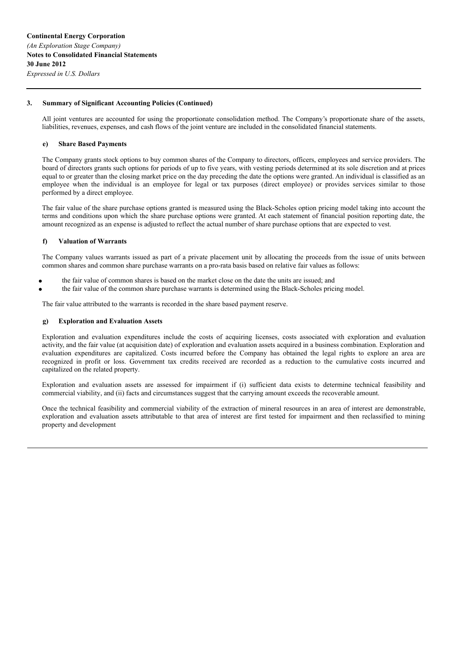All joint ventures are accounted for using the proportionate consolidation method. The Company's proportionate share of the assets, liabilities, revenues, expenses, and cash flows of the joint venture are included in the consolidated financial statements.

#### **e) Share Based Payments**

The Company grants stock options to buy common shares of the Company to directors, officers, employees and service providers. The board of directors grants such options for periods of up to five years, with vesting periods determined at its sole discretion and at prices equal to or greater than the closing market price on the day preceding the date the options were granted. An individual is classified as an employee when the individual is an employee for legal or tax purposes (direct employee) or provides services similar to those performed by a direct employee.

The fair value of the share purchase options granted is measured using the Black-Scholes option pricing model taking into account the terms and conditions upon which the share purchase options were granted. At each statement of financial position reporting date, the amount recognized as an expense is adjusted to reflect the actual number of share purchase options that are expected to vest.

### **f) Valuation of Warrants**

The Company values warrants issued as part of a private placement unit by allocating the proceeds from the issue of units between common shares and common share purchase warrants on a pro-rata basis based on relative fair values as follows:

- the fair value of common shares is based on the market close on the date the units are issued; and
- the fair value of the common share purchase warrants is determined using the Black-Scholes pricing model.

The fair value attributed to the warrants is recorded in the share based payment reserve.

### **g) Exploration and Evaluation Assets**

Exploration and evaluation expenditures include the costs of acquiring licenses, costs associated with exploration and evaluation activity, and the fair value (at acquisition date) of exploration and evaluation assets acquired in a business combination. Exploration and evaluation expenditures are capitalized. Costs incurred before the Company has obtained the legal rights to explore an area are recognized in profit or loss. Government tax credits received are recorded as a reduction to the cumulative costs incurred and capitalized on the related property.

Exploration and evaluation assets are assessed for impairment if (i) sufficient data exists to determine technical feasibility and commercial viability, and (ii) facts and circumstances suggest that the carrying amount exceeds the recoverable amount.

Once the technical feasibility and commercial viability of the extraction of mineral resources in an area of interest are demonstrable, exploration and evaluation assets attributable to that area of interest are first tested for impairment and then reclassified to mining property and development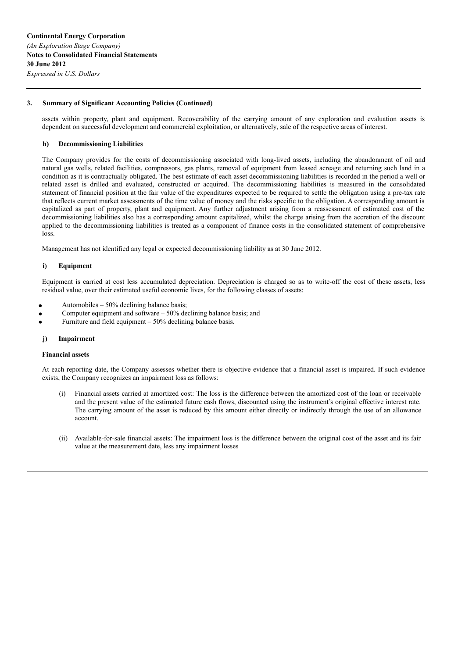assets within property, plant and equipment. Recoverability of the carrying amount of any exploration and evaluation assets is dependent on successful development and commercial exploitation, or alternatively, sale of the respective areas of interest.

### **h) Decommissioning Liabilities**

The Company provides for the costs of decommissioning associated with long-lived assets, including the abandonment of oil and natural gas wells, related facilities, compressors, gas plants, removal of equipment from leased acreage and returning such land in a condition as it is contractually obligated. The best estimate of each asset decommissioning liabilities is recorded in the period a well or related asset is drilled and evaluated, constructed or acquired. The decommissioning liabilities is measured in the consolidated statement of financial position at the fair value of the expenditures expected to be required to settle the obligation using a pre-tax rate that reflects current market assessments of the time value of money and the risks specific to the obligation. A corresponding amount is capitalized as part of property, plant and equipment. Any further adjustment arising from a reassessment of estimated cost of the decommissioning liabilities also has a corresponding amount capitalized, whilst the charge arising from the accretion of the discount applied to the decommissioning liabilities is treated as a component of finance costs in the consolidated statement of comprehensive loss.

Management has not identified any legal or expected decommissioning liability as at 30 June 2012.

#### **i) Equipment**

Equipment is carried at cost less accumulated depreciation. Depreciation is charged so as to write-off the cost of these assets, less residual value, over their estimated useful economic lives, for the following classes of assets:

- Automobiles 50% declining balance basis;
- Computer equipment and software 50% declining balance basis; and
- Furniture and field equipment 50% declining balance basis.

### **j) Impairment**

#### **Financial assets**

At each reporting date, the Company assesses whether there is objective evidence that a financial asset is impaired. If such evidence exists, the Company recognizes an impairment loss as follows:

- (i) Financial assets carried at amortized cost: The loss is the difference between the amortized cost of the loan or receivable and the present value of the estimated future cash flows, discounted using the instrument's original effective interest rate. The carrying amount of the asset is reduced by this amount either directly or indirectly through the use of an allowance account.
- (ii) Available-for-sale financial assets: The impairment loss is the difference between the original cost of the asset and its fair value at the measurement date, less any impairment losses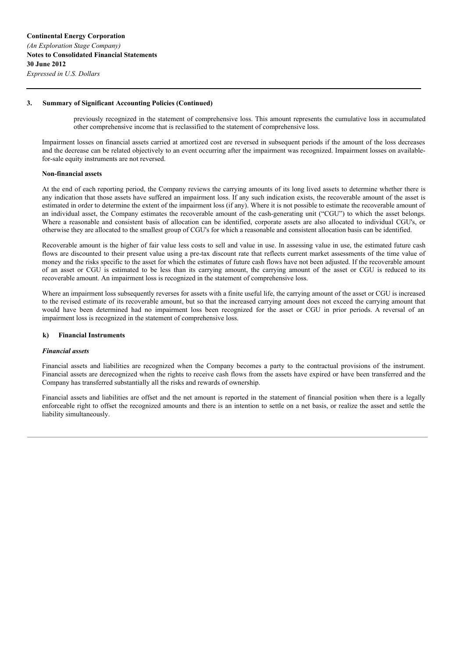previously recognized in the statement of comprehensive loss. This amount represents the cumulative loss in accumulated other comprehensive income that is reclassified to the statement of comprehensive loss.

Impairment losses on financial assets carried at amortized cost are reversed in subsequent periods if the amount of the loss decreases and the decrease can be related objectively to an event occurring after the impairment was recognized. Impairment losses on availablefor-sale equity instruments are not reversed.

### **Non-financial assets**

At the end of each reporting period, the Company reviews the carrying amounts of its long lived assets to determine whether there is any indication that those assets have suffered an impairment loss. If any such indication exists, the recoverable amount of the asset is estimated in order to determine the extent of the impairment loss (if any). Where it is not possible to estimate the recoverable amount of an individual asset, the Company estimates the recoverable amount of the cash-generating unit ("CGU") to which the asset belongs. Where a reasonable and consistent basis of allocation can be identified, corporate assets are also allocated to individual CGU's, or otherwise they are allocated to the smallest group of CGU's for which a reasonable and consistent allocation basis can be identified.

Recoverable amount is the higher of fair value less costs to sell and value in use. In assessing value in use, the estimated future cash flows are discounted to their present value using a pre-tax discount rate that reflects current market assessments of the time value of money and the risks specific to the asset for which the estimates of future cash flows have not been adjusted. If the recoverable amount of an asset or CGU is estimated to be less than its carrying amount, the carrying amount of the asset or CGU is reduced to its recoverable amount. An impairment loss is recognized in the statement of comprehensive loss.

Where an impairment loss subsequently reverses for assets with a finite useful life, the carrying amount of the asset or CGU is increased to the revised estimate of its recoverable amount, but so that the increased carrying amount does not exceed the carrying amount that would have been determined had no impairment loss been recognized for the asset or CGU in prior periods. A reversal of an impairment loss is recognized in the statement of comprehensive loss.

#### **k) Financial Instruments**

#### *Financial assets*

Financial assets and liabilities are recognized when the Company becomes a party to the contractual provisions of the instrument. Financial assets are derecognized when the rights to receive cash flows from the assets have expired or have been transferred and the Company has transferred substantially all the risks and rewards of ownership.

Financial assets and liabilities are offset and the net amount is reported in the statement of financial position when there is a legally enforceable right to offset the recognized amounts and there is an intention to settle on a net basis, or realize the asset and settle the liability simultaneously.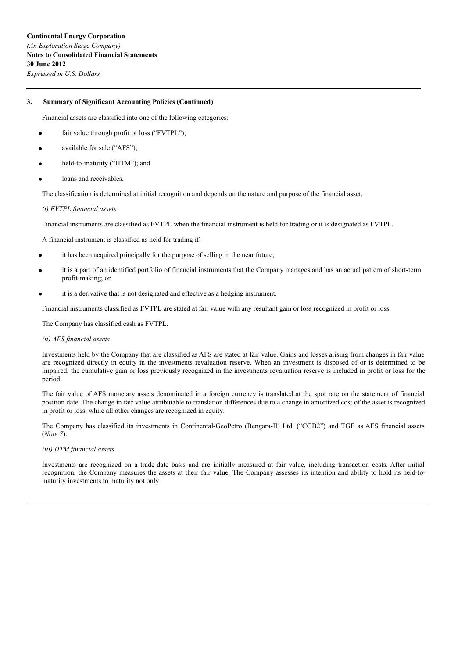Financial assets are classified into one of the following categories:

- fair value through profit or loss ("FVTPL");
- available for sale ("AFS");
- held-to-maturity ("HTM"); and
- loans and receivables.

The classification is determined at initial recognition and depends on the nature and purpose of the financial asset.

#### *(i) FVTPL financial assets*

Financial instruments are classified as FVTPL when the financial instrument is held for trading or it is designated as FVTPL.

A financial instrument is classified as held for trading if:

- it has been acquired principally for the purpose of selling in the near future;
- it is a part of an identified portfolio of financial instruments that the Company manages and has an actual pattern of short-term profit-making; or
- it is a derivative that is not designated and effective as a hedging instrument.

Financial instruments classified as FVTPL are stated at fair value with any resultant gain or loss recognized in profit or loss.

The Company has classified cash as FVTPL.

#### *(ii) AFS financial assets*

Investments held by the Company that are classified as AFS are stated at fair value. Gains and losses arising from changes in fair value are recognized directly in equity in the investments revaluation reserve. When an investment is disposed of or is determined to be impaired, the cumulative gain or loss previously recognized in the investments revaluation reserve is included in profit or loss for the period.

The fair value of AFS monetary assets denominated in a foreign currency is translated at the spot rate on the statement of financial position date. The change in fair value attributable to translation differences due to a change in amortized cost of the asset is recognized in profit or loss, while all other changes are recognized in equity.

The Company has classified its investments in Continental-GeoPetro (Bengara-II) Ltd. ("CGB2") and TGE as AFS financial assets (*Note 7*).

### *(iii) HTM financial assets*

Investments are recognized on a trade-date basis and are initially measured at fair value, including transaction costs. After initial recognition, the Company measures the assets at their fair value. The Company assesses its intention and ability to hold its held-tomaturity investments to maturity not only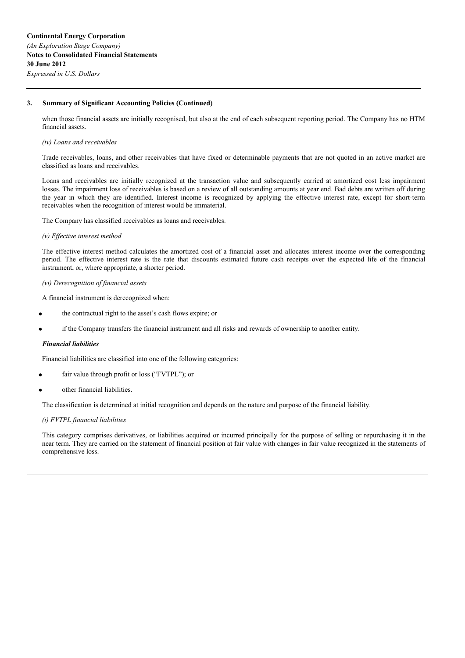when those financial assets are initially recognised, but also at the end of each subsequent reporting period. The Company has no HTM financial assets.

#### *(iv) Loans and receivables*

Trade receivables, loans, and other receivables that have fixed or determinable payments that are not quoted in an active market are classified as loans and receivables.

Loans and receivables are initially recognized at the transaction value and subsequently carried at amortized cost less impairment losses. The impairment loss of receivables is based on a review of all outstanding amounts at year end. Bad debts are written off during the year in which they are identified. Interest income is recognized by applying the effective interest rate, except for short-term receivables when the recognition of interest would be immaterial.

The Company has classified receivables as loans and receivables.

#### *(v) Ef ective interest method*

The effective interest method calculates the amortized cost of a financial asset and allocates interest income over the corresponding period. The effective interest rate is the rate that discounts estimated future cash receipts over the expected life of the financial instrument, or, where appropriate, a shorter period.

### *(vi) Derecognition of financial assets*

A financial instrument is derecognized when:

- the contractual right to the asset's cash flows expire; or
- if the Company transfers the financial instrument and all risks and rewards of ownership to another entity.

#### *Financial liabilities*

Financial liabilities are classified into one of the following categories:

- fair value through profit or loss ("FVTPL"); or
- other financial liabilities.

The classification is determined at initial recognition and depends on the nature and purpose of the financial liability.

### *(i) FVTPL financial liabilities*

This category comprises derivatives, or liabilities acquired or incurred principally for the purpose of selling or repurchasing it in the near term. They are carried on the statement of financial position at fair value with changes in fair value recognized in the statements of comprehensive loss.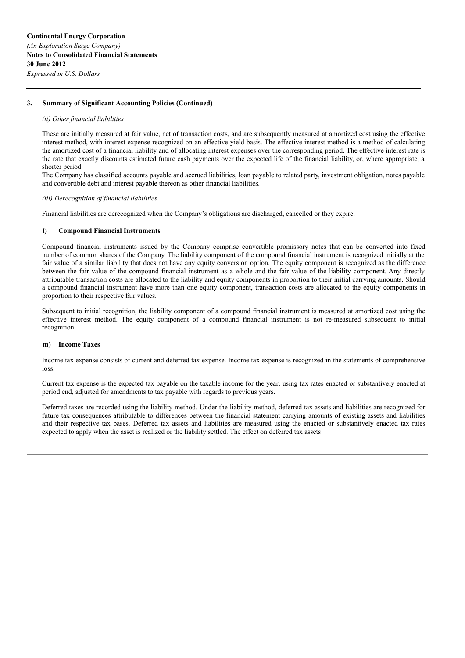### *(ii) Other financial liabilities*

These are initially measured at fair value, net of transaction costs, and are subsequently measured at amortized cost using the effective interest method, with interest expense recognized on an effective yield basis. The effective interest method is a method of calculating the amortized cost of a financial liability and of allocating interest expenses over the corresponding period. The effective interest rate is the rate that exactly discounts estimated future cash payments over the expected life of the financial liability, or, where appropriate, a shorter period.

The Company has classified accounts payable and accrued liabilities, loan payable to related party, investment obligation, notes payable and convertible debt and interest payable thereon as other financial liabilities.

#### *(iii) Derecognition of financial liabilities*

Financial liabilities are derecognized when the Company's obligations are discharged, cancelled or they expire.

#### **l) Compound Financial Instruments**

Compound financial instruments issued by the Company comprise convertible promissory notes that can be converted into fixed number of common shares of the Company. The liability component of the compound financial instrument is recognized initially at the fair value of a similar liability that does not have any equity conversion option. The equity component is recognized as the difference between the fair value of the compound financial instrument as a whole and the fair value of the liability component. Any directly attributable transaction costs are allocated to the liability and equity components in proportion to their initial carrying amounts. Should a compound financial instrument have more than one equity component, transaction costs are allocated to the equity components in proportion to their respective fair values.

Subsequent to initial recognition, the liability component of a compound financial instrument is measured at amortized cost using the effective interest method. The equity component of a compound financial instrument is not re-measured subsequent to initial recognition.

#### **m) Income Taxes**

Income tax expense consists of current and deferred tax expense. Income tax expense is recognized in the statements of comprehensive loss.

Current tax expense is the expected tax payable on the taxable income for the year, using tax rates enacted or substantively enacted at period end, adjusted for amendments to tax payable with regards to previous years.

Deferred taxes are recorded using the liability method. Under the liability method, deferred tax assets and liabilities are recognized for future tax consequences attributable to differences between the financial statement carrying amounts of existing assets and liabilities and their respective tax bases. Deferred tax assets and liabilities are measured using the enacted or substantively enacted tax rates expected to apply when the asset is realized or the liability settled. The effect on deferred tax assets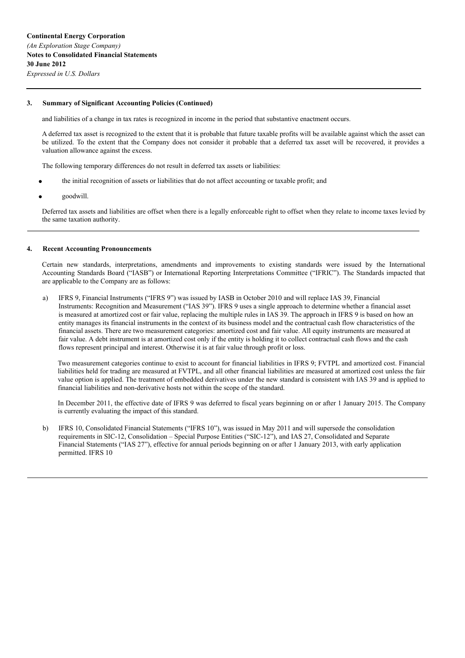and liabilities of a change in tax rates is recognized in income in the period that substantive enactment occurs.

A deferred tax asset is recognized to the extent that it is probable that future taxable profits will be available against which the asset can be utilized. To the extent that the Company does not consider it probable that a deferred tax asset will be recovered, it provides a valuation allowance against the excess.

The following temporary differences do not result in deferred tax assets or liabilities:

- the initial recognition of assets or liabilities that do not affect accounting or taxable profit; and
- goodwill.

Deferred tax assets and liabilities are offset when there is a legally enforceable right to offset when they relate to income taxes levied by the same taxation authority.

#### **4. Recent Accounting Pronouncements**

Certain new standards, interpretations, amendments and improvements to existing standards were issued by the International Accounting Standards Board ("IASB") or International Reporting Interpretations Committee ("IFRIC"). The Standards impacted that are applicable to the Company are as follows:

a) IFRS 9, Financial Instruments ("IFRS 9") was issued by IASB in October 2010 and will replace IAS 39, Financial Instruments: Recognition and Measurement ("IAS 39"). IFRS 9 uses a single approach to determine whether a financial asset is measured at amortized cost or fair value, replacing the multiple rules in IAS 39. The approach in IFRS 9 is based on how an entity manages its financial instruments in the context of its business model and the contractual cash flow characteristics of the financial assets. There are two measurement categories: amortized cost and fair value. All equity instruments are measured at fair value. A debt instrument is at amortized cost only if the entity is holding it to collect contractual cash flows and the cash flows represent principal and interest. Otherwise it is at fair value through profit or loss.

Two measurement categories continue to exist to account for financial liabilities in IFRS 9; FVTPL and amortized cost. Financial liabilities held for trading are measured at FVTPL, and all other financial liabilities are measured at amortized cost unless the fair value option is applied. The treatment of embedded derivatives under the new standard is consistent with IAS 39 and is applied to financial liabilities and non-derivative hosts not within the scope of the standard.

In December 2011, the effective date of IFRS 9 was deferred to fiscal years beginning on or after 1 January 2015. The Company is currently evaluating the impact of this standard.

b) IFRS 10, Consolidated Financial Statements ("IFRS 10"), was issued in May 2011 and will supersede the consolidation requirements in SIC-12, Consolidation – Special Purpose Entities ("SIC-12"), and IAS 27, Consolidated and Separate Financial Statements ("IAS 27"), effective for annual periods beginning on or after 1 January 2013, with early application permitted. IFRS 10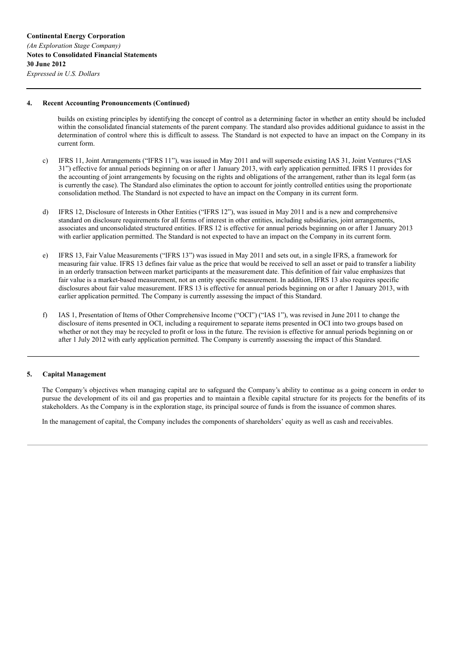### **4. Recent Accounting Pronouncements (Continued)**

builds on existing principles by identifying the concept of control as a determining factor in whether an entity should be included within the consolidated financial statements of the parent company. The standard also provides additional guidance to assist in the determination of control where this is difficult to assess. The Standard is not expected to have an impact on the Company in its current form.

- c) IFRS 11, Joint Arrangements ("IFRS 11"), was issued in May 2011 and will supersede existing IAS 31, Joint Ventures ("IAS 31") effective for annual periods beginning on or after 1 January 2013, with early application permitted. IFRS 11 provides for the accounting of joint arrangements by focusing on the rights and obligations of the arrangement, rather than its legal form (as is currently the case). The Standard also eliminates the option to account for jointly controlled entities using the proportionate consolidation method. The Standard is not expected to have an impact on the Company in its current form.
- d) IFRS 12, Disclosure of Interests in Other Entities ("IFRS 12"), was issued in May 2011 and is a new and comprehensive standard on disclosure requirements for all forms of interest in other entities, including subsidiaries, joint arrangements, associates and unconsolidated structured entities. IFRS 12 is effective for annual periods beginning on or after 1 January 2013 with earlier application permitted. The Standard is not expected to have an impact on the Company in its current form.
- e) IFRS 13, Fair Value Measurements ("IFRS 13") was issued in May 2011 and sets out, in a single IFRS, a framework for measuring fair value. IFRS 13 defines fair value as the price that would be received to sell an asset or paid to transfer a liability in an orderly transaction between market participants at the measurement date. This definition of fair value emphasizes that fair value is a market-based measurement, not an entity specific measurement. In addition, IFRS 13 also requires specific disclosures about fair value measurement. IFRS 13 is effective for annual periods beginning on or after 1 January 2013, with earlier application permitted. The Company is currently assessing the impact of this Standard.
- f) IAS 1, Presentation of Items of Other Comprehensive Income ("OCI") ("IAS 1"), was revised in June 2011 to change the disclosure of items presented in OCI, including a requirement to separate items presented in OCI into two groups based on whether or not they may be recycled to profit or loss in the future. The revision is effective for annual periods beginning on or after 1 July 2012 with early application permitted. The Company is currently assessing the impact of this Standard.

### **5. Capital Management**

The Company's objectives when managing capital are to safeguard the Company's ability to continue as a going concern in order to pursue the development of its oil and gas properties and to maintain a flexible capital structure for its projects for the benefits of its stakeholders. As the Company is in the exploration stage, its principal source of funds is from the issuance of common shares.

In the management of capital, the Company includes the components of shareholders' equity as well as cash and receivables.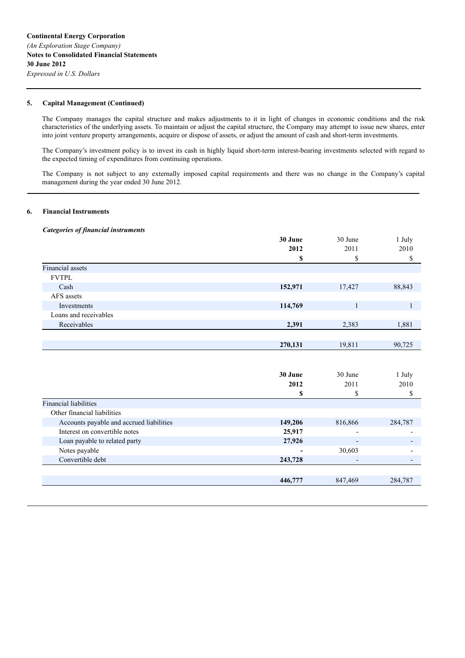### **5. Capital Management (Continued)**

The Company manages the capital structure and makes adjustments to it in light of changes in economic conditions and the risk characteristics of the underlying assets. To maintain or adjust the capital structure, the Company may attempt to issue new shares, enter into joint venture property arrangements, acquire or dispose of assets, or adjust the amount of cash and short-term investments.

The Company's investment policy is to invest its cash in highly liquid short-term interest-bearing investments selected with regard to the expected timing of expenditures from continuing operations.

The Company is not subject to any externally imposed capital requirements and there was no change in the Company's capital management during the year ended 30 June 2012.

# **6. Financial Instruments**

#### *Categories of financial instruments*

|                                          | 30 June | 30 June      | 1 July       |
|------------------------------------------|---------|--------------|--------------|
|                                          | 2012    | 2011         | 2010         |
|                                          | S       | S            | \$           |
| <b>Financial</b> assets                  |         |              |              |
| <b>FVTPL</b>                             |         |              |              |
| Cash                                     | 152,971 | 17,427       | 88,843       |
| AFS assets                               |         |              |              |
| Investments                              | 114,769 | $\mathbf{1}$ | $\mathbf{1}$ |
| Loans and receivables                    |         |              |              |
| Receivables                              | 2,391   | 2,383        | 1,881        |
|                                          |         |              |              |
|                                          | 270,131 | 19,811       | 90,725       |
|                                          |         |              |              |
|                                          |         |              |              |
|                                          | 30 June | 30 June      | 1 July       |
|                                          | 2012    | 2011         | 2010         |
|                                          | \$      | \$           | \$           |
| <b>Financial liabilities</b>             |         |              |              |
| Other financial liabilities              |         |              |              |
| Accounts payable and accrued liabilities | 149,206 | 816,866      | 284,787      |
| Interest on convertible notes            | 25,917  |              |              |
| Loan payable to related party            | 27,926  |              |              |

Notes payable **a 1** 30,603 **-** 30,603 **-** 30,603 **-**

**446,777** 847,469 284,787

Convertible debt **243,728**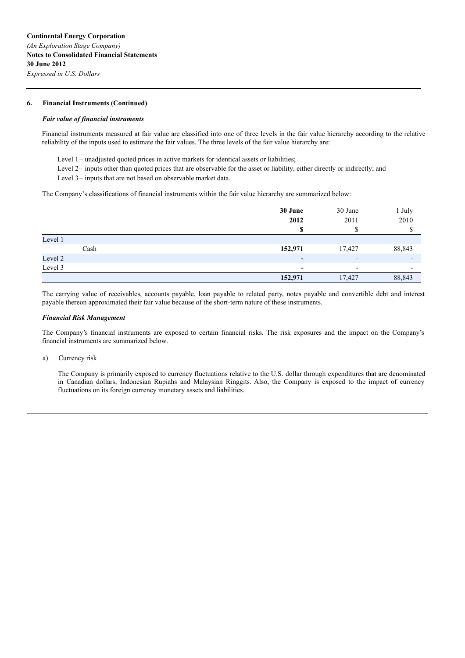### **6. Financial Instruments (Continued)**

### *Fair value of financial instruments*

Financial instruments measured at fair value are classified into one of three levels in the fair value hierarchy according to the relative reliability of the inputs used to estimate the fair values. The three levels of the fair value hierarchy are:

- Level 1– unadjusted quoted prices in active markets for identical assets or liabilities;
- Level 2– inputs other than quoted prices that are observable for the asset or liability, either directly or indirectly; and
- Level 3– inputs that are not based on observable market data.

The Company's classifications of financial instruments within the fair value hierarchy are summarized below:

|         | 30 June | 30 June | 1 July                   |
|---------|---------|---------|--------------------------|
|         | 2012    | 2011    | 2010                     |
|         |         | D       | J                        |
| Level 1 |         |         |                          |
| Cash    | 152,971 | 17,427  | 88,843                   |
| Level 2 | ۰       | -       | $\overline{\phantom{0}}$ |
| Level 3 | ۰       |         | $\overline{\phantom{0}}$ |
|         | 152,971 | 17,427  | 88,843                   |

The carrying value of receivables, accounts payable, loan payable to related party, notes payable and convertible debt and interest payable thereon approximated their fair value because of the short-term nature of these instruments.

#### *Financial Risk Management*

The Company's financial instruments are exposed to certain financial risks. The risk exposures and the impact on the Company's financial instruments are summarized below.

a) Currency risk

The Company is primarily exposed to currency fluctuations relative to the U.S. dollar through expenditures that are denominated in Canadian dollars, Indonesian Rupiahs and Malaysian Ringgits. Also, the Company is exposed to the impact of currency fluctuations on its foreign currency monetary assets and liabilities.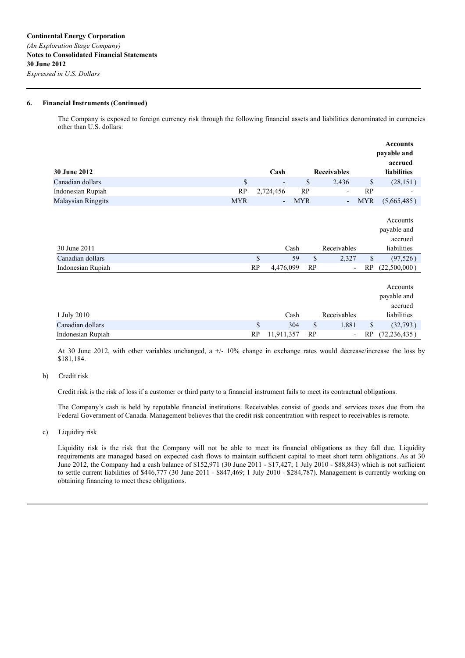### **6. Financial Instruments (Continued)**

The Company is exposed to foreign currency risk through the following financial assets and liabilities denominated in currencies other than U.S. dollars:

|                    |            |    |                          |            |              |                          |            | <b>Accounts</b> |
|--------------------|------------|----|--------------------------|------------|--------------|--------------------------|------------|-----------------|
|                    |            |    |                          |            |              |                          |            | payable and     |
|                    |            |    |                          |            |              |                          |            | accrued         |
| 30 June 2012       |            |    | Cash                     |            |              | <b>Receivables</b>       |            | liabilities     |
| Canadian dollars   | \$         |    | $\overline{\phantom{a}}$ |            | \$           | 2,436                    | \$         | (28, 151)       |
| Indonesian Rupiah  | RP         |    | 2,724,456                | RP         |              | $\overline{\phantom{a}}$ | RP         |                 |
| Malaysian Ringgits | <b>MYR</b> |    | $\overline{\phantom{a}}$ | <b>MYR</b> |              | $\overline{\phantom{a}}$ | <b>MYR</b> | (5,665,485)     |
|                    |            |    |                          |            |              |                          |            |                 |
|                    |            |    |                          |            |              |                          |            | Accounts        |
|                    |            |    |                          |            |              |                          |            | payable and     |
|                    |            |    |                          |            |              |                          |            | accrued         |
| 30 June 2011       |            |    |                          | Cash       |              | Receivables              |            | liabilities     |
| Canadian dollars   |            | \$ |                          | 59         | $\mathbf S$  | 2,327                    | \$         | (97, 526)       |
| Indonesian Rupiah  |            | RP | 4,476,099                |            | RP           | $\overline{\phantom{0}}$ | RP         | (22,500,000)    |
|                    |            |    |                          |            |              |                          |            |                 |
|                    |            |    |                          |            |              |                          |            | Accounts        |
|                    |            |    |                          |            |              |                          |            | payable and     |
|                    |            |    |                          |            |              |                          |            | accrued         |
| 1 July 2010        |            |    |                          | Cash       |              | Receivables              |            | liabilities     |
| Canadian dollars   |            | \$ |                          | 304        | $\mathbb{S}$ | 1,881                    | \$         | (32,793)        |
| Indonesian Rupiah  |            | RP | 11,911,357               |            | RP           | $\overline{\phantom{a}}$ | RP         | (72, 236, 435)  |

At 30 June 2012, with other variables unchanged, a +/- 10% change in exchange rates would decrease/increase the loss by \$181,184.

### b) Credit risk

Credit risk is the risk of loss if a customer or third party to a financial instrument fails to meet its contractual obligations.

The Company's cash is held by reputable financial institutions. Receivables consist of goods and services taxes due from the Federal Government of Canada. Management believes that the credit risk concentration with respect to receivables is remote.

c) Liquidity risk

Liquidity risk is the risk that the Company will not be able to meet its financial obligations as they fall due. Liquidity requirements are managed based on expected cash flows to maintain sufficient capital to meet short term obligations. As at 30 June 2012, the Company had a cash balance of \$152,971 (30 June 2011 - \$17,427; 1 July 2010 - \$88,843) which is not sufficient to settle current liabilities of \$446,777 (30 June 2011 - \$847,469; 1 July 2010 - \$284,787). Management is currently working on obtaining financing to meet these obligations.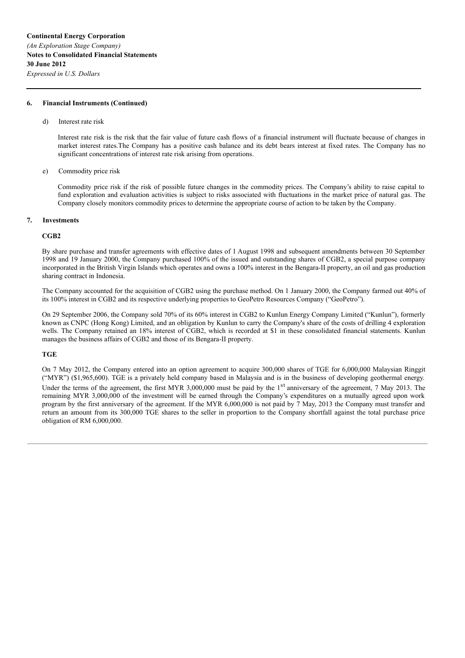#### **6. Financial Instruments (Continued)**

d) Interest rate risk

Interest rate risk is the risk that the fair value of future cash flows of a financial instrument will fluctuate because of changes in market interest rates.The Company has a positive cash balance and its debt bears interest at fixed rates. The Company has no significant concentrations of interest rate risk arising from operations.

#### e) Commodity price risk

Commodity price risk if the risk of possible future changes in the commodity prices. The Company's ability to raise capital to fund exploration and evaluation activities is subject to risks associated with fluctuations in the market price of natural gas. The Company closely monitors commodity prices to determine the appropriate course of action to be taken by the Company.

### **7. Investments**

### **CGB2**

By share purchase and transfer agreements with effective dates of 1 August 1998 and subsequent amendments between 30 September 1998 and 19 January 2000, the Company purchased 100% of the issued and outstanding shares of CGB2, a special purpose company incorporated in the British Virgin Islands which operates and owns a 100% interest in the Bengara-II property, an oil and gas production sharing contract in Indonesia.

The Company accounted for the acquisition of CGB2 using the purchase method. On 1 January 2000, the Company farmed out 40% of its 100% interest in CGB2 and its respective underlying properties to GeoPetro Resources Company ("GeoPetro").

On 29 September 2006, the Company sold 70% of its 60% interest in CGB2 to Kunlun Energy Company Limited ("Kunlun"), formerly known as CNPC (Hong Kong) Limited, and an obligation by Kunlun to carry the Company's share of the costs of drilling 4 exploration wells. The Company retained an 18% interest of CGB2, which is recorded at \$1 in these consolidated financial statements. Kunlun manages the business affairs of CGB2 and those of its Bengara-II property.

### **TGE**

On 7 May 2012, the Company entered into an option agreement to acquire 300,000 shares of TGE for 6,000,000 Malaysian Ringgit ("MYR") (\$1,965,600). TGE is a privately held company based in Malaysia and is in the business of developing geothermal energy. Under the terms of the agreement, the first MYR 3,000,000 must be paid by the 1<sup>st</sup> anniversary of the agreement, 7 May 2013. The remaining MYR 3,000,000 of the investment will be earned through the Company's expenditures on a mutually agreed upon work program by the first anniversary of the agreement. If the MYR 6,000,000 is not paid by 7 May, 2013 the Company must transfer and return an amount from its 300,000 TGE shares to the seller in proportion to the Company shortfall against the total purchase price obligation of RM 6,000,000.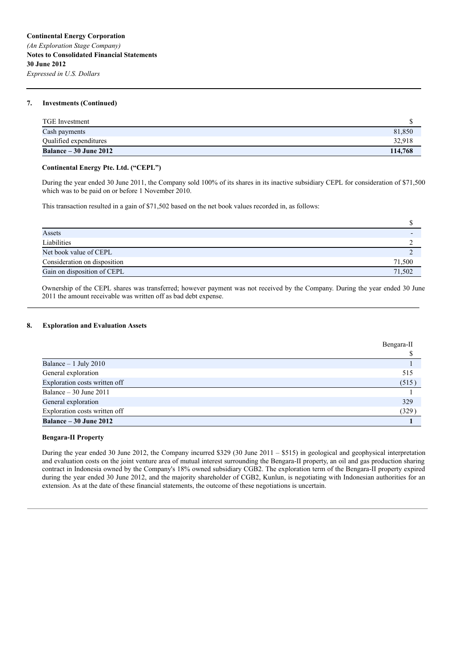### **7. Investments (Continued)**

| <b>TGE</b> Investment   |         |
|-------------------------|---------|
| Cash payments           | 81,850  |
| Qualified expenditures  | 32,918  |
| Balance $-30$ June 2012 | 114,768 |

# **Continental Energy Pte. Ltd. ("CEPL")**

During the year ended 30 June 2011, the Company sold 100% of its shares in its inactive subsidiary CEPL for consideration of \$71,500 which was to be paid on or before 1 November 2010.

This transaction resulted in a gain of \$71,502 based on the net book values recorded in, as follows:

| Assets                       |        |
|------------------------------|--------|
| Liabilities                  |        |
| Net book value of CEPL       |        |
| Consideration on disposition | 71,500 |
| Gain on disposition of CEPL  | 71,502 |

Ownership of the CEPL shares was transferred; however payment was not received by the Company. During the year ended 30 June 2011 the amount receivable was written off as bad debt expense.

### **8. Exploration and Evaluation Assets**

|                               | Bengara-II |
|-------------------------------|------------|
|                               |            |
| Balance $-1$ July 2010        |            |
| General exploration           | 515        |
| Exploration costs written off | (515)      |
| Balance $-30$ June 2011       |            |
| General exploration           | 329        |
| Exploration costs written off | (329)      |
| Balance $-30$ June 2012       |            |

### **Bengara-II Property**

During the year ended 30 June 2012, the Company incurred \$329 (30 June 2011 – \$515) in geological and geophysical interpretation and evaluation costs on the joint venture area of mutual interest surrounding the Bengara-II property, an oil and gas production sharing contract in Indonesia owned by the Company's 18% owned subsidiary CGB2. The exploration term of the Bengara-II property expired during the year ended 30 June 2012, and the majority shareholder of CGB2, Kunlun, is negotiating with Indonesian authorities for an extension. As at the date of these financial statements, the outcome of these negotiations is uncertain.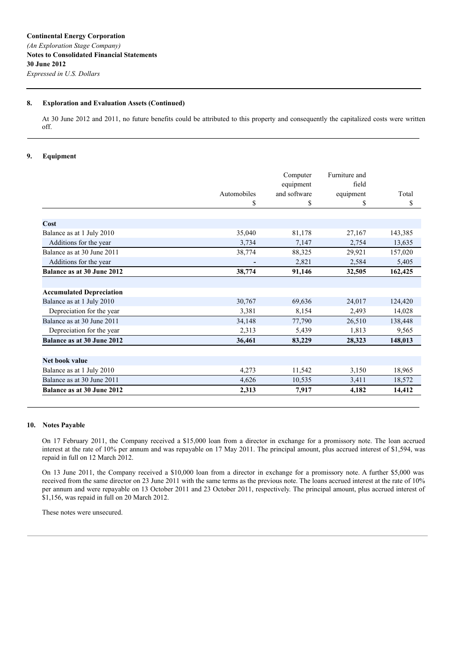### **8. Exploration and Evaluation Assets (Continued)**

At 30 June 2012 and 2011, no future benefits could be attributed to this property and consequently the capitalized costs were written off.

### **9. Equipment**

|                                 |             | Computer                  | Furniture and<br>field |         |
|---------------------------------|-------------|---------------------------|------------------------|---------|
|                                 | Automobiles | equipment<br>and software | equipment              | Total   |
|                                 | \$          | \$                        | \$                     | \$      |
|                                 |             |                           |                        |         |
| Cost                            |             |                           |                        |         |
| Balance as at 1 July 2010       | 35,040      | 81,178                    | 27,167                 | 143,385 |
| Additions for the year          | 3,734       | 7,147                     | 2,754                  | 13,635  |
| Balance as at 30 June 2011      | 38,774      | 88,325                    | 29,921                 | 157,020 |
| Additions for the year          |             | 2,821                     | 2,584                  | 5,405   |
| Balance as at 30 June 2012      | 38,774      | 91,146                    | 32,505                 | 162,425 |
|                                 |             |                           |                        |         |
| <b>Accumulated Depreciation</b> |             |                           |                        |         |
| Balance as at 1 July 2010       | 30,767      | 69,636                    | 24,017                 | 124,420 |
| Depreciation for the year       | 3,381       | 8,154                     | 2,493                  | 14,028  |
| Balance as at 30 June 2011      | 34,148      | 77,790                    | 26,510                 | 138,448 |
| Depreciation for the year       | 2,313       | 5,439                     | 1,813                  | 9,565   |
| Balance as at 30 June 2012      | 36,461      | 83,229                    | 28,323                 | 148,013 |
|                                 |             |                           |                        |         |
| Net book value                  |             |                           |                        |         |
| Balance as at 1 July 2010       | 4,273       | 11,542                    | 3,150                  | 18,965  |
| Balance as at 30 June 2011      | 4,626       | 10,535                    | 3,411                  | 18,572  |
| Balance as at 30 June 2012      | 2,313       | 7,917                     | 4,182                  | 14,412  |

#### **10. Notes Payable**

On 17 February 2011, the Company received a \$15,000 loan from a director in exchange for a promissory note. The loan accrued interest at the rate of 10% per annum and was repayable on 17 May 2011. The principal amount, plus accrued interest of \$1,594, was repaid in full on 12 March 2012.

On 13 June 2011, the Company received a \$10,000 loan from a director in exchange for a promissory note. A further \$5,000 was received from the same director on 23 June 2011 with the same terms as the previous note. The loans accrued interest at the rate of 10% per annum and were repayable on 13 October 2011 and 23 October 2011, respectively. The principal amount, plus accrued interest of \$1,156, was repaid in full on 20 March 2012.

These notes were unsecured.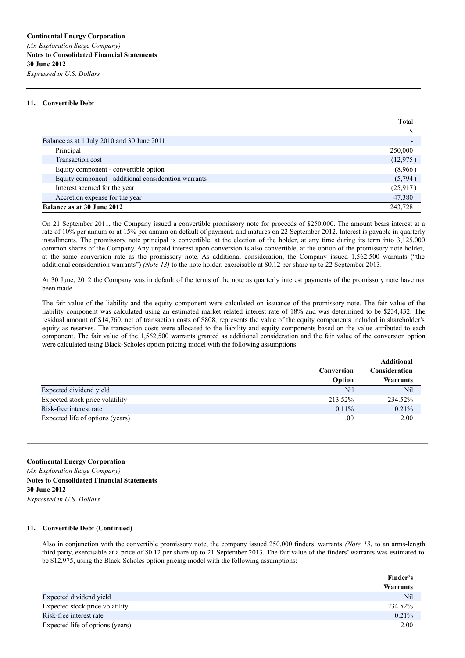### **11. Convertible Debt**

|                                                      | Total     |
|------------------------------------------------------|-----------|
|                                                      |           |
| Balance as at 1 July 2010 and 30 June 2011           |           |
| Principal                                            | 250,000   |
| Transaction cost                                     | (12, 975) |
| Equity component - convertible option                | (8,966)   |
| Equity component - additional consideration warrants | (5,794)   |
| Interest accrued for the year                        | (25,917)  |
| Accretion expense for the year                       | 47,380    |
| Balance as at 30 June 2012                           | 243.728   |

On 21 September 2011, the Company issued a convertible promissory note for proceeds of \$250,000. The amount bears interest at a rate of 10% per annum or at 15% per annum on default of payment, and matures on 22 September 2012. Interest is payable in quarterly installments. The promissory note principal is convertible, at the election of the holder, at any time during its term into 3,125,000 common shares of the Company. Any unpaid interest upon conversion is also convertible, at the option of the promissory note holder, at the same conversion rate as the promissory note. As additional consideration, the Company issued 1,562,500 warrants ("the additional consideration warrants") *(Note 13)* to the note holder, exercisable at \$0.12 per share up to 22 September 2013.

At 30 June, 2012 the Company was in default of the terms of the note as quarterly interest payments of the promissory note have not been made.

The fair value of the liability and the equity component were calculated on issuance of the promissory note. The fair value of the liability component was calculated using an estimated market related interest rate of 18% and was determined to be \$234,432. The residual amount of \$14,760, net of transaction costs of \$808, represents the value of the equity components included in shareholder's equity as reserves. The transaction costs were allocated to the liability and equity components based on the value attributed to each component. The fair value of the 1,562,500 warrants granted as additional consideration and the fair value of the conversion option were calculated using Black-Scholes option pricing model with the following assumptions:

|                                  |            | Additional    |
|----------------------------------|------------|---------------|
|                                  | Conversion | Consideration |
|                                  | Option     | Warrants      |
| Expected dividend yield          | Nil        | Nil           |
| Expected stock price volatility  | 213.52%    | 234.52%       |
| Risk-free interest rate          | $0.11\%$   | $0.21\%$      |
| Expected life of options (years) | 1.00       | 2.00          |

**Continental Energy Corporation** *(An Exploration Stage Company)* **Notes to Consolidated Financial Statements 30 June 2012** *Expressed in U.S. Dollars*

### **11. Convertible Debt (Continued)**

Also in conjunction with the convertible promissory note, the company issued 250,000 finders' warrants *(Note 13)* to an arms-length third party, exercisable at a price of \$0.12 per share up to 21 September 2013. The fair value of the finders' warrants was estimated to be \$12,975, using the Black-Scholes option pricing model with the following assumptions:

|                                  | Finder's   |
|----------------------------------|------------|
|                                  | Warrants   |
| Expected dividend yield          | <b>Nil</b> |
| Expected stock price volatility  | 234.52%    |
| Risk-free interest rate          | $0.21\%$   |
| Expected life of options (years) | 2.00       |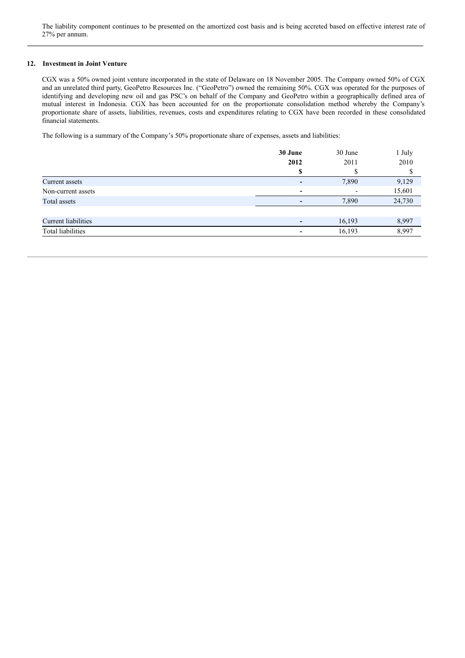The liability component continues to be presented on the amortized cost basis and is being accreted based on effective interest rate of 27% per annum.

# **12. Investment in Joint Venture**

CGX was a 50% owned joint venture incorporated in the state of Delaware on 18 November 2005. The Company owned 50% of CGX and an unrelated third party, GeoPetro Resources Inc. ("GeoPetro") owned the remaining 50%. CGX was operated for the purposes of identifying and developing new oil and gas PSC's on behalf of the Company and GeoPetro within a geographically defined area of mutual interest in Indonesia. CGX has been accounted for on the proportionate consolidation method whereby the Company's proportionate share of assets, liabilities, revenues, costs and expenditures relating to CGX have been recorded in these consolidated financial statements.

The following is a summary of the Company's 50% proportionate share of expenses, assets and liabilities:

|                            | 30 June | 30 June | 1 July |
|----------------------------|---------|---------|--------|
|                            | 2012    | 2011    | 2010   |
|                            |         |         |        |
| Current assets             |         | 7,890   | 9,129  |
| Non-current assets         | ۰       |         | 15,601 |
| Total assets               |         | 7,890   | 24,730 |
|                            |         |         |        |
| <b>Current liabilities</b> |         | 16,193  | 8,997  |
| Total liabilities          |         | 16,193  | 8,997  |
|                            |         |         |        |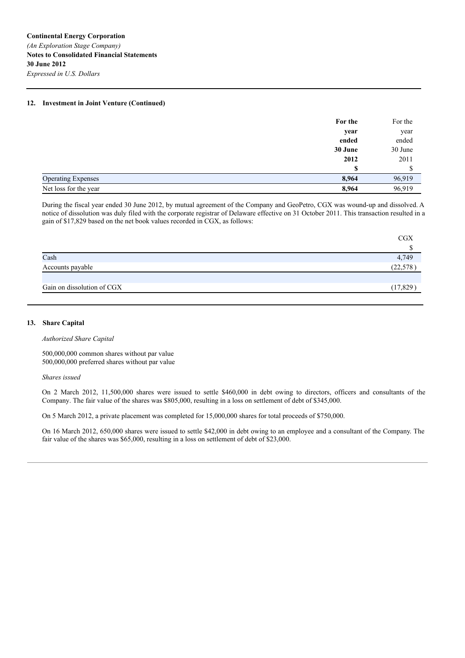### **12. Investment in Joint Venture (Continued)**

|                           | For the | For the |
|---------------------------|---------|---------|
|                           | year    | year    |
|                           | ended   | ended   |
|                           | 30 June | 30 June |
|                           | 2012    | 2011    |
|                           | S       | D       |
| <b>Operating Expenses</b> | 8,964   | 96,919  |
| Net loss for the year     | 8,964   | 96,919  |

During the fiscal year ended 30 June 2012, by mutual agreement of the Company and GeoPetro, CGX was wound-up and dissolved. A notice of dissolution was duly filed with the corporate registrar of Delaware effective on 31 October 2011. This transaction resulted in a gain of \$17,829 based on the net book values recorded in CGX, as follows:

|                            | CGX       |
|----------------------------|-----------|
|                            |           |
| Cash                       | 4,749     |
| Accounts payable           | (22,578)  |
|                            |           |
| Gain on dissolution of CGX | (17, 829) |
|                            |           |

## **13. Share Capital**

### *Authorized Share Capital*

500,000,000 common shares without par value 500,000,000 preferred shares without par value

#### *Shares issued*

On 2 March 2012, 11,500,000 shares were issued to settle \$460,000 in debt owing to directors, officers and consultants of the Company. The fair value of the shares was \$805,000, resulting in a loss on settlement of debt of \$345,000.

On 5 March 2012, a private placement was completed for 15,000,000 shares for total proceeds of \$750,000.

On 16 March 2012, 650,000 shares were issued to settle \$42,000 in debt owing to an employee and a consultant of the Company. The fair value of the shares was \$65,000, resulting in a loss on settlement of debt of \$23,000.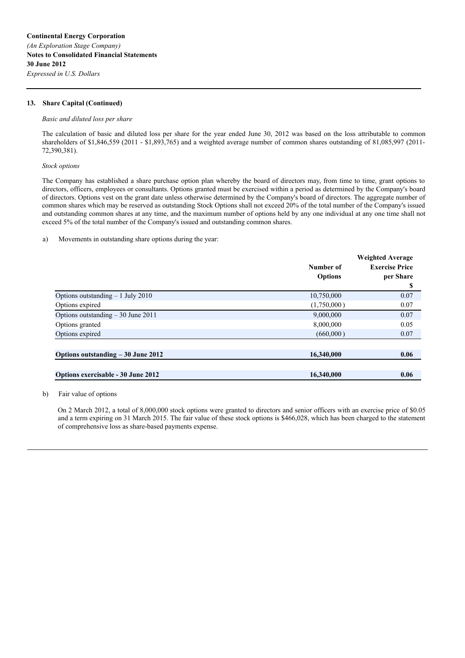### *Basic and diluted loss per share*

The calculation of basic and diluted loss per share for the year ended June 30, 2012 was based on the loss attributable to common shareholders of \$1,846,559 (2011 - \$1,893,765) and a weighted average number of common shares outstanding of 81,085,997 (2011- 72,390,381).

### *Stock options*

The Company has established a share purchase option plan whereby the board of directors may, from time to time, grant options to directors, officers, employees or consultants. Options granted must be exercised within a period as determined by the Company's board of directors. Options vest on the grant date unless otherwise determined by the Company's board of directors. The aggregate number of common shares which may be reserved as outstanding Stock Options shall not exceed 20% of the total number of the Company's issued and outstanding common shares at any time, and the maximum number of options held by any one individual at any one time shall not exceed 5% of the total number of the Company's issued and outstanding common shares.

a) Movements in outstanding share options during the year:

|                                     | <b>Weighted Average</b> |                       |  |
|-------------------------------------|-------------------------|-----------------------|--|
|                                     | Number of               | <b>Exercise Price</b> |  |
|                                     | <b>Options</b>          | per Share             |  |
|                                     |                         | \$                    |  |
| Options outstanding $-1$ July 2010  | 10,750,000              | 0.07                  |  |
| Options expired                     | (1,750,000)             | 0.07                  |  |
| Options outstanding $-30$ June 2011 | 9,000,000               | 0.07                  |  |
| Options granted                     | 8,000,000               | 0.05                  |  |
| Options expired                     | (660,000)               | 0.07                  |  |
|                                     |                         |                       |  |
| Options outstanding $-30$ June 2012 | 16,340,000              | 0.06                  |  |
|                                     |                         |                       |  |
| Options exercisable - 30 June 2012  | 16,340,000              | 0.06                  |  |

#### b) Fair value of options

On 2 March 2012, a total of 8,000,000 stock options were granted to directors and senior officers with an exercise price of \$0.05 and a term expiring on 31 March 2015. The fair value of these stock options is \$466,028, which has been charged to the statement of comprehensive loss as share-based payments expense.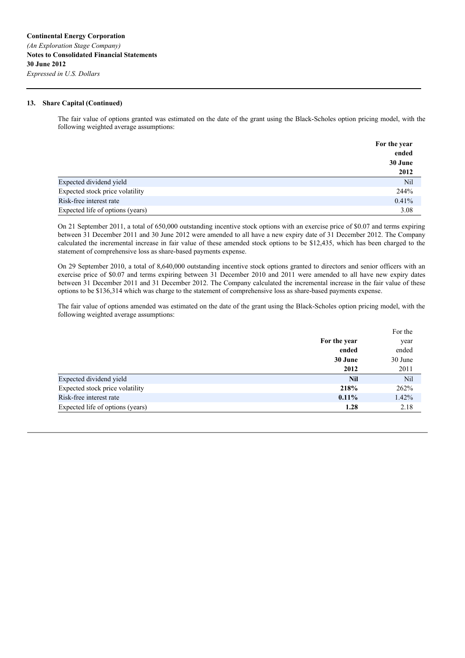The fair value of options granted was estimated on the date of the grant using the Black-Scholes option pricing model, with the following weighted average assumptions:

|                                  | For the year |
|----------------------------------|--------------|
|                                  | ended        |
|                                  | 30 June      |
|                                  | 2012         |
| Expected dividend yield          | Nil          |
| Expected stock price volatility  | 244%         |
| Risk-free interest rate          | 0.41%        |
| Expected life of options (years) | 3.08         |

On 21 September 2011, a total of 650,000 outstanding incentive stock options with an exercise price of \$0.07 and terms expiring between 31 December 2011 and 30 June 2012 were amended to all have a new expiry date of 31 December 2012. The Company calculated the incremental increase in fair value of these amended stock options to be \$12,435, which has been charged to the statement of comprehensive loss as share-based payments expense.

On 29 September 2010, a total of 8,640,000 outstanding incentive stock options granted to directors and senior officers with an exercise price of \$0.07 and terms expiring between 31 December 2010 and 2011 were amended to all have new expiry dates between 31 December 2011 and 31 December 2012. The Company calculated the incremental increase in the fair value of these options to be \$136,314 which was charge to the statement of comprehensive loss as share-based payments expense.

The fair value of options amended was estimated on the date of the grant using the Black-Scholes option pricing model, with the following weighted average assumptions:

|                                  |              | For the    |
|----------------------------------|--------------|------------|
|                                  | For the year | year       |
|                                  | ended        | ended      |
|                                  | 30 June      | 30 June    |
|                                  | 2012         | 2011       |
| Expected dividend yield          | Nil          | <b>Nil</b> |
| Expected stock price volatility  | 218%         | 262%       |
| Risk-free interest rate          | $0.11\%$     | $1.42\%$   |
| Expected life of options (years) | 1.28         | 2.18       |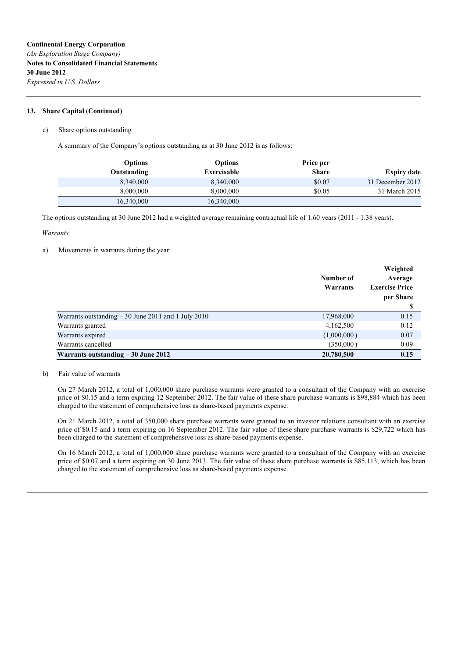### c) Share options outstanding

A summary of the Company's options outstanding as at 30 June 2012 is as follows:

| Options     | Options     | <b>Price per</b> |                    |
|-------------|-------------|------------------|--------------------|
| Outstanding | Exercisable | <b>Share</b>     | <b>Expiry date</b> |
| 8,340,000   | 8,340,000   | \$0.07           | 31 December 2012   |
| 8,000,000   | 8,000,000   | \$0.05           | 31 March 2015      |
| 16,340,000  | 16,340,000  |                  |                    |

The options outstanding at 30 June 2012 had a weighted average remaining contractual life of 1.60 years (2011 - 1.38 years).

### *Warrants*

a) Movements in warrants during the year:

|                                                      | Number of<br>Warrants | Weighted<br>Average<br><b>Exercise Price</b><br>per Share<br>\$ |
|------------------------------------------------------|-----------------------|-----------------------------------------------------------------|
| Warrants outstanding $-30$ June 2011 and 1 July 2010 | 17,968,000            | 0.15                                                            |
| Warrants granted                                     | 4,162,500             | 0.12                                                            |
| Warrants expired                                     | (1,000,000)           | 0.07                                                            |
| Warrants cancelled                                   | (350,000)             | 0.09                                                            |
| Warrants outstanding $-30$ June 2012                 | 20,780,500            | 0.15                                                            |

# b) Fair value of warrants

On 27 March 2012, a total of 1,000,000 share purchase warrants were granted to a consultant of the Company with an exercise price of \$0.15 and a term expiring 12 September 2012. The fair value of these share purchase warrants is \$98,884 which has been charged to the statement of comprehensive loss as share-based payments expense.

On 21 March 2012, a total of 350,000 share purchase warrants were granted to an investor relations consultant with an exercise price of \$0.15 and a term expiring on 16 September 2012. The fair value of these share purchase warrants is \$29,722 which has been charged to the statement of comprehensive loss as share-based payments expense.

On 16 March 2012, a total of 1,000,000 share purchase warrants were granted to a consultant of the Company with an exercise price of \$0.07 and a term expiring on 30 June 2013. The fair value of these share purchase warrants is \$85,113, which has been charged to the statement of comprehensive loss as share-based payments expense.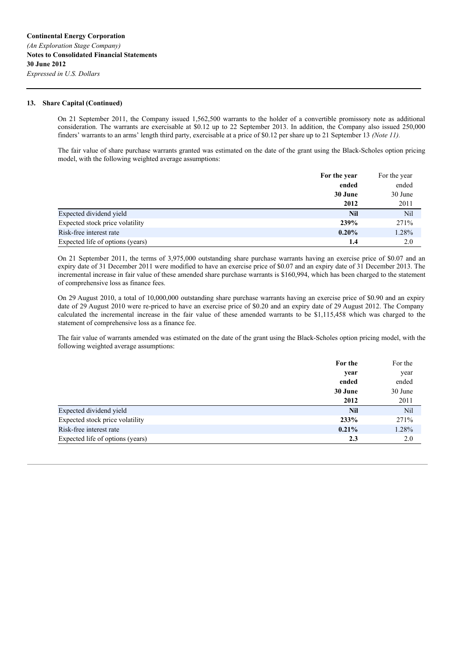On 21 September 2011, the Company issued 1,562,500 warrants to the holder of a convertible promissory note as additional consideration. The warrants are exercisable at \$0.12 up to 22 September 2013. In addition, the Company also issued 250,000 finders' warrants to an arms' length third party, exercisable at a price of \$0.12 per share up to 21 September 13 *(Note 11).*

The fair value of share purchase warrants granted was estimated on the date of the grant using the Black-Scholes option pricing model, with the following weighted average assumptions:

|                                  | For the year | For the year |
|----------------------------------|--------------|--------------|
|                                  | ended        | ended        |
|                                  | 30 June      | 30 June      |
|                                  | 2012         | 2011         |
| Expected dividend yield          | <b>Nil</b>   | <b>Nil</b>   |
| Expected stock price volatility  | 239%         | 271%         |
| Risk-free interest rate          | $0.20\%$     | 1.28%        |
| Expected life of options (years) | 1.4          | 2.0          |

On 21 September 2011, the terms of 3,975,000 outstanding share purchase warrants having an exercise price of \$0.07 and an expiry date of 31 December 2011 were modified to have an exercise price of \$0.07 and an expiry date of 31 December 2013. The incremental increase in fair value of these amended share purchase warrants is \$160,994, which has been charged to the statement of comprehensive loss as finance fees.

On 29 August 2010, a total of 10,000,000 outstanding share purchase warrants having an exercise price of \$0.90 and an expiry date of 29 August 2010 were re-priced to have an exercise price of \$0.20 and an expiry date of 29 August 2012. The Company calculated the incremental increase in the fair value of these amended warrants to be \$1,115,458 which was charged to the statement of comprehensive loss as a finance fee.

The fair value of warrants amended was estimated on the date of the grant using the Black-Scholes option pricing model, with the following weighted average assumptions:

|                                  | For the    | For the    |
|----------------------------------|------------|------------|
|                                  | year       | year       |
|                                  | ended      | ended      |
|                                  | 30 June    | 30 June    |
|                                  | 2012       | 2011       |
| Expected dividend yield          | <b>Nil</b> | <b>Nil</b> |
| Expected stock price volatility  | 233%       | 271%       |
| Risk-free interest rate          | $0.21\%$   | 1.28%      |
| Expected life of options (years) | 2.3        | 2.0        |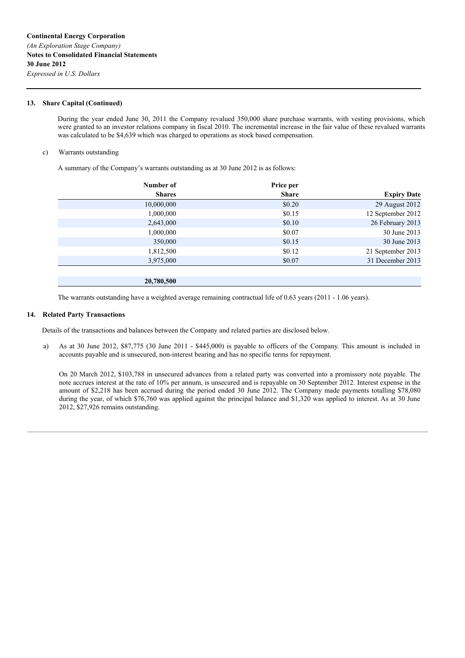During the year ended June 30, 2011 the Company revalued 350,000 share purchase warrants, with vesting provisions, which were granted to an investor relations company in fiscal 2010. The incremental increase in the fair value of these revalued warrants was calculated to be \$4,639 which was charged to operations as stock based compensation.

### c) Warrants outstanding

A summary of the Company's warrants outstanding as at 30 June 2012 is as follows:

| Number of     | Price per    |                    |
|---------------|--------------|--------------------|
| <b>Shares</b> | <b>Share</b> | <b>Expiry Date</b> |
| 10,000,000    | \$0.20       | 29 August 2012     |
| 1,000,000     | \$0.15       | 12 September 2012  |
| 2,643,000     | \$0.10       | 26 February 2013   |
| 1,000,000     | \$0.07       | 30 June 2013       |
| 350,000       | \$0.15       | 30 June 2013       |
| 1,812,500     | \$0.12       | 21 September 2013  |
| 3,975,000     | \$0.07       | 31 December 2013   |
|               |              |                    |
| 20,780,500    |              |                    |

The warrants outstanding have a weighted average remaining contractual life of 0.63 years (2011 - 1.06 years).

### **14. Related Party Transactions**

Details of the transactions and balances between the Company and related parties are disclosed below.

a) As at 30 June 2012, \$87,775 (30 June 2011 - \$445,000) is payable to officers of the Company. This amount is included in accounts payable and is unsecured, non-interest bearing and has no specific terms for repayment.

On 20 March 2012, \$103,788 in unsecured advances from a related party was converted into a promissory note payable. The note accrues interest at the rate of 10% per annum, is unsecured and is repayable on 30 September 2012. Interest expense in the amount of \$2,218 has been accrued during the period ended 30 June 2012. The Company made payments totalling \$78,080 during the year, of which \$76,760 was applied against the principal balance and \$1,320 was applied to interest. As at 30 June 2012, \$27,926 remains outstanding.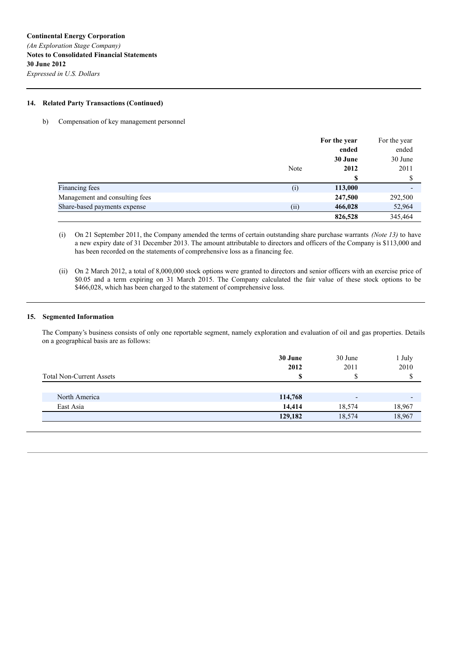### **14. Related Party Transactions (Continued)**

#### b) Compensation of key management personnel

|                                |      | For the year | For the year |
|--------------------------------|------|--------------|--------------|
|                                |      | ended        | ended        |
|                                |      | 30 June      | 30 June      |
|                                | Note | 2012         | 2011         |
|                                |      | S            | \$           |
| Financing fees                 | (i)  | 113,000      |              |
| Management and consulting fees |      | 247,500      | 292,500      |
| Share-based payments expense   | (ii) | 466,028      | 52,964       |
|                                |      | 826,528      | 345,464      |

(i) On 21 September 2011, the Company amended the terms of certain outstanding share purchase warrants *(Note 13)* to have a new expiry date of 31 December 2013. The amount attributable to directors and officers of the Company is \$113,000 and has been recorded on the statements of comprehensive loss as a financing fee.

(ii) On 2 March 2012, a total of 8,000,000 stock options were granted to directors and senior officers with an exercise price of \$0.05 and a term expiring on 31 March 2015. The Company calculated the fair value of these stock options to be \$466,028, which has been charged to the statement of comprehensive loss.

#### **15. Segmented Information**

The Company's business consists of only one reportable segment, namely exploration and evaluation of oil and gas properties. Details on a geographical basis are as follows:

|                                 | 30 June<br>2012 | 30 June<br>2011          | 1 July<br>2010           |
|---------------------------------|-----------------|--------------------------|--------------------------|
| <b>Total Non-Current Assets</b> | S               | S                        | ۰D                       |
|                                 |                 |                          |                          |
| North America                   | 114,768         | $\overline{\phantom{0}}$ | $\overline{\phantom{0}}$ |
| East Asia                       | 14.414          | 18.574                   | 18,967                   |
|                                 | 129,182         | 18,574                   | 18,967                   |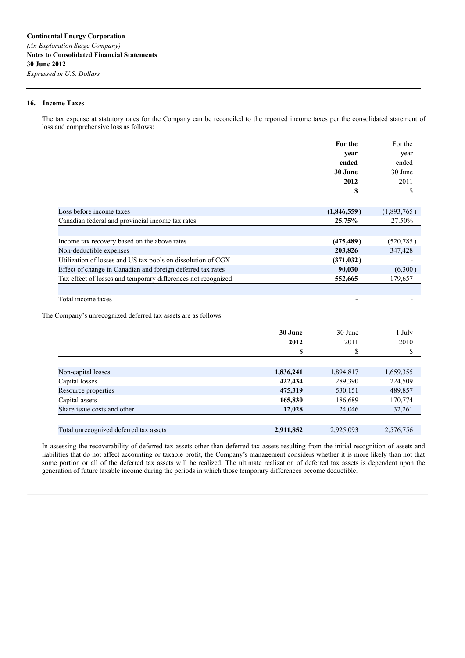### **16. Income Taxes**

The tax expense at statutory rates for the Company can be reconciled to the reported income taxes per the consolidated statement of loss and comprehensive loss as follows:

|                                                                                      | For the<br>year | For the<br>year       |                                |
|--------------------------------------------------------------------------------------|-----------------|-----------------------|--------------------------------|
|                                                                                      |                 |                       |                                |
|                                                                                      |                 | ended                 | ended<br>30 June<br>2011<br>\$ |
|                                                                                      |                 | 30 June               |                                |
|                                                                                      |                 | 2012                  |                                |
|                                                                                      |                 | \$                    |                                |
| Loss before income taxes                                                             |                 |                       |                                |
| Canadian federal and provincial income tax rates                                     |                 | (1,846,559)<br>25.75% | (1,893,765)<br>27.50%          |
|                                                                                      |                 |                       |                                |
| Income tax recovery based on the above rates                                         |                 | (475, 489)            | (520, 785)                     |
| Non-deductible expenses                                                              |                 | 203,826               | 347,428                        |
| Utilization of losses and US tax pools on dissolution of CGX                         |                 | (371, 032)            |                                |
| Effect of change in Canadian and foreign deferred tax rates                          |                 | 90,030                | (6,300)                        |
| Tax effect of losses and temporary differences not recognized                        |                 | 552,665               | 179,657                        |
|                                                                                      |                 |                       |                                |
| Total income taxes<br>The Company's unrecognized deferred tax assets are as follows: |                 |                       |                                |
|                                                                                      | 30 June         | 30 June               | 1 July                         |
|                                                                                      | 2012            | 2011                  | 2010                           |
|                                                                                      | S               | S                     | \$                             |

| Non-capital losses                     | 1,836,241 | 1,894,817 | 1,659,355 |
|----------------------------------------|-----------|-----------|-----------|
| Capital losses                         | 422,434   | 289,390   | 224,509   |
| Resource properties                    | 475,319   | 530,151   | 489,857   |
| Capital assets                         | 165,830   | 186,689   | 170,774   |
| Share issue costs and other            | 12,028    | 24,046    | 32,261    |
|                                        |           |           |           |
| Total unrecognized deferred tax assets | 2,911,852 | 2,925,093 | 2,576,756 |

In assessing the recoverability of deferred tax assets other than deferred tax assets resulting from the initial recognition of assets and liabilities that do not affect accounting or taxable profit, the Company's management considers whether it is more likely than not that some portion or all of the deferred tax assets will be realized. The ultimate realization of deferred tax assets is dependent upon the generation of future taxable income during the periods in which those temporary differences become deductible.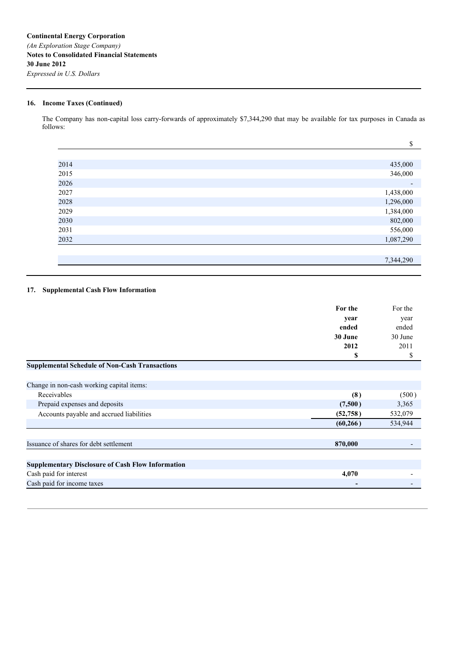# **16. Income Taxes (Continued)**

The Company has non-capital loss carry-forwards of approximately \$7,344,290 that may be available for tax purposes in Canada as follows:

|      | \$                       |
|------|--------------------------|
|      |                          |
| 2014 | 435,000                  |
| 2015 | 346,000                  |
| 2026 | $\overline{\phantom{a}}$ |
| 2027 | 1,438,000                |
| 2028 | 1,296,000                |
| 2029 | 1,384,000                |
| 2030 | 802,000                  |
| 2031 | 556,000                  |
| 2032 | 1,087,290                |
|      |                          |
|      | 7,344,290                |

# **17. Supplemental Cash Flow Information**

|                                                          | For the   | For the |
|----------------------------------------------------------|-----------|---------|
|                                                          | year      | year    |
|                                                          | ended     | ended   |
|                                                          | 30 June   | 30 June |
|                                                          | 2012      | 2011    |
|                                                          | \$        | \$      |
| <b>Supplemental Schedule of Non-Cash Transactions</b>    |           |         |
|                                                          |           |         |
| Change in non-cash working capital items:                |           |         |
| Receivables                                              | (8)       | (500)   |
| Prepaid expenses and deposits                            | (7,500)   | 3,365   |
| Accounts payable and accrued liabilities                 | (52, 758) | 532,079 |
|                                                          | (60, 266) | 534,944 |
|                                                          |           |         |
| Issuance of shares for debt settlement                   | 870,000   |         |
|                                                          |           |         |
| <b>Supplementary Disclosure of Cash Flow Information</b> |           |         |
| Cash paid for interest                                   | 4,070     |         |
| Cash paid for income taxes                               |           |         |
|                                                          |           |         |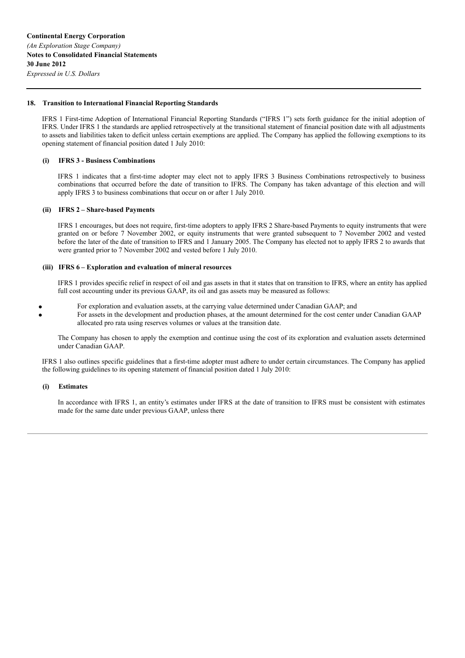#### **18. Transition to International Financial Reporting Standards**

IFRS 1 First-time Adoption of International Financial Reporting Standards ("IFRS 1") sets forth guidance for the initial adoption of IFRS. Under IFRS 1 the standards are applied retrospectively at the transitional statement of financial position date with all adjustments to assets and liabilities taken to deficit unless certain exemptions are applied. The Company has applied the following exemptions to its opening statement of financial position dated 1 July 2010:

#### **(i) IFRS 3 - Business Combinations**

IFRS 1 indicates that a first-time adopter may elect not to apply IFRS 3 Business Combinations retrospectively to business combinations that occurred before the date of transition to IFRS. The Company has taken advantage of this election and will apply IFRS 3 to business combinations that occur on or after 1 July 2010.

#### **(ii) IFRS 2 – Share-based Payments**

IFRS 1 encourages, but does not require, first-time adopters to apply IFRS 2 Share-based Payments to equity instruments that were granted on or before 7 November 2002, or equity instruments that were granted subsequent to 7 November 2002 and vested before the later of the date of transition to IFRS and 1 January 2005. The Company has elected not to apply IFRS 2 to awards that were granted prior to 7 November 2002 and vested before 1 July 2010.

#### **(iii) IFRS 6 – Exploration and evaluation of mineral resources**

IFRS 1 provides specific relief in respect of oil and gas assets in that it states that on transition to IFRS, where an entity has applied full cost accounting under its previous GAAP, its oil and gas assets may be measured as follows:

- For exploration and evaluation assets, at the carrying value determined under Canadian GAAP; and
	- For assets in the development and production phases, at the amount determined for the cost center under Canadian GAAP allocated pro rata using reserves volumes or values at the transition date.

The Company has chosen to apply the exemption and continue using the cost of its exploration and evaluation assets determined under Canadian GAAP.

IFRS 1 also outlines specific guidelines that a first-time adopter must adhere to under certain circumstances. The Company has applied the following guidelines to its opening statement of financial position dated 1 July 2010:

#### **(i) Estimates**

In accordance with IFRS 1, an entity's estimates under IFRS at the date of transition to IFRS must be consistent with estimates made for the same date under previous GAAP, unless there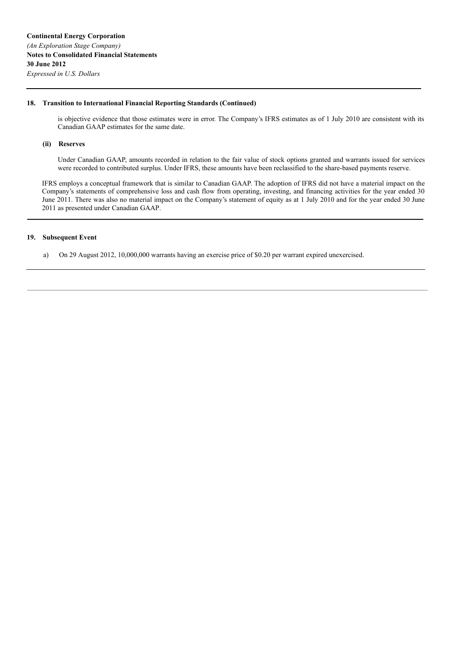### **18. Transition to International Financial Reporting Standards (Continued)**

is objective evidence that those estimates were in error. The Company's IFRS estimates as of 1 July 2010 are consistent with its Canadian GAAP estimates for the same date.

### **(ii) Reserves**

Under Canadian GAAP, amounts recorded in relation to the fair value of stock options granted and warrants issued for services were recorded to contributed surplus. Under IFRS, these amounts have been reclassified to the share-based payments reserve.

IFRS employs a conceptual framework that is similar to Canadian GAAP. The adoption of IFRS did not have a material impact on the Company's statements of comprehensive loss and cash flow from operating, investing, and financing activities for the year ended 30 June 2011. There was also no material impact on the Company's statement of equity as at 1 July 2010 and for the year ended 30 June 2011 as presented under Canadian GAAP.

### **19. Subsequent Event**

a) On 29 August 2012, 10,000,000 warrants having an exercise price of \$0.20 per warrant expired unexercised.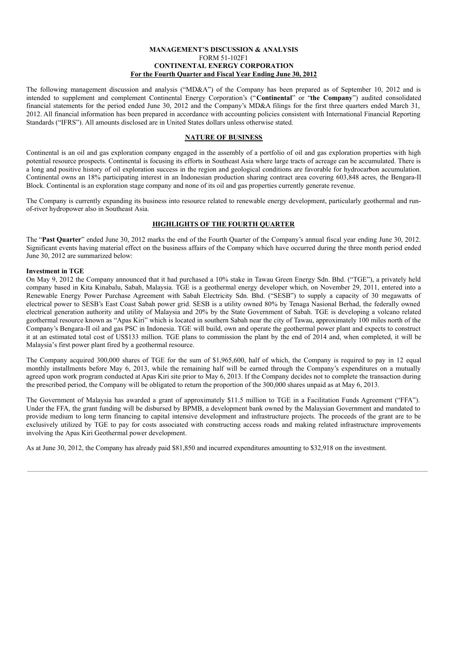# **MANAGEMENT'S DISCUSSION & ANALYSIS** FORM 51-102F1 **CONTINENTAL ENERGY CORPORATION For the Fourth Quarter and Fiscal Year Ending June 30, 2012**

The following management discussion and analysis ("MD&A") of the Company has been prepared as of September 10, 2012 and is intended to supplement and complement Continental Energy Corporation's ("**Continental**" or "**the Company**") audited consolidated financial statements for the period ended June 30, 2012 and the Company's MD&A filings for the first three quarters ended March 31, 2012. All financial information has been prepared in accordance with accounting policies consistent with International Financial Reporting Standards ("IFRS"). All amounts disclosed are in United States dollars unless otherwise stated.

# **NATURE OF BUSINESS**

Continental is an oil and gas exploration company engaged in the assembly of a portfolio of oil and gas exploration properties with high potential resource prospects. Continental is focusing its efforts in Southeast Asia where large tracts of acreage can be accumulated. There is a long and positive history of oil exploration success in the region and geological conditions are favorable for hydrocarbon accumulation. Continental owns an 18% participating interest in an Indonesian production sharing contract area covering 603,848 acres, the Bengara-II Block. Continental is an exploration stage company and none of its oil and gas properties currently generate revenue.

The Company is currently expanding its business into resource related to renewable energy development, particularly geothermal and runof-river hydropower also in Southeast Asia.

# **HIGHLIGHTS OF THE FOURTH QUARTER**

The "**Past Quarter**" ended June 30, 2012 marks the end of the Fourth Quarter of the Company's annual fiscal year ending June 30, 2012. Significant events having material effect on the business affairs of the Company which have occurred during the three month period ended June 30, 2012 are summarized below:

## **Investment in TGE**

On May 9, 2012 the Company announced that it had purchased a 10% stake in Tawau Green Energy Sdn. Bhd. ("TGE"), a privately held company based in Kita Kinabalu, Sabah, Malaysia. TGE is a geothermal energy developer which, on November 29, 2011, entered into a Renewable Energy Power Purchase Agreement with Sabah Electricity Sdn. Bhd. ("SESB") to supply a capacity of 30 megawatts of electrical power to SESB's East Coast Sabah power grid. SESB is a utility owned 80% by Tenaga Nasional Berhad, the federally owned electrical generation authority and utility of Malaysia and 20% by the State Government of Sabah. TGE is developing a volcano related geothermal resource known as "Apas Kiri" which is located in southern Sabah near the city of Tawau, approximately 100 miles north of the Company's Bengara-II oil and gas PSC in Indonesia. TGE will build, own and operate the geothermal power plant and expects to construct it at an estimated total cost of US\$133 million. TGE plans to commission the plant by the end of 2014 and, when completed, it will be Malaysia's first power plant fired by a geothermal resource.

The Company acquired 300,000 shares of TGE for the sum of \$1,965,600, half of which, the Company is required to pay in 12 equal monthly installments before May 6, 2013, while the remaining half will be earned through the Company's expenditures on a mutually agreed upon work program conducted at Apas Kiri site prior to May 6, 2013. If the Company decides not to complete the transaction during the prescribed period, the Company will be obligated to return the proportion of the 300,000 shares unpaid as at May 6, 2013.

The Government of Malaysia has awarded a grant of approximately \$11.5 million to TGE in a Facilitation Funds Agreement ("FFA"). Under the FFA, the grant funding will be disbursed by BPMB, a development bank owned by the Malaysian Government and mandated to provide medium to long term financing to capital intensive development and infrastructure projects. The proceeds of the grant are to be exclusively utilized by TGE to pay for costs associated with constructing access roads and making related infrastructure improvements involving the Apas Kiri Geothermal power development.

As at June 30, 2012, the Company has already paid \$81,850 and incurred expenditures amounting to \$32,918 on the investment.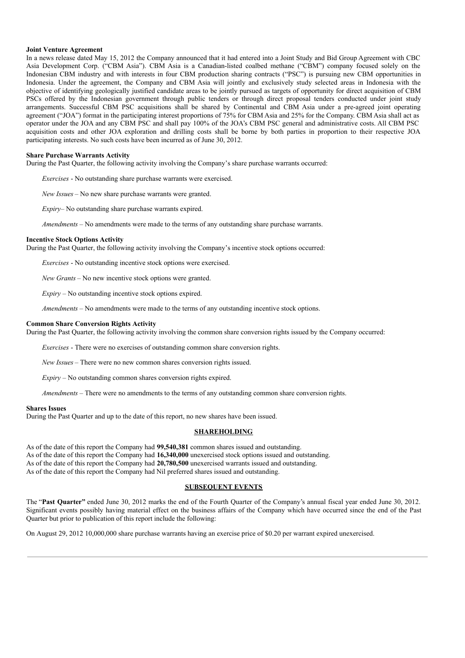#### **Joint Venture Agreement**

In a news release dated May 15, 2012 the Company announced that it had entered into a Joint Study and Bid Group Agreement with CBC Asia Development Corp. ("CBM Asia"). CBM Asia is a Canadian-listed coalbed methane ("CBM") company focused solely on the Indonesian CBM industry and with interests in four CBM production sharing contracts ("PSC") is pursuing new CBM opportunities in Indonesia. Under the agreement, the Company and CBM Asia will jointly and exclusively study selected areas in Indonesia with the objective of identifying geologically justified candidate areas to be jointly pursued as targets of opportunity for direct acquisition of CBM PSCs offered by the Indonesian government through public tenders or through direct proposal tenders conducted under joint study arrangements. Successful CBM PSC acquisitions shall be shared by Continental and CBM Asia under a pre-agreed joint operating agreement ("JOA") format in the participating interest proportions of 75% for CBM Asia and 25% for the Company. CBM Asia shall act as operator under the JOA and any CBM PSC and shall pay 100% of the JOA's CBM PSC general and administrative costs. All CBM PSC acquisition costs and other JOA exploration and drilling costs shall be borne by both parties in proportion to their respective JOA participating interests. No such costs have been incurred as of June 30, 2012.

#### **Share Purchase Warrants Activity**

During the Past Quarter, the following activity involving the Company's share purchase warrants occurred:

*Exercises* - No outstanding share purchase warrants were exercised.

*New Issues* – No new share purchase warrants were granted.

*Expiry*– No outstanding share purchase warrants expired.

*Amendments* – No amendments were made to the terms of any outstanding share purchase warrants.

#### **Incentive Stock Options Activity**

During the Past Quarter, the following activity involving the Company's incentive stock options occurred:

*Exercises* - No outstanding incentive stock options were exercised.

*New Grants* – No new incentive stock options were granted.

*Expiry* – No outstanding incentive stock options expired.

*Amendments* – No amendments were made to the terms of any outstanding incentive stock options.

#### **Common Share Conversion Rights Activity**

During the Past Quarter, the following activity involving the common share conversion rights issued by the Company occurred:

*Exercises* - There were no exercises of outstanding common share conversion rights.

*New Issues* – There were no new common shares conversion rights issued.

*Expiry* – No outstanding common shares conversion rights expired.

*Amendments* – There were no amendments to the terms of any outstanding common share conversion rights.

#### **Shares Issues**

During the Past Quarter and up to the date of this report, no new shares have been issued.

## **SHAREHOLDING**

As of the date of this report the Company had **99,540,381** common shares issued and outstanding. As of the date of this report the Company had **16,340,000** unexercised stock options issued and outstanding. As of the date of this report the Company had **20,780,500** unexercised warrants issued and outstanding. As of the date of this report the Company had Nil preferred shares issued and outstanding.

## **SUBSEQUENT EVENTS**

The "**Past Quarter"** ended June 30, 2012 marks the end of the Fourth Quarter of the Company's annual fiscal year ended June 30, 2012. Significant events possibly having material effect on the business affairs of the Company which have occurred since the end of the Past Quarter but prior to publication of this report include the following:

On August 29, 2012 10,000,000 share purchase warrants having an exercise price of \$0.20 per warrant expired unexercised.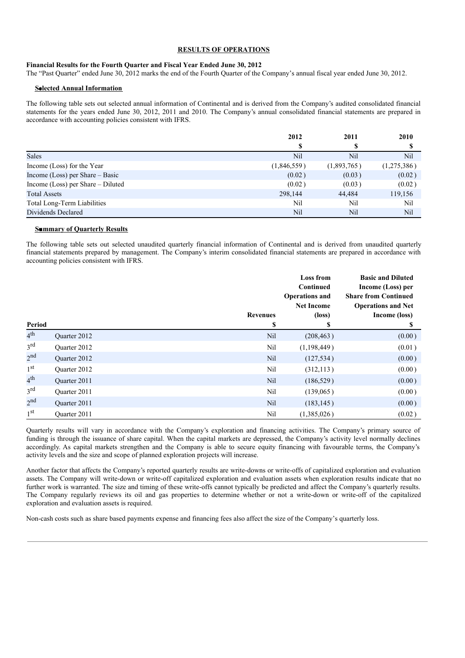# **RESULTS OF OPERATIONS**

# **Financial Results for the Fourth Quarter and Fiscal Year Ended June 30, 2012**

The "Past Quarter" ended June 30, 2012 marks the end of the Fourth Quarter of the Company's annual fiscal year ended June 30, 2012.

## **Selected Annual Information**

The following table sets out selected annual information of Continental and is derived from the Company's audited consolidated financial statements for the years ended June 30, 2012, 2011 and 2010. The Company's annual consolidated financial statements are prepared in accordance with accounting policies consistent with IFRS.

|                                   | 2012        | 2011        | 2010        |
|-----------------------------------|-------------|-------------|-------------|
|                                   | \$          | \$          |             |
| <b>Sales</b>                      | Nil         | Nil         | <b>Nil</b>  |
| Income (Loss) for the Year        | (1,846,559) | (1,893,765) | (1,275,386) |
| Income (Loss) per Share $-$ Basic | (0.02)      | (0.03)      | (0.02)      |
| Income (Loss) per Share – Diluted | (0.02)      | (0.03)      | (0.02)      |
| <b>Total Assets</b>               | 298,144     | 44.484      | 119,156     |
| Total Long-Term Liabilities       | Nil         | Nil         | Nil         |
| Dividends Declared                | Nil         | Nil         | Nil         |

## **Summary of Quarterly Results**

The following table sets out selected unaudited quarterly financial information of Continental and is derived from unaudited quarterly financial statements prepared by management. The Company's interim consolidated financial statements are prepared in accordance with accounting policies consistent with IFRS.

|                 |              | <b>Revenues</b> | <b>Loss from</b><br>Continued<br><b>Operations and</b><br><b>Net Income</b><br>(loss) | <b>Basic and Diluted</b><br>Income (Loss) per<br><b>Share from Continued</b><br><b>Operations and Net</b><br>Income (loss) |
|-----------------|--------------|-----------------|---------------------------------------------------------------------------------------|----------------------------------------------------------------------------------------------------------------------------|
| Period          |              | \$              | S                                                                                     | S                                                                                                                          |
| 4 <sup>th</sup> | Quarter 2012 | <b>Nil</b>      | (208, 463)                                                                            | (0.00)                                                                                                                     |
| 3 <sup>rd</sup> | Quarter 2012 | Nil             | (1,198,449)                                                                           | (0.01)                                                                                                                     |
| 2 <sup>nd</sup> | Quarter 2012 | Nil             | (127, 534)                                                                            | (0.00)                                                                                                                     |
| 1 <sup>st</sup> | Quarter 2012 | Nil             | (312, 113)                                                                            | (0.00)                                                                                                                     |
| 4 <sup>th</sup> | Quarter 2011 | Nil             | (186, 529)                                                                            | (0.00)                                                                                                                     |
| $3^{\text{rd}}$ | Quarter 2011 | Nil             | (139,065)                                                                             | (0.00)                                                                                                                     |
| 2 <sup>nd</sup> | Quarter 2011 | Nil             | (183, 145)                                                                            | (0.00)                                                                                                                     |
| 1 <sup>st</sup> | Quarter 2011 | Nil             | (1,385,026)                                                                           | (0.02)                                                                                                                     |

Quarterly results will vary in accordance with the Company's exploration and financing activities. The Company's primary source of funding is through the issuance of share capital. When the capital markets are depressed, the Company's activity level normally declines accordingly. As capital markets strengthen and the Company is able to secure equity financing with favourable terms, the Company's activity levels and the size and scope of planned exploration projects will increase.

Another factor that affects the Company's reported quarterly results are write-downs or write-offs of capitalized exploration and evaluation assets. The Company will write-down or write-off capitalized exploration and evaluation assets when exploration results indicate that no further work is warranted. The size and timing of these write-offs cannot typically be predicted and affect the Company's quarterly results. The Company regularly reviews its oil and gas properties to determine whether or not a write-down or write-off of the capitalized exploration and evaluation assets is required.

Non-cash costs such as share based payments expense and financing fees also affect the size of the Company's quarterly loss.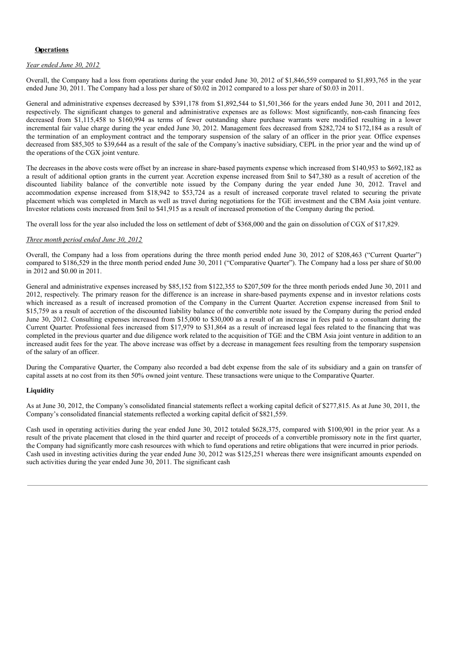# **Operations**

# *Year ended June 30, 2012*

Overall, the Company had a loss from operations during the year ended June 30, 2012 of \$1,846,559 compared to \$1,893,765 in the year ended June 30, 2011. The Company had a loss per share of \$0.02 in 2012 compared to a loss per share of \$0.03 in 2011.

General and administrative expenses decreased by \$391,178 from \$1,892,544 to \$1,501,366 for the years ended June 30, 2011 and 2012, respectively. The significant changes to general and administrative expenses are as follows: Most significantly, non-cash financing fees decreased from \$1,115,458 to \$160,994 as terms of fewer outstanding share purchase warrants were modified resulting in a lower incremental fair value charge during the year ended June 30, 2012. Management fees decreased from \$282,724 to \$172,184 as a result of the termination of an employment contract and the temporary suspension of the salary of an officer in the prior year. Office expenses decreased from \$85,305 to \$39,644 as a result of the sale of the Company's inactive subsidiary, CEPL in the prior year and the wind up of the operations of the CGX joint venture.

The decreases in the above costs were offset by an increase in share-based payments expense which increased from \$140,953 to \$692,182 as a result of additional option grants in the current year. Accretion expense increased from \$nil to \$47,380 as a result of accretion of the discounted liability balance of the convertible note issued by the Company during the year ended June 30, 2012. Travel and accommodation expense increased from \$18,942 to \$53,724 as a result of increased corporate travel related to securing the private placement which was completed in March as well as travel during negotiations for the TGE investment and the CBM Asia joint venture. Investor relations costs increased from \$nil to \$41,915 as a result of increased promotion of the Company during the period.

The overall loss for the year also included the loss on settlement of debt of \$368,000 and the gain on dissolution of CGX of \$17,829.

## *Three month period ended June 30, 2012*

Overall, the Company had a loss from operations during the three month period ended June 30, 2012 of \$208,463 ("Current Quarter") compared to \$186,529 in the three month period ended June 30, 2011 ("Comparative Quarter"). The Company had a loss per share of \$0.00 in 2012 and \$0.00 in 2011.

General and administrative expenses increased by \$85,152 from \$122,355 to \$207,509 for the three month periods ended June 30, 2011 and 2012, respectively. The primary reason for the difference is an increase in share-based payments expense and in investor relations costs which increased as a result of increased promotion of the Company in the Current Quarter. Accretion expense increased from \$nil to \$15,759 as a result of accretion of the discounted liability balance of the convertible note issued by the Company during the period ended June 30, 2012. Consulting expenses increased from \$15,000 to \$30,000 as a result of an increase in fees paid to a consultant during the Current Quarter. Professional fees increased from \$17,979 to \$31,864 as a result of increased legal fees related to the financing that was completed in the previous quarter and due diligence work related to the acquisition of TGE and the CBM Asia joint venture in addition to an increased audit fees for the year. The above increase was offset by a decrease in management fees resulting from the temporary suspension of the salary of an officer.

During the Comparative Quarter, the Company also recorded a bad debt expense from the sale of its subsidiary and a gain on transfer of capital assets at no cost from its then 50% owned joint venture. These transactions were unique to the Comparative Quarter.

# **Liquidity**

As at June 30, 2012, the Company's consolidated financial statements reflect a working capital deficit of \$277,815. As at June 30, 2011, the Company's consolidated financial statements reflected a working capital deficit of \$821,559.

Cash used in operating activities during the year ended June 30, 2012 totaled \$628,375, compared with \$100,901 in the prior year. As a result of the private placement that closed in the third quarter and receipt of proceeds of a convertible promissory note in the first quarter, the Company had significantly more cash resources with which to fund operations and retire obligations that were incurred in prior periods. Cash used in investing activities during the year ended June 30, 2012 was \$125,251 whereas there were insignificant amounts expended on such activities during the year ended June 30, 2011. The significant cash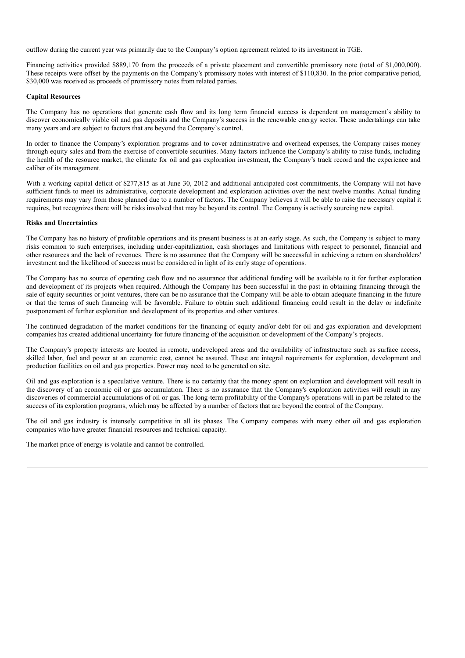outflow during the current year was primarily due to the Company's option agreement related to its investment in TGE.

Financing activities provided \$889,170 from the proceeds of a private placement and convertible promissory note (total of \$1,000,000). These receipts were offset by the payments on the Company's promissory notes with interest of \$110,830. In the prior comparative period, \$30,000 was received as proceeds of promissory notes from related parties.

#### **Capital Resources**

The Company has no operations that generate cash flow and its long term financial success is dependent on management's ability to discover economically viable oil and gas deposits and the Company's success in the renewable energy sector. These undertakings can take many years and are subject to factors that are beyond the Company's control.

In order to finance the Company's exploration programs and to cover administrative and overhead expenses, the Company raises money through equity sales and from the exercise of convertible securities. Many factors influence the Company's ability to raise funds, including the health of the resource market, the climate for oil and gas exploration investment, the Company's track record and the experience and caliber of its management.

With a working capital deficit of \$277,815 as at June 30, 2012 and additional anticipated cost commitments, the Company will not have sufficient funds to meet its administrative, corporate development and exploration activities over the next twelve months. Actual funding requirements may vary from those planned due to a number of factors. The Company believes it will be able to raise the necessary capital it requires, but recognizes there will be risks involved that may be beyond its control. The Company is actively sourcing new capital.

## **Risks and Uncertainties**

The Company has no history of profitable operations and its present business is at an early stage. As such, the Company is subject to many risks common to such enterprises, including under-capitalization, cash shortages and limitations with respect to personnel, financial and other resources and the lack of revenues. There is no assurance that the Company will be successful in achieving a return on shareholders' investment and the likelihood of success must be considered in light of its early stage of operations.

The Company has no source of operating cash flow and no assurance that additional funding will be available to it for further exploration and development of its projects when required. Although the Company has been successful in the past in obtaining financing through the sale of equity securities or joint ventures, there can be no assurance that the Company will be able to obtain adequate financing in the future or that the terms of such financing will be favorable. Failure to obtain such additional financing could result in the delay or indefinite postponement of further exploration and development of its properties and other ventures.

The continued degradation of the market conditions for the financing of equity and/or debt for oil and gas exploration and development companies has created additional uncertainty for future financing of the acquisition or development of the Company's projects.

The Company's property interests are located in remote, undeveloped areas and the availability of infrastructure such as surface access, skilled labor, fuel and power at an economic cost, cannot be assured. These are integral requirements for exploration, development and production facilities on oil and gas properties. Power may need to be generated on site.

Oil and gas exploration is a speculative venture. There is no certainty that the money spent on exploration and development will result in the discovery of an economic oil or gas accumulation. There is no assurance that the Company's exploration activities will result in any discoveries of commercial accumulations of oil or gas. The long-term profitability of the Company's operations will in part be related to the success of its exploration programs, which may be affected by a number of factors that are beyond the control of the Company.

The oil and gas industry is intensely competitive in all its phases. The Company competes with many other oil and gas exploration companies who have greater financial resources and technical capacity.

The market price of energy is volatile and cannot be controlled.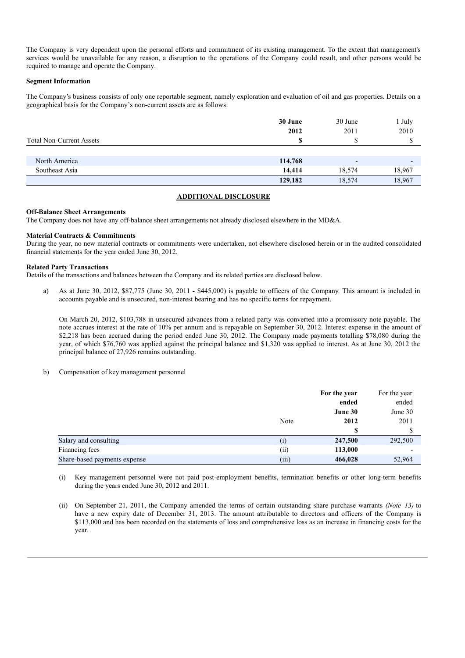The Company is very dependent upon the personal efforts and commitment of its existing management. To the extent that management's services would be unavailable for any reason, a disruption to the operations of the Company could result, and other persons would be required to manage and operate the Company.

# **Segment Information**

The Company's business consists of only one reportable segment, namely exploration and evaluation of oil and gas properties. Details on a geographical basis for the Company's non-current assets are as follows:

|                                 | 30 June | 30 June                  | l July                   |
|---------------------------------|---------|--------------------------|--------------------------|
|                                 | 2012    | 2011                     | 2010                     |
| <b>Total Non-Current Assets</b> | S       | S                        | ٨D                       |
|                                 |         |                          |                          |
| North America                   | 114,768 | $\overline{\phantom{a}}$ | $\overline{\phantom{0}}$ |
| Southeast Asia                  | 14.414  | 18.574                   | 18,967                   |
|                                 | 129,182 | 18,574                   | 18,967                   |

## **ADDITIONAL DISCLOSURE**

## **Off-Balance Sheet Arrangements**

The Company does not have any off-balance sheet arrangements not already disclosed elsewhere in the MD&A.

# **Material Contracts & Commitments**

During the year, no new material contracts or commitments were undertaken, not elsewhere disclosed herein or in the audited consolidated financial statements for the year ended June 30, 2012.

## **Related Party Transactions**

Details of the transactions and balances between the Company and its related parties are disclosed below.

a) As at June 30, 2012, \$87,775 (June 30, 2011 - \$445,000) is payable to officers of the Company. This amount is included in accounts payable and is unsecured, non-interest bearing and has no specific terms for repayment.

On March 20, 2012, \$103,788 in unsecured advances from a related party was converted into a promissory note payable. The note accrues interest at the rate of 10% per annum and is repayable on September 30, 2012. Interest expense in the amount of \$2,218 has been accrued during the period ended June 30, 2012. The Company made payments totalling \$78,080 during the year, of which \$76,760 was applied against the principal balance and \$1,320 was applied to interest. As at June 30, 2012 the principal balance of 27,926 remains outstanding.

b) Compensation of key management personnel

|                              |       | For the year | For the year |
|------------------------------|-------|--------------|--------------|
|                              |       | ended        | ended        |
|                              |       | June 30      | June 30      |
|                              | Note  | 2012         | 2011         |
|                              |       | S            | ъ            |
| Salary and consulting        | (i)   | 247,500      | 292,500      |
| Financing fees               | (ii)  | 113,000      |              |
| Share-based payments expense | (iii) | 466,028      | 52,964       |

(i) Key management personnel were not paid post-employment benefits, termination benefits or other long-term benefits during the years ended June 30, 2012 and 2011.

(ii) On September 21, 2011, the Company amended the terms of certain outstanding share purchase warrants *(Note 13)* to have a new expiry date of December 31, 2013. The amount attributable to directors and officers of the Company is \$113,000 and has been recorded on the statements of loss and comprehensive loss as an increase in financing costs for the year.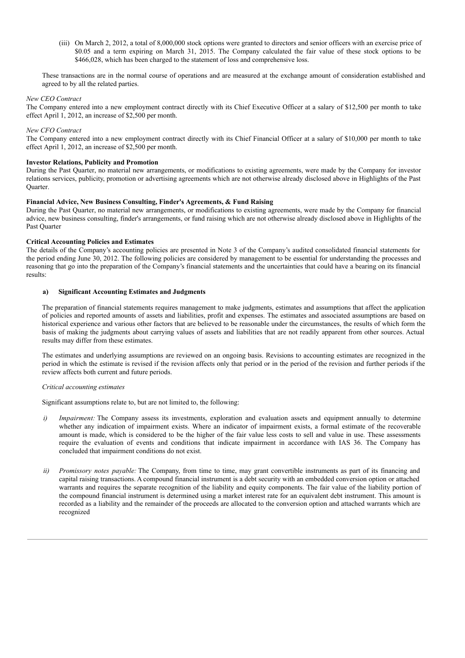(iii) On March 2, 2012, a total of 8,000,000 stock options were granted to directors and senior officers with an exercise price of \$0.05 and a term expiring on March 31, 2015. The Company calculated the fair value of these stock options to be \$466,028, which has been charged to the statement of loss and comprehensive loss.

These transactions are in the normal course of operations and are measured at the exchange amount of consideration established and agreed to by all the related parties.

## *New CEO Contract*

The Company entered into a new employment contract directly with its Chief Executive Officer at a salary of \$12,500 per month to take effect April 1, 2012, an increase of \$2,500 per month.

## *New CFO Contract*

The Company entered into a new employment contract directly with its Chief Financial Officer at a salary of \$10,000 per month to take effect April 1, 2012, an increase of \$2,500 per month.

### **Investor Relations, Publicity and Promotion**

During the Past Quarter, no material new arrangements, or modifications to existing agreements, were made by the Company for investor relations services, publicity, promotion or advertising agreements which are not otherwise already disclosed above in Highlights of the Past Quarter.

# **Financial Advice, New Business Consulting, Finder's Agreements, & Fund Raising**

During the Past Quarter, no material new arrangements, or modifications to existing agreements, were made by the Company for financial advice, new business consulting, finder's arrangements, or fund raising which are not otherwise already disclosed above in Highlights of the Past Quarter

## **Critical Accounting Policies and Estimates**

The details of the Company's accounting policies are presented in Note 3 of the Company's audited consolidated financial statements for the period ending June 30, 2012. The following policies are considered by management to be essential for understanding the processes and reasoning that go into the preparation of the Company's financial statements and the uncertainties that could have a bearing on its financial results:

# **a) Significant Accounting Estimates and Judgments**

The preparation of financial statements requires management to make judgments, estimates and assumptions that affect the application of policies and reported amounts of assets and liabilities, profit and expenses. The estimates and associated assumptions are based on historical experience and various other factors that are believed to be reasonable under the circumstances, the results of which form the basis of making the judgments about carrying values of assets and liabilities that are not readily apparent from other sources. Actual results may differ from these estimates.

The estimates and underlying assumptions are reviewed on an ongoing basis. Revisions to accounting estimates are recognized in the period in which the estimate is revised if the revision affects only that period or in the period of the revision and further periods if the review affects both current and future periods.

# *Critical accounting estimates*

Significant assumptions relate to, but are not limited to, the following:

- *Impairment:* The Company assess its investments, exploration and evaluation assets and equipment annually to determine whether any indication of impairment exists. Where an indicator of impairment exists, a formal estimate of the recoverable amount is made, which is considered to be the higher of the fair value less costs to sell and value in use. These assessments require the evaluation of events and conditions that indicate impairment in accordance with IAS 36. The Company has concluded that impairment conditions do not exist.
- *ii) Promissory notes payable:* The Company, from time to time, may grant convertible instruments as part of its financing and capital raising transactions. A compound financial instrument is a debt security with an embedded conversion option or attached warrants and requires the separate recognition of the liability and equity components. The fair value of the liability portion of the compound financial instrument is determined using a market interest rate for an equivalent debt instrument. This amount is recorded as a liability and the remainder of the proceeds are allocated to the conversion option and attached warrants which are recognized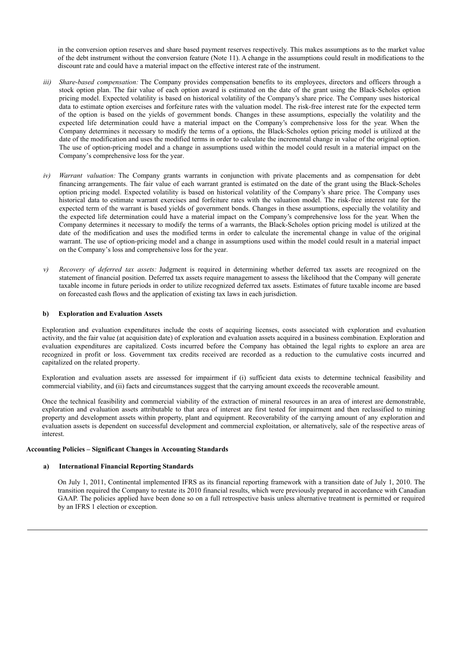in the conversion option reserves and share based payment reserves respectively. This makes assumptions as to the market value of the debt instrument without the conversion feature (Note 11). A change in the assumptions could result in modifications to the discount rate and could have a material impact on the effective interest rate of the instrument.

- *iii) Share-based compensation:* The Company provides compensation benefits to its employees, directors and officers through a stock option plan. The fair value of each option award is estimated on the date of the grant using the Black-Scholes option pricing model. Expected volatility is based on historical volatility of the Company's share price. The Company uses historical data to estimate option exercises and forfeiture rates with the valuation model. The risk-free interest rate for the expected term of the option is based on the yields of government bonds. Changes in these assumptions, especially the volatility and the expected life determination could have a material impact on the Company's comprehensive loss for the year. When the Company determines it necessary to modify the terms of a options, the Black-Scholes option pricing model is utilized at the date of the modification and uses the modified terms in order to calculate the incremental change in value of the original option. The use of option-pricing model and a change in assumptions used within the model could result in a material impact on the Company's comprehensive loss for the year.
- *iv) Warrant valuation:* The Company grants warrants in conjunction with private placements and as compensation for debt financing arrangements. The fair value of each warrant granted is estimated on the date of the grant using the Black-Scholes option pricing model. Expected volatility is based on historical volatility of the Company's share price. The Company uses historical data to estimate warrant exercises and forfeiture rates with the valuation model. The risk-free interest rate for the expected term of the warrant is based yields of government bonds. Changes in these assumptions, especially the volatility and the expected life determination could have a material impact on the Company's comprehensive loss for the year. When the Company determines it necessary to modify the terms of a warrants, the Black-Scholes option pricing model is utilized at the date of the modification and uses the modified terms in order to calculate the incremental change in value of the original warrant. The use of option-pricing model and a change in assumptions used within the model could result in a material impact on the Company's loss and comprehensive loss for the year.
- *v) Recovery of deferred tax assets:* Judgment is required in determining whether deferred tax assets are recognized on the statement of financial position. Deferred tax assets require management to assess the likelihood that the Company will generate taxable income in future periods in order to utilize recognized deferred tax assets. Estimates of future taxable income are based on forecasted cash flows and the application of existing tax laws in each jurisdiction.

## **b) Exploration and Evaluation Assets**

Exploration and evaluation expenditures include the costs of acquiring licenses, costs associated with exploration and evaluation activity, and the fair value (at acquisition date) of exploration and evaluation assets acquired in a business combination. Exploration and evaluation expenditures are capitalized. Costs incurred before the Company has obtained the legal rights to explore an area are recognized in profit or loss. Government tax credits received are recorded as a reduction to the cumulative costs incurred and capitalized on the related property.

Exploration and evaluation assets are assessed for impairment if (i) sufficient data exists to determine technical feasibility and commercial viability, and (ii) facts and circumstances suggest that the carrying amount exceeds the recoverable amount.

Once the technical feasibility and commercial viability of the extraction of mineral resources in an area of interest are demonstrable, exploration and evaluation assets attributable to that area of interest are first tested for impairment and then reclassified to mining property and development assets within property, plant and equipment. Recoverability of the carrying amount of any exploration and evaluation assets is dependent on successful development and commercial exploitation, or alternatively, sale of the respective areas of interest.

#### **Accounting Policies – Significant Changes in Accounting Standards**

#### **a) International Financial Reporting Standards**

On July 1, 2011, Continental implemented IFRS as its financial reporting framework with a transition date of July 1, 2010. The transition required the Company to restate its 2010 financial results, which were previously prepared in accordance with Canadian GAAP. The policies applied have been done so on a full retrospective basis unless alternative treatment is permitted or required by an IFRS 1 election or exception.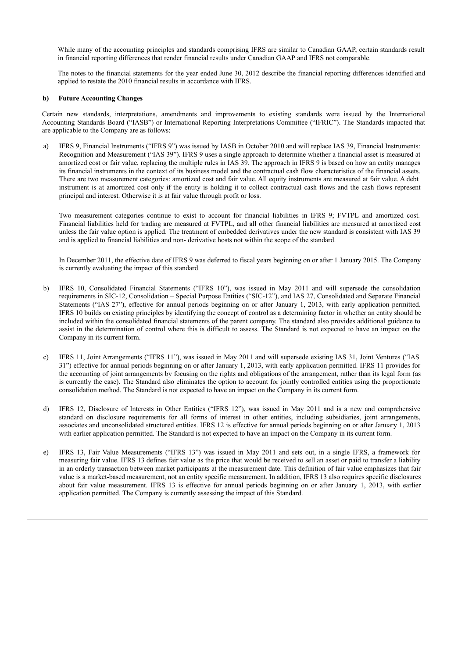While many of the accounting principles and standards comprising IFRS are similar to Canadian GAAP, certain standards result in financial reporting differences that render financial results under Canadian GAAP and IFRS not comparable.

The notes to the financial statements for the year ended June 30, 2012 describe the financial reporting differences identified and applied to restate the 2010 financial results in accordance with IFRS.

## **b) Future Accounting Changes**

Certain new standards, interpretations, amendments and improvements to existing standards were issued by the International Accounting Standards Board ("IASB") or International Reporting Interpretations Committee ("IFRIC"). The Standards impacted that are applicable to the Company are as follows:

a) IFRS 9, Financial Instruments ("IFRS 9") was issued by IASB in October 2010 and will replace IAS 39, Financial Instruments: Recognition and Measurement ("IAS 39"). IFRS 9 uses a single approach to determine whether a financial asset is measured at amortized cost or fair value, replacing the multiple rules in IAS 39. The approach in IFRS 9 is based on how an entity manages its financial instruments in the context of its business model and the contractual cash flow characteristics of the financial assets. There are two measurement categories: amortized cost and fair value. All equity instruments are measured at fair value. A debt instrument is at amortized cost only if the entity is holding it to collect contractual cash flows and the cash flows represent principal and interest. Otherwise it is at fair value through profit or loss.

Two measurement categories continue to exist to account for financial liabilities in IFRS 9; FVTPL and amortized cost. Financial liabilities held for trading are measured at FVTPL, and all other financial liabilities are measured at amortized cost unless the fair value option is applied. The treatment of embedded derivatives under the new standard is consistent with IAS 39 and is applied to financial liabilities and non- derivative hosts not within the scope of the standard.

In December 2011, the effective date of IFRS 9 was deferred to fiscal years beginning on or after 1 January 2015. The Company is currently evaluating the impact of this standard.

- b) IFRS 10, Consolidated Financial Statements ("IFRS 10"), was issued in May 2011 and will supersede the consolidation requirements in SIC-12, Consolidation – Special Purpose Entities ("SIC-12"), and IAS 27, Consolidated and Separate Financial Statements ("IAS 27"), effective for annual periods beginning on or after January 1, 2013, with early application permitted. IFRS 10 builds on existing principles by identifying the concept of control as a determining factor in whether an entity should be included within the consolidated financial statements of the parent company. The standard also provides additional guidance to assist in the determination of control where this is difficult to assess. The Standard is not expected to have an impact on the Company in its current form.
- c) IFRS 11, Joint Arrangements ("IFRS 11"), was issued in May 2011 and will supersede existing IAS 31, Joint Ventures ("IAS 31") effective for annual periods beginning on or after January 1, 2013, with early application permitted. IFRS 11 provides for the accounting of joint arrangements by focusing on the rights and obligations of the arrangement, rather than its legal form (as is currently the case). The Standard also eliminates the option to account for jointly controlled entities using the proportionate consolidation method. The Standard is not expected to have an impact on the Company in its current form.
- d) IFRS 12, Disclosure of Interests in Other Entities ("IFRS 12"), was issued in May 2011 and is a new and comprehensive standard on disclosure requirements for all forms of interest in other entities, including subsidiaries, joint arrangements, associates and unconsolidated structured entities. IFRS 12 is effective for annual periods beginning on or after January 1, 2013 with earlier application permitted. The Standard is not expected to have an impact on the Company in its current form.
- e) IFRS 13, Fair Value Measurements ("IFRS 13") was issued in May 2011 and sets out, in a single IFRS, a framework for measuring fair value. IFRS 13 defines fair value as the price that would be received to sell an asset or paid to transfer a liability in an orderly transaction between market participants at the measurement date. This definition of fair value emphasizes that fair value is a market-based measurement, not an entity specific measurement. In addition, IFRS 13 also requires specific disclosures about fair value measurement. IFRS 13 is effective for annual periods beginning on or after January 1, 2013, with earlier application permitted. The Company is currently assessing the impact of this Standard.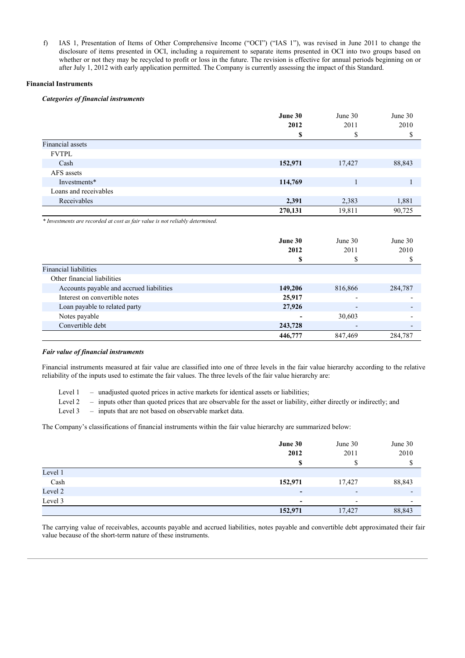f) IAS 1, Presentation of Items of Other Comprehensive Income ("OCI") ("IAS 1"), was revised in June 2011 to change the disclosure of items presented in OCI, including a requirement to separate items presented in OCI into two groups based on whether or not they may be recycled to profit or loss in the future. The revision is effective for annual periods beginning on or after July 1, 2012 with early application permitted. The Company is currently assessing the impact of this Standard.

# **Financial Instruments**

### *Categories of financial instruments*

|                       | June 30<br>2012 | June $30$<br>2011 | June $30$<br>2010 |
|-----------------------|-----------------|-------------------|-------------------|
|                       | \$              | \$                | Φ                 |
| Financial assets      |                 |                   |                   |
| <b>FVTPL</b>          |                 |                   |                   |
| Cash                  | 152,971         | 17,427            | 88,843            |
| AFS assets            |                 |                   |                   |
| Investments*          | 114,769         |                   |                   |
| Loans and receivables |                 |                   |                   |
| Receivables           | 2,391           | 2,383             | 1,881             |
|                       | 270,131         | 19,811            | 90,725            |

*\* Investments are recorded at cost as fair value is not reliably determined.*

|                                          | June 30<br>2012<br>S | June $30$<br>2011<br>S | June 30<br>2010 |
|------------------------------------------|----------------------|------------------------|-----------------|
| <b>Financial liabilities</b>             |                      |                        |                 |
| Other financial liabilities              |                      |                        |                 |
| Accounts payable and accrued liabilities | 149,206              | 816,866                | 284,787         |
| Interest on convertible notes            | 25,917               |                        |                 |
| Loan payable to related party            | 27,926               |                        |                 |
| Notes payable                            | -                    | 30,603                 |                 |
| Convertible debt                         | 243,728              |                        |                 |
|                                          | 446,777              | 847,469                | 284,787         |

# *Fair value of financial instruments*

Financial instruments measured at fair value are classified into one of three levels in the fair value hierarchy according to the relative reliability of the inputs used to estimate the fair values. The three levels of the fair value hierarchy are:

- Level 1 unadjusted quoted prices in active markets for identical assets or liabilities;
- Level 2 inputs other than quoted prices that are observable for the asset or liability, either directly or indirectly; and
- Level 3 inputs that are not based on observable market data.

The Company's classifications of financial instruments within the fair value hierarchy are summarized below:

|         | June 30<br>2012 | June 30<br>2011          | June 30<br>2010          |
|---------|-----------------|--------------------------|--------------------------|
|         | ъ               | ъ                        |                          |
| Level 1 |                 |                          |                          |
| Cash    | 152,971         | 17,427                   | 88,843                   |
| Level 2 | ۰               | -                        | $\overline{\phantom{0}}$ |
| Level 3 | ۰               | $\overline{\phantom{0}}$ | $\overline{\phantom{a}}$ |
|         | 152,971         | 17,427                   | 88,843                   |

The carrying value of receivables, accounts payable and accrued liabilities, notes payable and convertible debt approximated their fair value because of the short-term nature of these instruments.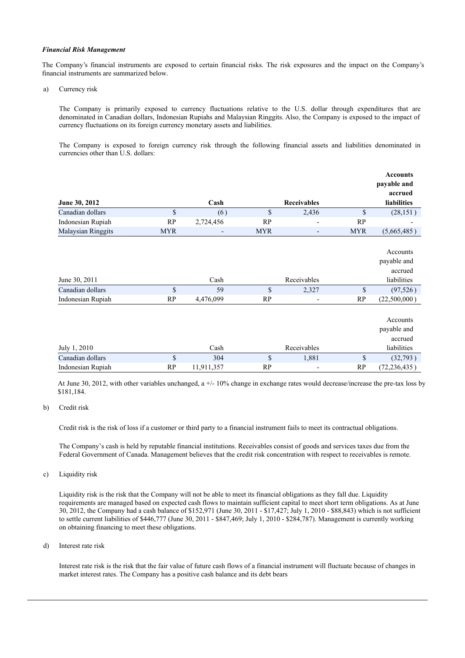#### *Financial Risk Management*

The Company's financial instruments are exposed to certain financial risks. The risk exposures and the impact on the Company's financial instruments are summarized below.

a) Currency risk

The Company is primarily exposed to currency fluctuations relative to the U.S. dollar through expenditures that are denominated in Canadian dollars, Indonesian Rupiahs and Malaysian Ringgits. Also, the Company is exposed to the impact of currency fluctuations on its foreign currency monetary assets and liabilities.

The Company is exposed to foreign currency risk through the following financial assets and liabilities denominated in currencies other than U.S. dollars:

| June 30, 2012      |                           | Cash       |            | <b>Receivables</b>       |              | <b>Accounts</b><br>payable and<br>accrued<br>liabilities |
|--------------------|---------------------------|------------|------------|--------------------------|--------------|----------------------------------------------------------|
| Canadian dollars   | \$                        | (6)        | \$         | 2,436                    | $\mathbb{S}$ | (28, 151)                                                |
| Indonesian Rupiah  | RP                        | 2,724,456  | RP         | ۰                        | RP           |                                                          |
| Malaysian Ringgits | <b>MYR</b>                |            | <b>MYR</b> | $\overline{a}$           | <b>MYR</b>   | (5,665,485)                                              |
| June 30, 2011      |                           | Cash       |            | Receivables              |              | Accounts<br>payable and<br>accrued<br>liabilities        |
| Canadian dollars   | \$                        | 59         | \$         | 2,327                    | \$           | (97, 526)                                                |
| Indonesian Rupiah  | RP                        | 4,476,099  | RP         | $\overline{\phantom{0}}$ | RP           | (22,500,000)                                             |
| July 1, 2010       |                           | Cash       |            | Receivables              |              | Accounts<br>payable and<br>accrued<br>liabilities        |
| Canadian dollars   | $\boldsymbol{\mathsf{S}}$ | 304        | \$         | 1,881                    | $\mathbf S$  | (32,793)                                                 |
| Indonesian Rupiah  | RP                        | 11,911,357 | RP         |                          | RP           | (72, 236, 435)                                           |

At June 30, 2012, with other variables unchanged, a +/- 10% change in exchange rates would decrease/increase the pre-tax loss by \$181,184.

# b) Credit risk

Credit risk is the risk of loss if a customer or third party to a financial instrument fails to meet its contractual obligations.

The Company's cash is held by reputable financial institutions. Receivables consist of goods and services taxes due from the Federal Government of Canada. Management believes that the credit risk concentration with respect to receivables is remote.

c) Liquidity risk

Liquidity risk is the risk that the Company will not be able to meet its financial obligations as they fall due. Liquidity requirements are managed based on expected cash flows to maintain sufficient capital to meet short term obligations. As at June 30, 2012, the Company had a cash balance of \$152,971 (June 30, 2011 - \$17,427; July 1, 2010 - \$88,843) which is not sufficient to settle current liabilities of \$446,777 (June 30, 2011 - \$847,469; July 1, 2010 - \$284,787). Management is currently working on obtaining financing to meet these obligations.

d) Interest rate risk

Interest rate risk is the risk that the fair value of future cash flows of a financial instrument will fluctuate because of changes in market interest rates. The Company has a positive cash balance and its debt bears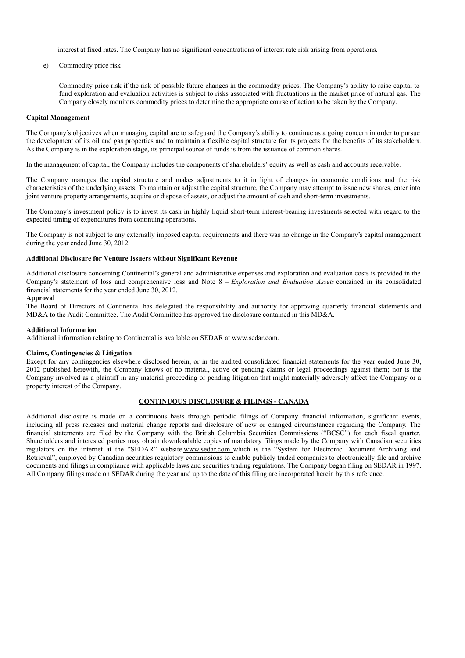interest at fixed rates. The Company has no significant concentrations of interest rate risk arising from operations.

e) Commodity price risk

Commodity price risk if the risk of possible future changes in the commodity prices. The Company's ability to raise capital to fund exploration and evaluation activities is subject to risks associated with fluctuations in the market price of natural gas. The Company closely monitors commodity prices to determine the appropriate course of action to be taken by the Company.

#### **Capital Management**

The Company's objectives when managing capital are to safeguard the Company's ability to continue as a going concern in order to pursue the development of its oil and gas properties and to maintain a flexible capital structure for its projects for the benefits of its stakeholders. As the Company is in the exploration stage, its principal source of funds is from the issuance of common shares.

In the management of capital, the Company includes the components of shareholders' equity as well as cash and accounts receivable.

The Company manages the capital structure and makes adjustments to it in light of changes in economic conditions and the risk characteristics of the underlying assets. To maintain or adjust the capital structure, the Company may attempt to issue new shares, enter into joint venture property arrangements, acquire or dispose of assets, or adjust the amount of cash and short-term investments.

The Company's investment policy is to invest its cash in highly liquid short-term interest-bearing investments selected with regard to the expected timing of expenditures from continuing operations.

The Company is not subject to any externally imposed capital requirements and there was no change in the Company's capital management during the year ended June 30, 2012.

#### **Additional Disclosure for Venture Issuers without Significant Revenue**

Additional disclosure concerning Continental's general and administrative expenses and exploration and evaluation costs is provided in the Company's statement of loss and comprehensive loss and Note 8 – *Exploration and Evaluation Assets* contained in its consolidated financial statements for the year ended June 30, 2012.

#### **Approval**

The Board of Directors of Continental has delegated the responsibility and authority for approving quarterly financial statements and MD&A to the Audit Committee. The Audit Committee has approved the disclosure contained in this MD&A.

#### **Additional Information**

Additional information relating to Continental is available on SEDAR at www.sedar.com.

# **Claims, Contingencies & Litigation**

Except for any contingencies elsewhere disclosed herein, or in the audited consolidated financial statements for the year ended June 30, 2012 published herewith, the Company knows of no material, active or pending claims or legal proceedings against them; nor is the Company involved as a plaintiff in any material proceeding or pending litigation that might materially adversely affect the Company or a property interest of the Company.

# **CONTINUOUS DISCLOSURE & FILINGS - CANADA**

Additional disclosure is made on a continuous basis through periodic filings of Company financial information, significant events, including all press releases and material change reports and disclosure of new or changed circumstances regarding the Company. The financial statements are filed by the Company with the British Columbia Securities Commissions ("BCSC") for each fiscal quarter. Shareholders and interested parties may obtain downloadable copies of mandatory filings made by the Company with Canadian securities regulators on the internet at the "SEDAR" website www.sedar.com which is the "System for Electronic Document Archiving and Retrieval", employed by Canadian securities regulatory commissions to enable publicly traded companies to electronically file and archive documents and filings in compliance with applicable laws and securities trading regulations. The Company began filing on SEDAR in 1997. All Company filings made on SEDAR during the year and up to the date of this filing are incorporated herein by this reference.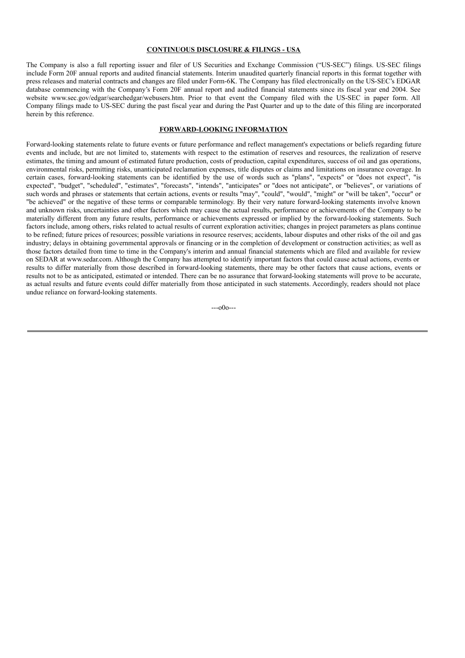## **CONTINUOUS DISCLOSURE & FILINGS - USA**

The Company is also a full reporting issuer and filer of US Securities and Exchange Commission ("US-SEC") filings. US-SEC filings include Form 20F annual reports and audited financial statements. Interim unaudited quarterly financial reports in this format together with press releases and material contracts and changes are filed under Form-6K. The Company has filed electronically on the US-SEC's EDGAR database commencing with the Company's Form 20F annual report and audited financial statements since its fiscal year end 2004. See website www.sec.gov/edgar/searchedgar/webusers.htm. Prior to that event the Company filed with the US-SEC in paper form. All Company filings made to US-SEC during the past fiscal year and during the Past Quarter and up to the date of this filing are incorporated herein by this reference.

# **FORWARD-LOOKING INFORMATION**

Forward-looking statements relate to future events or future performance and reflect management's expectations or beliefs regarding future events and include, but are not limited to, statements with respect to the estimation of reserves and resources, the realization of reserve estimates, the timing and amount of estimated future production, costs of production, capital expenditures, success of oil and gas operations, environmental risks, permitting risks, unanticipated reclamation expenses, title disputes or claims and limitations on insurance coverage. In certain cases, forward-looking statements can be identified by the use of words such as "plans", "expects" or "does not expect", "is expected", "budget", "scheduled", "estimates", "forecasts", "intends", "anticipates" or "does not anticipate", or "believes", or variations of such words and phrases or statements that certain actions, events or results "may", "could", "would", "might" or "will be taken", "occur" or "be achieved" or the negative of these terms or comparable terminology. By their very nature forward-looking statements involve known and unknown risks, uncertainties and other factors which may cause the actual results, performance or achievements of the Company to be materially different from any future results, performance or achievements expressed or implied by the forward-looking statements. Such factors include, among others, risks related to actual results of current exploration activities; changes in project parameters as plans continue to be refined; future prices of resources; possible variations in resource reserves; accidents, labour disputes and other risks of the oil and gas industry; delays in obtaining governmental approvals or financing or in the completion of development or construction activities; as well as those factors detailed from time to time in the Company's interim and annual financial statements which are filed and available for review on SEDAR at www.sedar.com. Although the Company has attempted to identify important factors that could cause actual actions, events or results to differ materially from those described in forward-looking statements, there may be other factors that cause actions, events or results not to be as anticipated, estimated or intended. There can be no assurance that forward-looking statements will prove to be accurate, as actual results and future events could differ materially from those anticipated in such statements. Accordingly, readers should not place undue reliance on forward-looking statements.

---o0o---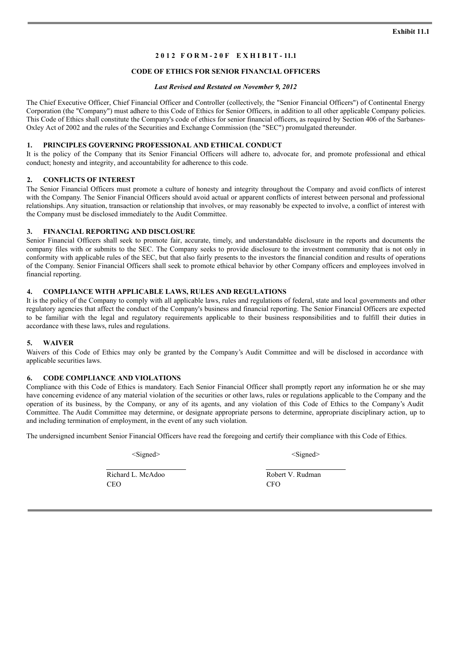# **2 0 1 2 F O R M - 2 0 F E X H I B I T - 11.1**

# **CODE OF ETHICS FOR SENIOR FINANCIAL OFFICERS**

#### *Last Revised and Restated on November 9, 2012*

The Chief Executive Officer, Chief Financial Officer and Controller (collectively, the "Senior Financial Officers") of Continental Energy Corporation (the "Company") must adhere to this Code of Ethics for Senior Officers, in addition to all other applicable Company policies. This Code of Ethics shall constitute the Company's code of ethics for senior financial officers, as required by Section 406 of the Sarbanes-Oxley Act of 2002 and the rules of the Securities and Exchange Commission (the "SEC") promulgated thereunder.

# **1. PRINCIPLES GOVERNING PROFESSIONAL AND ETHICAL CONDUCT**

It is the policy of the Company that its Senior Financial Officers will adhere to, advocate for, and promote professional and ethical conduct; honesty and integrity, and accountability for adherence to this code.

# **2. CONFLICTS OF INTEREST**

The Senior Financial Officers must promote a culture of honesty and integrity throughout the Company and avoid conflicts of interest with the Company. The Senior Financial Officers should avoid actual or apparent conflicts of interest between personal and professional relationships. Any situation, transaction or relationship that involves, or may reasonably be expected to involve, a conflict of interest with the Company must be disclosed immediately to the Audit Committee.

# **3. FINANCIAL REPORTING AND DISCLOSURE**

Senior Financial Officers shall seek to promote fair, accurate, timely, and understandable disclosure in the reports and documents the company files with or submits to the SEC. The Company seeks to provide disclosure to the investment community that is not only in conformity with applicable rules of the SEC, but that also fairly presents to the investors the financial condition and results of operations of the Company. Senior Financial Officers shall seek to promote ethical behavior by other Company officers and employees involved in financial reporting.

# **4. COMPLIANCE WITH APPLICABLE LAWS, RULES AND REGULATIONS**

It is the policy of the Company to comply with all applicable laws, rules and regulations of federal, state and local governments and other regulatory agencies that affect the conduct of the Company's business and financial reporting. The Senior Financial Officers are expected to be familiar with the legal and regulatory requirements applicable to their business responsibilities and to fulfill their duties in accordance with these laws, rules and regulations.

# **5. WAIVER**

Waivers of this Code of Ethics may only be granted by the Company's Audit Committee and will be disclosed in accordance with applicable securities laws.

# **6. CODE COMPLIANCE AND VIOLATIONS**

Compliance with this Code of Ethics is mandatory. Each Senior Financial Officer shall promptly report any information he or she may have concerning evidence of any material violation of the securities or other laws, rules or regulations applicable to the Company and the operation of its business, by the Company, or any of its agents, and any violation of this Code of Ethics to the Company's Audit Committee. The Audit Committee may determine, or designate appropriate persons to determine, appropriate disciplinary action, up to and including termination of employment, in the event of any such violation.

The undersigned incumbent Senior Financial Officers have read the foregoing and certify their compliance with this Code of Ethics.

Richard L. McAdoo Robert V. Rudman CEO CEO

<Signed> <Signed>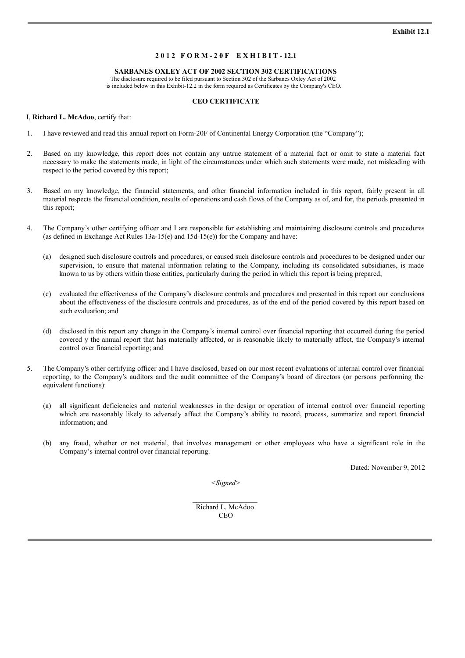# **2 0 1 2 F O R M - 2 0 F E X H I B I T - 12.1**

#### **SARBANES OXLEY ACT OF 2002 SECTION 302 CERTIFICATIONS**

The disclosure required to be filed pursuant to Section 302 of the Sarbanes Oxley Act of 2002 is included below in this Exhibit-12.2 in the form required as Certificates by the Company's CEO.

# **CEO CERTIFICATE**

### I, **Richard L. McAdoo**, certify that:

- 1. I have reviewed and read this annual report on Form-20F of Continental Energy Corporation (the "Company");
- 2. Based on my knowledge, this report does not contain any untrue statement of a material fact or omit to state a material fact necessary to make the statements made, in light of the circumstances under which such statements were made, not misleading with respect to the period covered by this report;
- 3. Based on my knowledge, the financial statements, and other financial information included in this report, fairly present in all material respects the financial condition, results of operations and cash flows of the Company as of, and for, the periods presented in this report;
- 4. The Company's other certifying officer and I are responsible for establishing and maintaining disclosure controls and procedures (as defined in Exchange Act Rules 13a-15(e) and 15d-15(e)) for the Company and have:
	- (a) designed such disclosure controls and procedures, or caused such disclosure controls and procedures to be designed under our supervision, to ensure that material information relating to the Company, including its consolidated subsidiaries, is made known to us by others within those entities, particularly during the period in which this report is being prepared;
	- (c) evaluated the effectiveness of the Company's disclosure controls and procedures and presented in this report our conclusions about the effectiveness of the disclosure controls and procedures, as of the end of the period covered by this report based on such evaluation; and
	- (d) disclosed in this report any change in the Company's internal control over financial reporting that occurred during the period covered y the annual report that has materially affected, or is reasonable likely to materially affect, the Company's internal control over financial reporting; and
- 5. The Company's other certifying officer and I have disclosed, based on our most recent evaluations of internal control over financial reporting, to the Company's auditors and the audit committee of the Company's board of directors (or persons performing the equivalent functions):
	- (a) all significant deficiencies and material weaknesses in the design or operation of internal control over financial reporting which are reasonably likely to adversely affect the Company's ability to record, process, summarize and report financial information; and
	- (b) any fraud, whether or not material, that involves management or other employees who have a significant role in the Company's internal control over financial reporting.

Dated: November 9, 2012

*<Signed>*

 $\frac{1}{2}$  ,  $\frac{1}{2}$  ,  $\frac{1}{2}$  ,  $\frac{1}{2}$  ,  $\frac{1}{2}$  ,  $\frac{1}{2}$  ,  $\frac{1}{2}$  ,  $\frac{1}{2}$  ,  $\frac{1}{2}$ Richard L. McAdoo CEO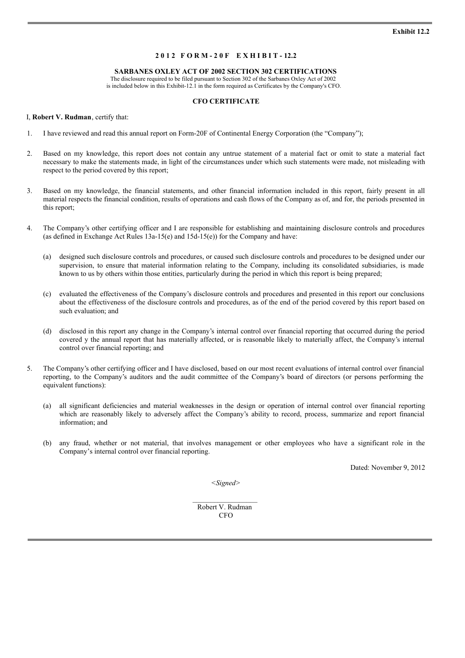# **2 0 1 2 F O R M - 2 0 F E X H I B I T - 12.2**

#### **SARBANES OXLEY ACT OF 2002 SECTION 302 CERTIFICATIONS**

The disclosure required to be filed pursuant to Section 302 of the Sarbanes Oxley Act of 2002 is included below in this Exhibit-12.1 in the form required as Certificates by the Company's CFO.

# **CFO CERTIFICATE**

### I, **Robert V. Rudman**, certify that:

- 1. I have reviewed and read this annual report on Form-20F of Continental Energy Corporation (the "Company");
- 2. Based on my knowledge, this report does not contain any untrue statement of a material fact or omit to state a material fact necessary to make the statements made, in light of the circumstances under which such statements were made, not misleading with respect to the period covered by this report;
- 3. Based on my knowledge, the financial statements, and other financial information included in this report, fairly present in all material respects the financial condition, results of operations and cash flows of the Company as of, and for, the periods presented in this report;
- 4. The Company's other certifying officer and I are responsible for establishing and maintaining disclosure controls and procedures (as defined in Exchange Act Rules 13a-15(e) and 15d-15(e)) for the Company and have:
	- (a) designed such disclosure controls and procedures, or caused such disclosure controls and procedures to be designed under our supervision, to ensure that material information relating to the Company, including its consolidated subsidiaries, is made known to us by others within those entities, particularly during the period in which this report is being prepared;
	- (c) evaluated the effectiveness of the Company's disclosure controls and procedures and presented in this report our conclusions about the effectiveness of the disclosure controls and procedures, as of the end of the period covered by this report based on such evaluation; and
	- (d) disclosed in this report any change in the Company's internal control over financial reporting that occurred during the period covered y the annual report that has materially affected, or is reasonable likely to materially affect, the Company's internal control over financial reporting; and
- 5. The Company's other certifying officer and I have disclosed, based on our most recent evaluations of internal control over financial reporting, to the Company's auditors and the audit committee of the Company's board of directors (or persons performing the equivalent functions):
	- (a) all significant deficiencies and material weaknesses in the design or operation of internal control over financial reporting which are reasonably likely to adversely affect the Company's ability to record, process, summarize and report financial information; and
	- (b) any fraud, whether or not material, that involves management or other employees who have a significant role in the Company's internal control over financial reporting.

Dated: November 9, 2012

*<Signed>*

 $\frac{1}{2}$  ,  $\frac{1}{2}$  ,  $\frac{1}{2}$  ,  $\frac{1}{2}$  ,  $\frac{1}{2}$  ,  $\frac{1}{2}$  ,  $\frac{1}{2}$  ,  $\frac{1}{2}$  ,  $\frac{1}{2}$ Robert V. Rudman **CFO**